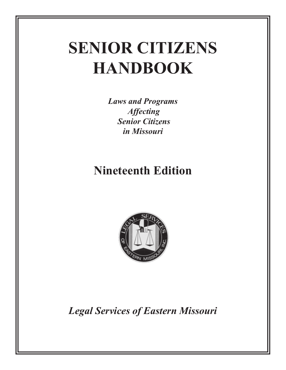# **SENIOR CITIZENS HANDBOOK**

*Laws and Programs Affecting Senior Citizens in Missouri*

## **Nineteenth Edition**



*Legal Services of Eastern Missouri*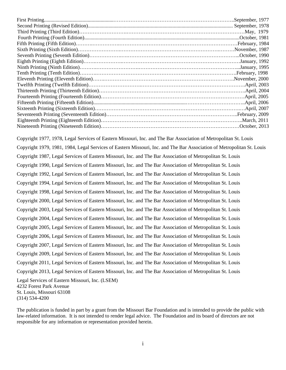| September, 1977. |
|------------------|
|                  |
|                  |
| .October, 1981   |
| February, 1984.  |
| .November, 1987  |
|                  |
|                  |
|                  |
|                  |
|                  |
|                  |
|                  |
|                  |
|                  |
|                  |
|                  |
|                  |
|                  |

Copyright 1977, 1978, Legal Services of Eastern Missouri, Inc. and The Bar Association of Metropolitan St. Louis Copyright 1979, 1981, 1984, Legal Services of Eastern Missouri, Inc. and The Bar Association of Metropolitan St. Louis Copyright 1987, Legal Services of Eastern Missouri, Inc. and The Bar Association of Metropolitan St. Louis Copyright 1990, Legal Services of Eastern Missouri, Inc. and The Bar Association of Metropolitan St. Louis Copyright 1992, Legal Services of Eastern Missouri, Inc. and The Bar Association of Metropolitan St. Louis Copyright 1994, Legal Services of Eastern Missouri, Inc. and The Bar Association of Metropolitan St. Louis Copyright 1998, Legal Services of Eastern Missouri, Inc. and The Bar Association of Metropolitan St. Louis Copyright 2000, Legal Services of Eastern Missouri, Inc. and The Bar Association of Metropolitan St. Louis Copyright 2003, Legal Services of Eastern Missouri, Inc. and The Bar Association of Metropolitan St. Louis Copyright 2004, Legal Services of Eastern Missouri, Inc. and The Bar Association of Metropolitan St. Louis Copyright 2005, Legal Services of Eastern Missouri, Inc. and The Bar Association of Metropolitan St. Louis Copyright 2006, Legal Services of Eastern Missouri, Inc. and The Bar Association of Metropolitan St. Louis Copyright 2007, Legal Services of Eastern Missouri, Inc. and The Bar Association of Metropolitan St. Louis Copyright 2009, Legal Services of Eastern Missouri, Inc. and The Bar Association of Metropolitan St. Louis Copyright 2011, Legal Services of Eastern Missouri, Inc. and The Bar Association of Metropolitan St. Louis Copyright 2013, Legal Services of Eastern Missouri, Inc. and The Bar Association of Metropolitan St. Louis Legal Services of Eastern Missouri, Inc. (LSEM) 4232 Forest Park Avenue

St. Louis, Missouri 63108 (314) 534-4200

The publication is funded in part by a grant from the Missouri Bar Foundation and is intended to provide the public with law-related information. It is not intended to render legal advice. The Foundation and its board of directors are not responsible for any information or representation provided herein.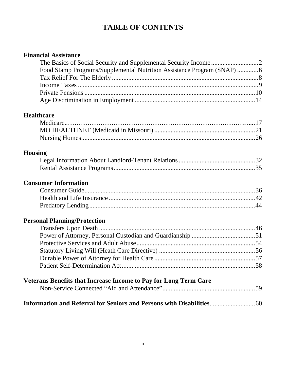## **TABLE OF CONTENTS**

## **Financial Assistance**

## **Healthcare**

## **Housing**

## **Consumer Information**

## **Personal Planning/Protection**

## **Veterans Benefits that Increase Income to Pay for Long Term Care**

|--|--|--|

## **Information and Referral for Seniors and Persons with Disabilities** ............................ 60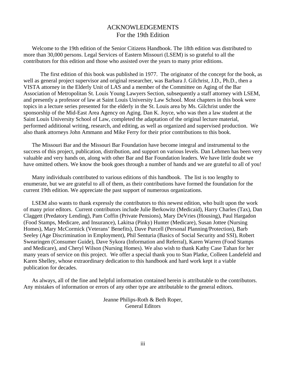## ACKNOWLEDGEMENTS For the 19th Edition

 Welcome to the 19th edition of the Senior Citizens Handbook. The 18th edition was distributed to more than 30,000 persons. Legal Services of Eastern Missouri (LSEM) is so grateful to all the contributors for this edition and those who assisted over the years to many prior editions.

The first edition of this book was published in 1977. The originator of the concept for the book, as well as general project supervisor and original researcher, was Barbara J. Gilchrist, J.D., Ph.D., then a VISTA attorney in the Elderly Unit of LAS and a member of the Committee on Aging of the Bar Association of Metropolitan St. Louis Young Lawyers Section, subsequently a staff attorney with LSEM, and presently a professor of law at Saint Louis University Law School. Most chapters in this book were topics in a lecture series presented for the elderly in the St. Louis area by Ms. Gilchrist under the sponsorship of the Mid-East Area Agency on Aging. Dan K. Joyce, who was then a law student at the Saint Louis University School of Law, completed the adaptation of the original lecture material, performed additional writing, research, and editing, as well as organized and supervised production. We also thank attorneys John Ammann and Mike Ferry for their prior contributions to this book.

 The Missouri Bar and the Missouri Bar Foundation have become integral and instrumental to the success of this project, publication, distribution, and support on various levels. Dan Lehmen has been very valuable and very hands on, along with other Bar and Bar Foundation leaders. We have little doubt we have omitted others. We know the book goes through a number of hands and we are grateful to all of you!

 Many individuals contributed to various editions of this handbook. The list is too lengthy to enumerate, but we are grateful to all of them, as their contributions have formed the foundation for the current 19th edition. We appreciate the past support of numerous organizations.

 LSEM also wants to thank expressly the contributors to this newest edition, who built upon the work of many prior editors. Current contributors include Julie Berkowitz (Medicaid), Harry Charles (Tax), Dan Claggett (Predatory Lending), Pam Coffin (Private Pensions), Mary DeVries (Housing), Paul Hargadon (Food Stamps, Medicare, and Insurance), Lakitsa (Pinky) Hunter (Medicare), Susan Jottee (Nursing Homes), Mary McCormick (Veterans' Benefits), Dave Purcell (Personal Planning/Protection), Barb Seeley (Age Discrimination in Employment), Phil Senturia (Basics of Social Security and SSI), Robert Swearingen (Consumer Guide), Dave Sykora (Information and Referral), Karen Warren (Food Stamps and Medicare), and Cheryl Wilson (Nursing Homes). We also wish to thank Kathy Case Tahan for her many years of service on this project. We offer a special thank you to Stan Platke, Colleen Landefeld and Karen Shelley, whose extraordinary dedication to this handbook and hard work kept it a viable publication for decades.

 As always, all of the fine and helpful information contained herein is attributable to the contributors. Any mistakes of information or errors of any other type are attributable to the general editors.

> Jeanne Philips-Roth & Beth Roper, General Editors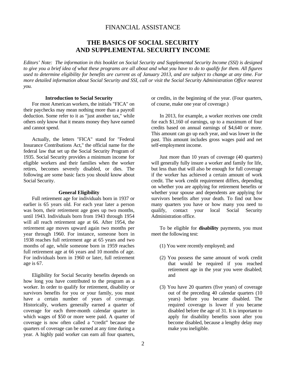## FINANCIAL ASSISTANCE

## **THE BASICS OF SOCIAL SECURITY AND SUPPLEMENTAL SECURITY INCOME**

*Editors' Note: The information in this booklet on Social Security and Supplemental Security Income (SSI) is designed to give you a brief idea of what these programs are all about and what you have to do to qualify for them. All figures used to determine eligibility for benefits are current as of January 2013, and are subject to change at any time. For more detailed information about Social Security and SSI, call or visit the Social Security Administration Office nearest you.* 

#### **Introduction to Social Security**

 For most American workers, the initials "FICA" on their paychecks may mean nothing more than a payroll deduction. Some refer to it as "just another tax," while others only know that it means money they have earned and cannot spend.

 Actually, the letters "FICA" stand for "Federal Insurance Contributions Act," the official name for the federal law that set up the Social Security Program of 1935. Social Security provides a minimum income for eligible workers and their families when the worker retires, becomes severely disabled, or dies. The following are some basic facts you should know about Social Security.

#### **General Eligibility**

 Full retirement age for individuals born in 1937 or earlier is 65 years old. For each year later a person was born, their retirement age goes up two months, until 1943. Individuals born from 1943 through 1954 will all reach retirement age at 66. After 1954, the retirement age moves upward again two months per year through 1960. For instance, someone born in 1938 reaches full retirement age at 65 years and two months of age, while someone born in 1959 reaches full retirement age at 66 years and 10 months of age. For individuals born in 1960 or later, full retirement age is 67.

 Eligibility for Social Security benefits depends on how long you have contributed to the program as a worker. In order to qualify for retirement, disability or survivors benefits for you or your family, you must have a certain number of years of coverage. Historically, workers generally earned a quarter of coverage for each three-month calendar quarter in which wages of \$50 or more were paid. A quarter of coverage is now often called a "credit" because the quarters of coverage can be earned at any time during a year. A highly paid worker can earn all four quarters, or credits, in the beginning of the year. (Four quarters, of course, make one year of coverage.)

 In 2013, for example, a worker receives one credit for each \$1,160 of earnings, up to a maximum of four credits based on annual earnings of \$4,640 or more. This amount can go up each year, and was lower in the past. This amount includes gross wages paid and net self-employment income.

 Just more than 10 years of coverage (40 quarters) will generally fully insure a worker and family for life, but less than that will also be enough for full coverage if the worker has achieved a certain amount of work credit. The work credit requirement differs, depending on whether you are applying for retirement benefits or whether your spouse and dependents are applying for survivors benefits after your death. To find out how many quarters you have or how many you need to qualify, contact your local Social Security Administration office.

 To be eligible for **disability** payments, you must meet the following test:

- (1) You were recently employed; and
- (2) You possess the same amount of work credit that would be required if you reached retirement age in the year you were disabled; and
- (3) You have 20 quarters (five years) of coverage out of the preceding 40 calendar quarters (10 years) before you became disabled. The required coverage is lower if you became disabled before the age of 31. It is important to apply for disability benefits soon after you become disabled, because a lengthy delay may make you ineligible.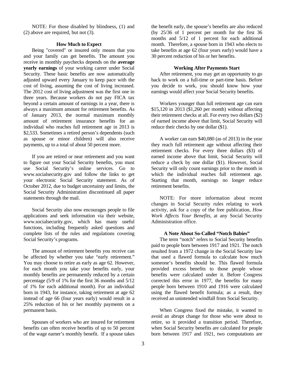NOTE: For those disabled by blindness, (1) and (2) above are required, but not (3).

#### **How Much to Expect**

 Being "covered" or insured only means that you and your family can get benefits. The amount you receive in monthly paychecks depends on the **average yearly earnings** of your working career under Social Security. These basic benefits are now automatically adjusted upward every January to keep pace with the cost of living, assuming the cost of living increased. The 2012 cost of living adjustment was the first one in three years. Because workers do not pay FICA tax beyond a certain amount of earnings in a year, there is always a maximum amount for retirement benefits. As of January 2013, the normal maximum monthly amount of retirement insurance benefits for an individual who reaches full retirement age in 2013 is \$2,533. Sometimes a retired person's dependents (such as spouse or minor children) will also receive payments, up to a total of about 50 percent more.

 If you are retired or near retirement and you want to figure out your Social Security benefits, you must use Social Security's online services. Go to www.socialsecurity.gov and follow the links to get your electronic Social Security statement. As of October 2012, due to budget uncertainty and limits, the Social Security Administration discontinued all paper statements through the mail.

 Social Security also now encourages people to file applications and seek information via their website, www.socialsecurity.gov, which has many useful functions, including frequently asked questions and complete lists of the rules and regulations covering Social Security's programs.

 The amount of retirement benefits you receive can be affected by whether you take "early retirement." You may choose to retire as early as age 62. However, for each month you take your benefits early, your monthly benefits are permanently reduced by a certain percentage (5/9 of 1% for the first 36 months and 5/12 of 1% for each additional month). For an individual born in 1943, for instance, taking retirement at age 62 instead of age 66 (four years early) would result in a 25% reduction of his or her monthly payments on a permanent basis.

 Spouses of workers who are insured for retirement benefits can often receive benefits of up to 50 percent of the wage earner's monthly benefit. If a spouse takes the benefit early, the spouse's benefits are also reduced (by 25/36 of 1 percent per month for the first 36 months and 5/12 of 1 percent for each additional month. Therefore, a spouse born in 1943 who elects to take benefits at age 62 (four years early) would have a 30 percent reduction of his or her benefits.

#### **Working After Payments Start**

 After retirement, you may get an opportunity to go back to work on a full-time or part-time basis. Before you decide to work, you should know how your earnings would affect your Social Security benefits.

 Workers younger than full retirement age can earn \$15,120 in 2013 (\$1,260 per month) without affecting their retirement checks at all. For every two dollars (\$2) of earned income above that limit, Social Security will reduce their checks by one dollar (\$1).

 A worker can earn \$40,080 (as of 2013) in the year they reach full retirement age without affecting their retirement checks. For every three dollars (\$3) of earned income above that limit, Social Security will reduce a check by one dollar (\$1). However, Social Security will only count earnings prior to the month in which the individual reaches full retirement age. Starting that month, earnings no longer reduce retirement benefits.

 NOTE: For more information about recent changes in Social Security rules relating to work activity, ask for a copy of the free publication, *How Work Affects Your Benefits,* at any Social Security Administration office.

#### **A Note About So-Called "Notch Babies"**

 The term "notch" refers to Social Security benefits paid to people born between 1917 and 1921. The notch resulted from a 1972 change in the Social Security law that used a flawed formula to calculate how much someone's benefits should be. This flawed formula provided excess benefits to those people whose benefits were calculated under it. Before Congress corrected this error in 1977, the benefits for many people born between 1910 and 1916 were calculated using the flawed benefit formula; as a result, they received an unintended windfall from Social Security.

 When Congress fixed the mistake, it wanted to avoid an abrupt change for those who were about to retire, so it provided a transition period. Therefore, when Social Security benefits are calculated for people born between 1917 and 1921, two computations are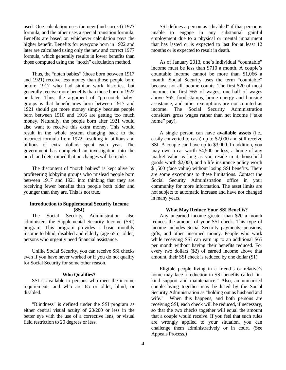used. One calculation uses the new (and correct) 1977 formula, and the other uses a special transition formula. Benefits are based on whichever calculation pays the higher benefit. Benefits for everyone born in 1922 and later are calculated using only the new and correct 1977 formula, which generally results in lower benefits than those computed using the "notch" calculation method.

 Thus, the "notch babies" (those born between 1917 and 1921) receive less money than those people born before 1917 who had similar work histories, but generally receive more benefits than those born in 1922 or later. Thus, the argument of "pro-notch baby" groups is that beneficiaries born between 1917 and 1921 should get more money simply because people born between 1910 and 1916 are getting too much money. Naturally, the people born after 1921 would also want to receive this extra money. This would result in the whole system changing back to the incorrect formula from 1972, resulting in billions and billions of extra dollars spent each year. The government has completed an investigation into the notch and determined that no changes will be made.

 The discontent of "notch babies" is kept alive by profiteering lobbying groups who mislead people born between 1917 and 1921 into thinking that they are receiving fewer benefits than people both older and younger than they are. This is not true.

#### **Introduction to Supplemental Security Income (SSI)**

 The Social Security Administration also administers the Supplemental Security Income (SSI) program. This program provides a basic monthly income to blind, disabled and elderly (age 65 or older) persons who urgently need financial assistance.

 Unlike Social Security, you can receive SSI checks even if you have never worked or if you do not qualify for Social Security for some other reason.

#### **Who Qualifies?**

 SSI is available to persons who meet the income requirements and who are 65 or older, blind, or disabled.

 "Blindness" is defined under the SSI program as either central visual acuity of 20/200 or less in the better eye with the use of a corrective lens, or visual field restriction to 20 degrees or less.

 SSI defines a person as "disabled" if that person is unable to engage in any substantial gainful employment due to a physical or mental impairment that has lasted or is expected to last for at least 12 months or is expected to result in death.

 As of January 2013, one's individual "countable" income must be less than \$710 a month. A couple's countable income cannot be more than \$1,066 a month. Social Security uses the term "countable" because not all income counts. The first \$20 of most income, the first \$65 of wages, one-half of wages above \$65, food stamps, home energy and housing assistance, and other exemptions are not counted as income. The Social Security Administration considers gross wages rather than net income ("take home" pay).

 A single person can have **available assets** (i.e., easily converted to cash) up to \$2,000 and still receive SSI. A couple can have up to \$3,000. In addition, you may own a car worth \$4,500 or less, a home of any market value as long as you reside in it, household goods worth \$2,000, and a life insurance policy worth \$1,500 (face value) without losing SSI benefits. There are some exceptions to these limitations. Contact the Social Security Administration office in your community for more information. The asset limits are not subject to automatic increase and have not changed in many years.

#### **What May Reduce Your SSI Benefits?**

 Any unearned income greater than \$20 a month reduces the amount of your SSI check. This type of income includes Social Security payments, pensions, gifts, and other unearned money. People who work while receiving SSI can earn up to an additional \$65 per month without having their benefits reduced. For every two dollars (\$2) of earned income above that amount, their SSI check is reduced by one dollar (\$1).

 Eligible people living in a friend's or relative's home may face a reduction in SSI benefits called "inkind support and maintenance." Also, an unmarried couple living together may be listed by the Social Security Administration as "holding out as husband and wife." When this happens, and both persons are receiving SSI, each check will be reduced, if necessary, so that the two checks together will equal the amount that a couple would receive. If you feel that such rules are wrongly applied to your situation, you can challenge them administratively or in court. (See Appeals Process.)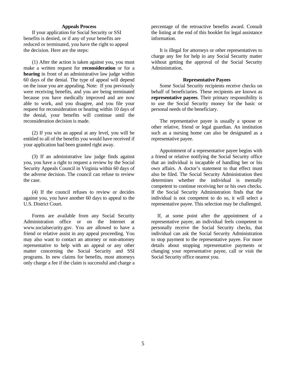#### **Appeals Process**

 If your application for Social Security or SSI benefits is denied, or if any of your benefits are reduced or terminated, you have the right to appeal the decision. Here are the steps:

 (1) After the action is taken against you, you must make a written request for **reconsideration** or for a **hearing** in front of an administrative law judge within 60 days of the denial. The type of appeal will depend on the issue you are appealing. Note: If you previously were receiving benefits, and you are being terminated because you have medically improved and are now able to work, and you disagree, and you file your request for reconsideration or hearing within 10 days of the denial, your benefits will continue until the reconsideration decision is made.

 (2) If you win an appeal at any level, you will be entitled to all of the benefits you would have received if your application had been granted right away.

 (3) If an administrative law judge finds against you, you have a right to request a review by the Social Security Appeals Council in Virginia within 60 days of the adverse decision. The council can refuse to review the case.

 (4) If the council refuses to review or decides against you, you have another 60 days to appeal to the U.S. District Court.

 Forms are available from any Social Security Administration office or on the Internet at www.socialsecurity.gov. You are allowed to have a friend or relative assist in any appeal proceeding. You may also want to contact an attorney or non-attorney representative to help with an appeal or any other matter concerning the Social Security and SSI programs. In new claims for benefits, most attorneys only charge a fee if the claim is successful and charge a

percentage of the retroactive benefits award. Consult the listing at the end of this booklet for legal assistance information.

 It is illegal for attorneys or other representatives to charge any fee for help in any Social Security matter without getting the approval of the Social Security Administration.

#### **Representative Payees**

 Some Social Security recipients receive checks on behalf of beneficiaries. These recipients are known as **representative payees**. Their primary responsibility is to use the Social Security money for the basic or personal needs of the beneficiary.

 The representative payee is usually a spouse or other relative, friend or legal guardian. An institution such as a nursing home can also be designated as a representative payee.

 Appointment of a representative payee begins with a friend or relative notifying the Social Security office that an individual is incapable of handling her or his own affairs. A doctor's statement to that effect must also be filed. The Social Security Administration then determines whether the individual is mentally competent to continue receiving her or his own checks. If the Social Security Administration finds that the individual is not competent to do so, it will select a representative payee. This selection may be challenged.

 If, at some point after the appointment of a representative payee, an individual feels competent to personally receive the Social Security checks, that individual can ask the Social Security Administration to stop payment to the representative payee. For more details about stopping representative payments or changing your representative payee, call or visit the Social Security office nearest you.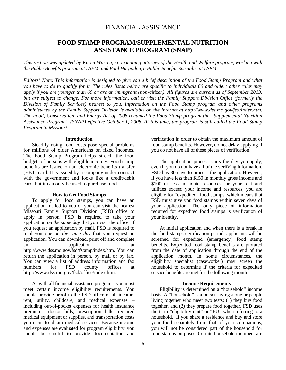## FINANCIAL ASSISTANCE

## **FOOD STAMP PROGRAM/SUPPLEMENTAL NUTRITION ASSISTANCE PROGRAM (SNAP)**

*This section was updated by Karen Warren, co-managing attorney of the Health and Welfare program, working with the Public Benefits program at LSEM, and Paul Hargadon, a Public Benefits Specialist at LSEM.* 

*Editors' Note: This information is designed to give you a brief description of the Food Stamp Program and what you have to do to qualify for it. The rules listed below are specific to individuals 60 and older; other rules may apply if you are younger than 60 or are an immigrant (non-citizen). All figures are current as of September 2013, but are subject to change. For more information, call or visit the Family Support Division Office (formerly the Division of Family Services) nearest to you. Information on the Food Stamp program and other programs administered by the Family Support Division is available on the Internet at http://www.dss.mo.gov/fsd/index.htm. The Food, Conservation, and Energy Act of 2008 renamed the Food Stamp program the "Supplemental Nutrition Assistance Program" (SNAP) effective October 1, 2008. At this time, the program is still called the Food Stamp Program in Missouri.* 

#### **Introduction**

 Steadily rising food costs pose special problems for millions of older Americans on fixed incomes. The Food Stamp Program helps stretch the food budgets of persons with eligible incomes. Food stamp benefits are issued on an electronic benefits transfer (EBT) card. It is issued by a company under contract with the government and looks like a credit/debit card, but it can only be used to purchase food.

#### **How to Get Food Stamps**

 To apply for food stamps, you can have an application mailed to you or you can visit the nearest Missouri Family Support Division (FSD) office to apply in person. FSD is required to take your application *on the same day* that you visit the office. If you request an application by mail, FSD is required to mail you one *on the same day* that you request an application. You can download, print off and complete an application at http://www.dss.mo.gov/fsd/fstamp/index.htm*.* You can return the application in person, by mail or by fax. You can view a list of address information and fax numbers for FSD county offices at http://www.dss.mo.gov/fsd/office/index.htm.

 As with all financial assistance programs, you must meet certain income eligibility requirements. You should provide proof to the FSD office of all income, rent, utility, childcare, and medical expenses – including out-of-pocket expenses for health insurance premiums, doctor bills, prescription bills, required medical equipment or supplies, and transportation costs you incur to obtain medical services. Because income and expenses are evaluated for program eligibility, you should be careful to provide documentation and

verification in order to obtain the maximum amount of food stamp benefits. However, do not delay applying if you do not have all of these pieces of verification.

 The application process starts the day you apply, even if you do not have all of the verifying information. FSD has 30 days to process the application. However, if you have less than \$150 in monthly gross income and \$100 or less in liquid resources, or your rent and utilities exceed your income and resources, you are eligible for "expedited" food stamps, which means that FSD must give you food stamps within seven days of your application. The only piece of information required for expedited food stamps is verification of your identity.

 At initial application and when there is a break in the food stamps certification period, applicants will be screened for expedited (emergency) food stamp benefits. Expedited food stamp benefits are prorated from the date of application through the end of the application month. In some circumstances, the eligibility specialist (caseworker) may screen the household to determine if the criteria for expedited service benefits are met for the following month.

#### **Income Requirements**

 Eligibility is determined on a "household" income basis. A "household" is a person living alone or people living together who meet two tests: (1) they buy food together, and (2) they prepare food together. FSD uses the term "eligibility unit" or "EU" when referring to a household. If you share a residence and buy and store your food separately from that of your companions, you will not be considered part of the household for food stamps purposes. Certain household members are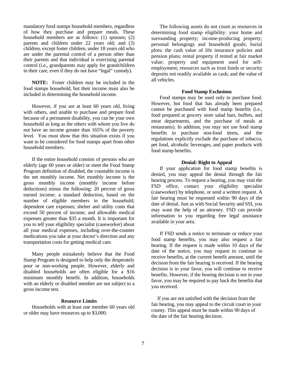mandatory food stamps household members, regardless of how they purchase and prepare meals. These household members are as follows: (1) spouses; (2) parents and children under 22 years old; and (3) children, except foster children, under 18 years old who are under the parental control of a person other than their parents and that individual is exercising parental control (i.e., grandparents may apply for grandchildren in their care, even if they do not have "legal" custody).

**NOTE:** Foster children may be included in the food stamps household, but their income must also be included in determining the household income.

 However, if you are at least 60 years old, living with others, and unable to purchase and prepare food because of a permanent disability, you can be your own household as long as the others with whom you live do not have an income greater than 165% of the poverty level. You must show that this situation exists if you want to be considered for food stamps apart from other household members.

 If the entire household consists of persons who are elderly (age 60 years or older) or meet the Food Stamp Program definition of disabled, the countable income is the net monthly income. Net monthly income is the gross monthly income (monthly income before deductions) minus the following: 20 percent of gross earned income; a standard deduction, based on the number of eligible members in the household; dependent care expenses; shelter and utility costs that exceed 50 percent of income; and allowable medical expenses greater than \$35 a month. It is important for you to tell your eligibility specialist (caseworker) about all your medical expenses, including over-the-counter medications you take at your doctor's direction and any transportation costs for getting medical care.

 Many people mistakenly believe that the Food Stamp Program is designed to help only the desperately poor or non-working people. However, elderly and disabled households are often eligible for a \$16 minimum monthly benefit. In addition, households with an elderly or disabled member are not subject to a gross income test.

#### **Resource Limits**

 Households with at least one member 60 years old or older may have resources up to \$3,000.

 The following assets do not count as resources in determining food stamp eligibility: your home and surrounding property; income-producing property; personal belongings and household goods; burial plots; the cash value of life insurance policies and pension plans; rental property if rented at fair market value; property and equipment used for selfemployment; resources such as trust funds or security deposits not readily available as cash; and the value of all vehicles.

#### **Food Stamp Exclusions**

 Food stamps may be used only to purchase food. However, hot food that has already been prepared cannot be purchased with food stamp benefits (i.e., food prepared at grocery store salad bars, buffets, and meat departments, and the purchase of meals at restaurants). In addition, you may not use food stamp benefits to purchase non-food items, and the regulations explicitly exclude the purchase of tobacco, pet food, alcoholic beverages, and paper products with food stamp benefits.

#### **Denial: Right to Appeal**

 If your application for food stamp benefits is denied, you may appeal the denial through the fair hearing process. To request a hearing, you may visit the FSD office, contact your eligibility specialist (caseworker) by telephone, or send a written request. A fair hearing must be requested within 90 days of the date of denial. Just as with Social Security and SSI, you may want the help of an attorney. FSD can provide information to you regarding free legal assistance available in your area.

 If FSD sends a notice to terminate or reduce your food stamp benefits, you may also request a fair hearing. If the request is made within 10 days of the date of the notice, you may request to continue to receive benefits, at the current benefit amount, until the decision from the fair hearing is received. If the hearing decision is in your favor, you will continue to receive benefits. However, if the hearing decision is not in your favor, you may be required to pay back the benefits that you received.

 If you are not satisfied with the decision from the fair hearing, you may appeal to the circuit court in your county. This appeal must be made within 90 days of the date of the fair hearing decision.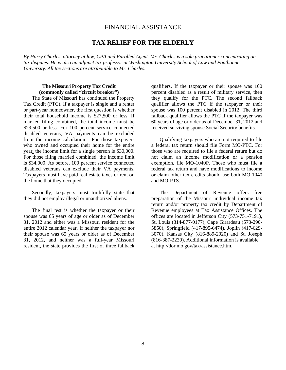## FINANCIAL ASSISTANCE

## **TAX RELIEF FOR THE ELDERLY**

*By Harry Charles, attorney at law, CPA and Enrolled Agent. Mr. Charles is a sole practitioner concentrating on tax disputes. He is also an adjunct tax professor at Washington University School of Law and Fontbonne University. All tax sections are attributable to Mr. Charles.* 

#### **The Missouri Property Tax Credit (commonly called "circuit breaker")**

The State of Missouri has continued the Property Tax Credit (PTC). If a taxpayer is single and a renter or part-year homeowner, the first question is whether their total household income is \$27,500 or less. If married filing combined, the total income must be \$29,500 or less. For 100 percent service connected disabled veterans, VA payments can be excluded from the income calculation. For those taxpayers who owned and occupied their home for the entire year, the income limit for a single person is \$30,000. For those filing married combined, the income limit is \$34,000. As before, 100 percent service connected disabled veterans can exclude their VA payments. Taxpayers must have paid real estate taxes or rent on the home that they occupied.

 Secondly, taxpayers must truthfully state that they did not employ illegal or unauthorized aliens.

 The final test is whether the taxpayer or their spouse was 65 years of age or older as of December 31, 2012 and either was a Missouri resident for the entire 2012 calendar year. If neither the taxpayer nor their spouse was 65 years or older as of December 31, 2012, and neither was a full-year Missouri resident, the state provides the first of three fallback

qualifiers. If the taxpayer or their spouse was 100 percent disabled as a result of military service, then they qualify for the PTC. The second fallback qualifier allows the PTC if the taxpayer or their spouse was 100 percent disabled in 2012. The third fallback qualifier allows the PTC if the taxpayer was 60 years of age or older as of December 31, 2012 and received surviving spouse Social Security benefits.

 Qualifying taxpayers who are not required to file a federal tax return should file Form MO-PTC. For those who are required to file a federal return but do not claim an income modification or a pension exemption, file MO-1040P. Those who must file a federal tax return and have modifications to income or claim other tax credits should use both MO-1040 and MO-PTS.

 The Department of Revenue offers free preparation of the Missouri individual income tax return and/or property tax credit by Department of Revenue employees at Tax Assistance Offices. The offices are located in Jefferson City (573-751-7191), St. Louis (314-877-0177), Cape Girardeau (573-290- 5850), Springfield (417-895-6474), Joplin (417-629- 3070), Kansas City (816-889-2920) and St. Joseph (816-387-2230). Additional information is available at http://dor.mo.gov/tax/assistance.htm.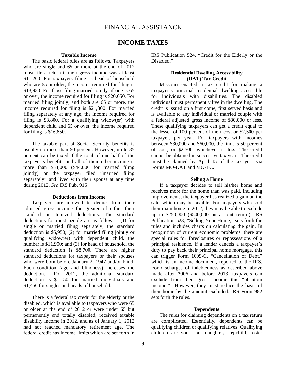## **INCOME TAXES**

#### **Taxable Income**

 The basic federal rules are as follows. Taxpayers who are single and 65 or more at the end of 2012 must file a return if their gross income was at least \$11,200. For taxpayers filing as head of household who are 65 or older, the income required for filing is \$13,950. For those filing married jointly, if one is 65 or over, the income required for filing is \$20,650. For married filing jointly, and both are 65 or more, the income required for filing is \$21,800. For married filing separately at any age, the income required for filing is \$3,800. For a qualifying widow(er) with dependent child and 65 or over, the income required for filing is \$16,850.

 The taxable part of Social Security benefits is usually no more than 50 percent. However, up to 85 percent can be taxed if the total of one half of the taxpayer's benefits and all of their other income is more than \$34,000 (\$44,000 for married filing jointly) or the taxpayer filed "married filing separately" and lived with their spouse at any time during 2012. *See* IRS Pub. 915

#### **Deductions from Income**

 Taxpayers are allowed to deduct from their adjusted gross income the greater of either their standard or itemized deductions. The standard deductions for most people are as follows: (1) for single or married filing separately, the standard deduction is \$5,950; (2) for married filing jointly or qualifying widow(er) with dependent child, the number is \$11,900; and (3) for head of household, the standard deduction is \$8,700. There are higher standard deductions for taxpayers or their spouses who were born before January 2, 1947 and/or blind. Each condition (age and blindness) increases the deduction. For 2012, the additional standard deduction is \$1,150 for married individuals and \$1,450 for singles and heads of household.

 There is a federal tax credit for the elderly or the disabled, which is available to taxpayers who were 65 or older at the end of 2012 or were under 65 but permanently and totally disabled, received taxable disability income in 2012, and as of January 1, 2012 had not reached mandatory retirement age. The federal credit has income limits which are set forth in IRS Publication 524, "Credit for the Elderly or the Disabled."

#### **Residential Dwelling Accessibility (DAT) Tax Credit**

 Missouri enacted a tax credit for making a taxpayer's principal residential dwelling accessible for individuals with disabilities. The disabled individual must permanently live in the dwelling. The credit is issued on a first come, first served basis and is available to any individual or married couple with a federal adjusted gross income of \$30,000 or less. These qualifying taxpayers can get a credit equal to the lesser of 100 percent of their cost or \$2,500 per taxpayer, per year. For taxpayers with incomes between \$30,000 and \$60,000, the limit is 50 percent of cost, or \$2,500, whichever is less. The credit cannot be obtained in successive tax years. The credit must be claimed by April 15 of the tax year via Forms MO-DAT and MO-TC.

#### **Selling a Home**

 If a taxpayer decides to sell his/her home and receives more for the home than was paid, including improvements, the taxpayer has realized a gain on the sale, which may be taxable. For taxpayers who sold their main home in 2012, they may be able to exclude up to \$250,000 (\$500,000 on a joint return). IRS Publication 523, "Selling Your Home," sets forth the rules and includes charts on calculating the gain. In recognition of current economic problems, there are special rules for foreclosures or repossessions of a principal residence. If a lender cancels a taxpayer's duty to pay back their principal home mortgage, this can trigger Form 1099-C, "Cancellation of Debt," which is an income document, reported to the IRS. For discharges of indebtedness as described above made after 2006 and before 2013, taxpayers can exclude from their gross income this "phantom income." However, they must reduce the basis of their home by the amount excluded. IRS Form 982 sets forth the rules.

#### **Dependents**

 The rules for claiming dependents on a tax return are complicated. Essentially, dependents can be qualifying children or qualifying relatives. Qualifying children are your son, daughter, stepchild, foster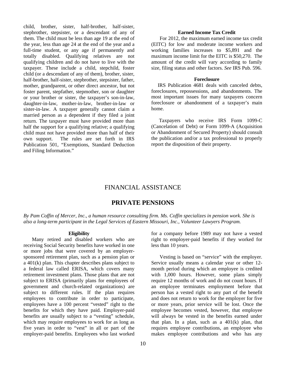child, brother, sister, half-brother, half-sister, stepbrother, stepsister, or a descendant of any of them. The child must be less than age 19 at the end of the year, less than age 24 at the end of the year and a full-time student, or any age if permanently and totally disabled. Qualifying relatives are not qualifying children and do not have to live with the taxpayer. These include a child, stepchild, foster child (or a descendant of any of them), brother, sister, half-brother, half-sister, stepbrother, stepsister, father, mother, grandparent, or other direct ancestor, but not foster parent, stepfather, stepmother, son or daughter or your brother or sister, the taxpayer's son-in-law, daughter-in-law, mother-in-law, brother-in-law or sister-in-law. A taxpayer generally cannot claim a married person as a dependent if they filed a joint return. The taxpayer must have provided more than half the support for a qualifying relative; a qualifying child must not have provided more than half of their own support. The rules are set forth in IRS Publication 501, "Exemptions, Standard Deduction and Filing Information."

#### **Earned Income Tax Credit**

 For 2012, the maximum earned income tax credit (EITC) for low and moderate income workers and working families increases to \$5,891 and the maximum income limit for the EITC is \$50,270. The amount of the credit will vary according to family size, filing status and other factors. *See* IRS Pub. 596.

#### **Foreclosure**

 IRS Publication 4681 deals with canceled debts, foreclosures, repossessions, and abandonments. The most important issues for many taxpayers concern foreclosure or abandonment of a taxpayer's main home.

 Taxpayers who receive IRS Form 1099-C (Cancelation of Debt) or Form 1099-A (Acquisition or Abandonment of Secured Property) should consult the publication and/or a tax professional to properly report the disposition of their property.

## FINANCIAL ASSISTANCE

#### **PRIVATE PENSIONS**

*By Pam Coffin of Mercer, Inc., a human resource consulting firm. Ms. Coffin specializes in pension work. She is also a long-term participant in the Legal Services of Eastern Missouri, Inc., Volunteer Lawyers Program.* 

#### **Eligibility**

Many retired and disabled workers who are receiving Social Security benefits have worked in one or more jobs that were covered by an employersponsored retirement plan, such as a pension plan or a 401(k) plan. This chapter describes plans subject to a federal law called ERISA, which covers many retirement investment plans. Those plans that are not subject to ERISA (primarily plans for employees of government and church-related organizations) are subject to different rules. If the plan requires employees to contribute in order to participate, employees have a 100 percent "vested" right to the benefits for which they have paid. Employer-paid benefits are usually subject to a "vesting" schedule, which may require employees to work for as long as five years in order to "vest" in all or part of the employer-paid benefits. Employees who last worked

for a company before 1989 may not have a vested right to employer-paid benefits if they worked for less than 10 years.

 Vesting is based on "service" with the employer. Service usually means a calendar year or other 12 month period during which an employee is credited with 1,000 hours. However, some plans simply require 12 months of work and do not count hours. If an employee terminates employment before that person has a vested right to any part of the benefit and does not return to work for the employer for five or more years, prior service will be lost. Once the employee becomes vested, however, that employee will always be vested in the benefits earned under that plan. In a plan, such as a  $401(k)$  plan, that requires employee contributions, an employee who makes employee contributions and who has any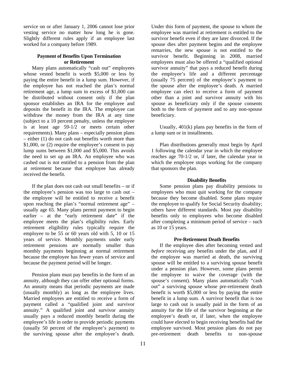service on or after January 1, 2006 cannot lose prior vesting service no matter how long he is gone. Slightly different rules apply if an employee last worked for a company before 1989.

#### **Payment of Benefits Upon Termination or Retirement**

Many plans automatically "cash out" employees whose vested benefit is worth \$5,000 or less by paying the entire benefit in a lump sum. However, if the employee has not reached the plan's normal retirement age, a lump sum in excess of \$1,000 can be distributed without consent only if the plan sponsor establishes an IRA for the employee and deposits the benefit in the IRA. The employee can withdraw the money from the IRA at any time (subject to a 10 percent penalty, unless the employee is at least age 59-1/2 or meets certain other requirements). Many plans – especially pension plans – either (1) do not cash out benefits worth more than \$1,000, or (2) require the employee's consent to pay lump sums between \$1,000 and \$5,000. This avoids the need to set up an IRA. An employee who was cashed out is not entitled to a pension from the plan at retirement because that employee has already received the benefit.

 If the plan does not cash out small benefits – or if the employee's pension was too large to cash out – the employee will be entitled to receive a benefit upon reaching the plan's "normal retirement age" – usually age 65. Many plans permit payment to begin earlier – at the "early retirement date" if the employee meets the plan's eligibility rules. Early retirement eligibility rules typically require the employee to be 55 or 60 years old with 5, 10 or 15 years of service. Monthly payments under early retirement pensions are normally smaller than monthly payments beginning at normal retirement because the employee has fewer years of service and because the payment period will be longer.

 Pension plans must pay benefits in the form of an annuity, although they can offer other optional forms. An annuity means that periodic payments are made (usually monthly) as long as the employee lives. Married employees are entitled to receive a form of payment called a "qualified joint and survivor annuity." A qualified joint and survivor annuity usually pays a reduced monthly benefit during the employee's life in order to provide periodic payments (usually 50 percent of the employee's payment) to the surviving spouse after the employee's death.

Under this form of payment, the spouse to whom the employee was married at retirement is entitled to the survivor benefit even if they are later divorced. If the spouse dies after payment begins and the employee remarries, the new spouse is not entitled to the survivor benefit. Beginning in 2008, married employees must also be offered a "qualified optional survivor annuity" that pays a reduced benefit during the employee's life and a different percentage (usually 75 percent) of the employee's payment to the spouse after the employee's death. A married employee can elect to receive a form of payment other than a joint and survivor annuity with his spouse as beneficiary only if the spouse consents both to the form of payment and to any non-spouse beneficiary.

 Usually, 401(k) plans pay benefits in the form of a lump sum or in installments.

 Plan distributions generally must begin by April 1 following the calendar year in which the employee reaches age 70-1/2 or, if later, the calendar year in which the employee stops working for the company that sponsors the plan.

#### **Disability Benefits**

Some pension plans pay disability pensions to employees who must quit working for the company because they become disabled. Some plans require the employee to qualify for Social Security disability; others have different standards. Most pay disability benefits only to employees who become disabled after completing a minimum period of service – such as 10 or 15 years.

#### **Pre-Retirement Death Benefits**

If the employee dies after becoming vested and *before* receiving any benefits under the plan, and if the employee was married at death, the surviving spouse will be entitled to a surviving spouse benefit under a pension plan. However, some plans permit the employee to waive the coverage (with the spouse's consent). Many plans automatically "cash out" a surviving spouse whose pre-retirement death benefit is worth \$5,000 or less by paying the entire benefit in a lump sum. A survivor benefit that is too large to cash out is usually paid in the form of an annuity for the life of the survivor beginning at the employee's death or, if later, when the employee could have elected to begin receiving benefits had the employee survived. Most pension plans do not pay pre-retirement death benefits to non-spouse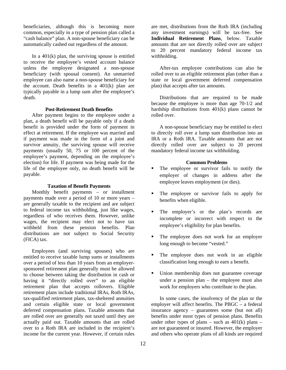beneficiaries, although this is becoming more common, especially in a type of pension plan called a "cash balance" plan. A non-spouse beneficiary can be automatically cashed out regardless of the amount.

In a  $401(k)$  plan, the surviving spouse is entitled to receive the employee's vested account balance unless the employee designated a non-spouse beneficiary (with spousal consent). An unmarried employee can also name a non-spouse beneficiary for the account. Death benefits in a 401(k) plan are typically payable in a lump sum after the employee's death.

#### **Post-Retirement Death Benefits**

After payment begins to the employee under a plan, a death benefit will be payable only if a death benefit is provided under the form of payment in effect at retirement. If the employee was married and if payment was made in the form of a joint and survivor annuity, the surviving spouse will receive payments (usually 50, 75 or 100 percent of the employee's payment, depending on the employee's election) for life. If payment was being made for the life of the employee only, no death benefit will be payable.

#### **Taxation of Benefit Payments**

Monthly benefit payments – or installment payments made over a period of 10 or more years – are generally taxable to the recipient and are subject to federal income tax withholding, just like wages, regardless of who receives them. However, unlike wages, the recipient may elect not to have tax withheld from these pension benefits. Plan distributions are not subject to Social Security (FICA) tax.

 Employees (and surviving spouses) who are entitled to receive taxable lump sums or installments over a period of less than 10 years from an employersponsored retirement plan generally must be allowed to choose between taking the distribution in cash or having it "directly rolled over" to an eligible retirement plan that accepts rollovers. Eligible retirement plans include traditional IRAs, Roth IRAs, tax-qualified retirement plans, tax-sheltered annuities and certain eligible state or local government deferred compensation plans. Taxable amounts that are rolled over are generally not taxed until they are actually paid out. Taxable amounts that are rolled over to a Roth IRA are included in the recipient's income for the current year. However, if certain rules

are met, distributions from the Roth IRA (including any investment earnings) will be tax-free. See **Individual Retirement Plans**, below. Taxable amounts that are not directly rolled over are subject to 20 percent mandatory federal income tax withholding.

 After-tax employee contributions can also be rolled over to an eligible retirement plan (other than a state or local government deferred compensation plan) that accepts after tax amounts.

 Distributions that are required to be made because the employee is more than age 70-1/2 and hardship distributions from 401(k) plans cannot be rolled over.

 A non-spouse beneficiary may be entitled to elect to directly roll over a lump sum distribution into an IRA or a Roth IRA. Taxable amounts that are not directly rolled over are subject to 20 percent mandatory federal income tax withholding.

#### **Common Problems**

- The employee or survivor fails to notify the employer of changes in address after the employee leaves employment (or dies).
- The employee or survivor fails to apply for benefits when eligible.
- The employer's or the plan's records are incomplete or incorrect with respect to the employee's eligibility for plan benefits.
- The employee does not work for an employer long enough to become "vested."
- The employee does not work in an eligible classification long enough to earn a benefit.
- Union membership does not guarantee coverage under a pension plan – the employee must also work for employers who contribute to the plan.

 In some cases, the insolvency of the plan or the employer will affect benefits. The PBGC – a federal insurance agency – guarantees some (but not all) benefits under most types of pension plans. Benefits under other types of plans – such as  $401(k)$  plans – are not guaranteed or insured. However, the employer and others who operate plans of all kinds are required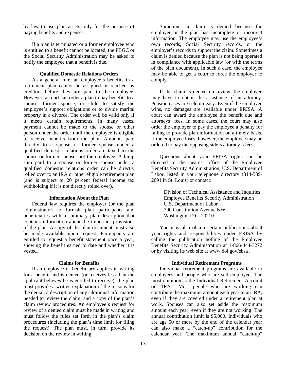by law to use plan assets only for the purpose of paying benefits and expenses.

 If a plan is terminated or a former employee who is entitled to a benefit cannot be located, the PBGC or the Social Security Administration may be asked to notify the employee that a benefit is due.

#### **Qualified Domestic Relations Orders**

As a general rule, an employee's benefits in a retirement plan cannot be assigned or reached by creditors before they are paid to the employee. However, a court can order a plan to pay benefits to a spouse, former spouse, or child to satisfy the employee's support obligations or to divide marital property in a divorce. The order will be valid only if it meets certain requirements. In many cases, payment cannot be made to the spouse or other person under the order until the employee is eligible to receive benefits from the plan. Amounts paid directly to a spouse or former spouse under a qualified domestic relations order are taxed to the spouse or former spouse, not the employee. A lump sum paid to a spouse or former spouse under a qualified domestic relations order can be directly rolled over to an IRA or other eligible retirement plan (and is subject to 20 percent federal income tax withholding if it is not directly rolled over).

#### **Information About the Plan**

Federal law requires the employer (or the plan administrator) to furnish plan participants and beneficiaries with a summary plan description that contains information about the important provisions of the plan. A copy of the plan document must also be made available upon request. Participants are entitled to request a benefit statement once a year, showing the benefit earned to date and whether it is vested.

#### **Claims for Benefits**

If an employee or beneficiary applies in writing for a benefit and is denied (or receives less than the applicant believes he is entitled to receive), the plan must provide a written explanation of the reasons for the denial, a description of any additional information needed to review the claim, and a copy of the plan's claim review procedures. An employee's request for review of a denied claim must be made in writing and must follow the rules set forth in the plan's claim procedures (including the plan's time limit for filing the request). The plan must, in turn, provide its decision on the review in writing.

 Sometimes a claim is denied because the employer or the plan has incomplete or incorrect information. The employee may use the employee's own records, Social Security records, or the employer's records to support the claim. Sometimes a claim is denied because the plan is not being operated in compliance with applicable law (or with the terms of the plan document). In such a case, the employee may be able to get a court to force the employer to comply.

 If the claim is denied on review, the employee may have to obtain the assistance of an attorney. Pension cases are seldom easy. Even if the employee wins, no damages are available under ERISA. A court can award the employee the benefit due and attorneys' fees. In some cases, the court may also order the employer to pay the employee a penalty for failing to provide plan information on a timely basis. If the employee loses, however, the employee may be ordered to pay the opposing side's attorney's fees.

 Questions about your ERISA rights can be directed to the nearest office of the Employee Benefits Security Administration, U.S. Department of Labor, listed in your telephone directory (314-539- 2691 in St. Louis) or contact:

> Division of Technical Assistance and Inquiries Employee Benefits Security Administration U.S. Department of Labor 200 Constitution Avenue NW Washington D.C. 20210

 You may also obtain certain publications about your rights and responsibilities under ERISA by calling the publication hotline of the Employee Benefits Security Administration at 1-866-444-3272 or by visiting its web site at www.dol.gov/ebsa .

#### **Individual Retirement Programs**

 Individual retirement programs are available to employees and people who are self-employed. The most common is the Individual Retirement Account or "IRA." Most people who are working can contribute the maximum amount each year to an IRA, even if they are covered under a retirement plan at work. Spouses can also set aside the maximum amount each year, even if they are not working. The annual contribution limit is \$5,000. Individuals who are age 50 or more by the end of the calendar year can also make a "catch-up" contribution for the calendar year. The maximum annual "catch-up"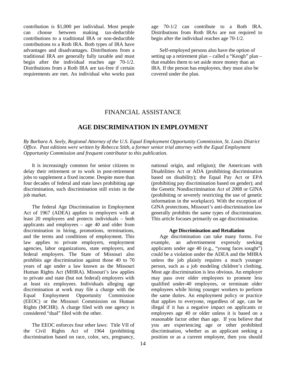contribution is \$1,000 per individual. Most people can choose between making tax-deductible contributions to a traditional IRA or non-deductible contributions to a Roth IRA. Both types of IRA have advantages and disadvantages. Distributions from a traditional IRA are generally fully taxable and must begin after the individual reaches age 70-1/2. Distributions from a Roth IRA are tax-free if certain requirements are met. An individual who works past age 70-1/2 can contribute to a Roth IRA. Distributions from Roth IRAs are not required to begin after the individual reaches age 70-1/2.

 Self-employed persons also have the option of setting up a retirement plan – called a "Keogh" plan – that enables them to set aside more money than an IRA. If the person has employees, they must also be covered under the plan.

## FINANCIAL ASSISTANCE

## **AGE DISCRIMINATION IN EMPLOYMENT**

*By Barbara A. Seely, Regional Attorney of the U.S. Equal Employment Opportunity Commission, St. Louis District Office. Past editions were written by Rebecca Stith, a former senior trial attorney with the Equal Employment Opportunity Commission and frequent contributor to this publication.* 

 It is increasingly common for senior citizens to delay their retirement or to work in post-retirement jobs to supplement a fixed income. Despite more than four decades of federal and state laws prohibiting age discrimination, such discrimination still exists in the job market.

 The federal Age Discrimination in Employment Act of 1967 (ADEA) applies to employers with at least 20 employees and protects individuals – both applicants and employees – age 40 and older from discrimination in hiring, promotions, terminations, and the terms and conditions of employment. This law applies to private employers, employment agencies, labor organizations, state employers, and federal employers. The State of Missouri also prohibits age discrimination against those 40 to 70 years of age under a law known as the Missouri Human Rights Act (MHRA). Missouri's law applies to private and state (but not federal) employers with at least six employees. Individuals alleging age discrimination at work may file a charge with the Equal Employment Opportunity Commission (EEOC) or the Missouri Commission on Human Rights (MCHR). A charge filed with one agency is considered "dual" filed with the other.

 The EEOC enforces four other laws: Title VII of the Civil Rights Act of 1964 (prohibiting discrimination based on race, color, sex, pregnancy,

national origin, and religion); the Americans with Disabilities Act or ADA (prohibiting discrimination based on disability); the Equal Pay Act or EPA (prohibiting pay discrimination based on gender); and the Genetic Nondiscrimination Act of 2008 or GINA (prohibiting or severely restricting the use of genetic information in the workplace). With the exception of GINA protections, Missouri's anti-discrimination law generally prohibits the same types of discrimination. This article focuses primarily on age discrimination.

#### **Age Discrimination and Retaliation**

 Age discrimination can take many forms. For example, an advertisement expressly seeking applicants under age 40 (e.g., "young faces sought") could be a violation under the ADEA and the MHRA unless the job plainly requires a much younger person, such as a job modeling children's clothing. Most age discrimination is less obvious. An employer may pass over older employees to promote less qualified under-40 employees, or terminate older employees while hiring younger workers to perform the same duties. An employment policy or practice that applies to everyone, regardless of age, can be illegal if it has a negative impact on applicants or employees age 40 or older unless it is based on a reasonable factor other than age. If you believe that you are experiencing age or other prohibited discrimination, whether as an applicant seeking a position or as a current employee, then you should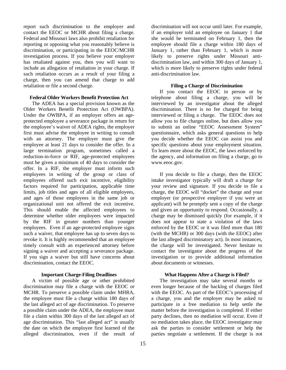report such discrimination to the employer and contact the EEOC or MCHR about filing a charge. Federal and Missouri laws also prohibit retaliation for reporting or opposing what you reasonably believe is discrimination, or participating in the EEOC/MCHR investigation process. If you believe your employer has retaliated against you, then you will want to include an allegation of retaliation in your charge. If such retaliation occurs as a result of your filing a charge, then you can amend that charge to add retaliation or file a second charge.

#### **Federal Older Workers Benefit Protection Act**

 The ADEA has a special provision known as the Older Workers Benefit Protection Act (OWBPA). Under the OWBPA, if an employer offers an ageprotected employee a severance package in return for the employee's waiver of ADEA rights, the employer first must advise the employee in writing to consult with an attorney. The employer must give the employee at least 21 days to consider the offer. In a large termination program, sometimes called a reduction-in-force or RIF, age-protected employees must be given a minimum of 40 days to consider the offer. In a RIF, the employer must inform such employees in writing of the group or class of employees offered such exit incentive, eligibility factors required for participation, applicable time limits, job titles and ages of all eligible employees, and ages of those employees in the same job or organizational unit not offered the exit incentive. This should enable the affected employees to determine whether older employees were impacted by the RIF in greater numbers than younger employees. Even if an age-protected employee signs such a waiver, that employee has up to seven days to revoke it. It is highly recommended that an employee timely consult with an experienced attorney before signing a waiver and accepting a severance package. If you sign a waiver but still have concerns about discrimination, contact the EEOC.

#### **Important Charge-Filing Deadlines**

 A victim of possible age or other prohibited discrimination may file a charge with the EEOC or MCHR. To preserve a possible claim under MHRA, the employee must file a charge within 180 days of the last alleged act of age discrimination. To preserve a possible claim under the ADEA, the employee must file a claim within 300 days of the last alleged act of age discrimination. This "last alleged act" is usually the date on which the employee first learned of the alleged discrimination, even if the result of

discrimination will not occur until later. For example, if an employer told an employee on January 1 that she would be terminated on February 1, then the employee should file a charge within 180 days of January 1, rather than February 1, which is more likely to preserve rights under Missouri antidiscrimination law, and within 300 days of January 1, which is more likely to preserve rights under federal anti-discrimination law.

#### **Filing a Charge of Discrimination**

 If you contact the EEOC in person or by telephone about filing a charge, you will be interviewed by an investigator about the alleged discrimination. There is no fee charged for being interviewed or filing a charge. The EEOC does not allow you to file charges online, but does allow you to submit an online "EEOC Assessment System" questionnaire, which asks general questions to help you decide whether the EEOC can assist you and specific questions about your employment situation. To learn more about the EEOC, the laws enforced by the agency, and information on filing a charge, go to www.eeoc.gov.

 If you decide to file a charge, then the EEOC intake investigator typically will draft a charge for your review and signature. If you decide to file a charge, the EEOC will "docket" the charge and your employer (or prospective employer if you were an applicant) will be promptly sent a copy of the charge and given an opportunity to respond. Occasionally, a charge may be dismissed quickly (for example, if it does not appear to state a violation of the laws enforced by the EEOC or it was filed more than 180 (with the MCHR) or 300 days (with the EEOC) after the last alleged discriminatory act). In most instances, the charge will be investigated. Never hesitate to contact the investigator about the progress of the investigation or to provide additional information about documents or witnesses.

#### **What Happens After a Charge is Filed?**

 The investigation may take several months or even longer because of the backlog of charges filed with the EEOC. As part of the EEOC's processing of a charge, you and the employer may be asked to participate in a free mediation to help settle the matter before the investigation is completed. If either party declines, then no mediation will occur. Even if no mediation takes place, the EEOC investigator may ask the parties to consider settlement or help the parties negotiate a settlement. If the charge is not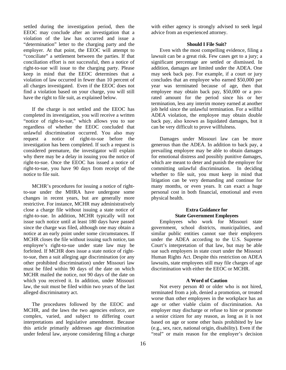settled during the investigation period, then the EEOC may conclude after an investigation that a violation of the law has occurred and issue a "determination" letter to the charging party and the employer. At that point, the EEOC will attempt to "conciliate" a settlement between the parties. If that conciliation effort is not successful, then a notice of right-to-sue will issue to the charging party. Please keep in mind that the EEOC determines that a violation of law occurred in fewer than 10 percent of all charges investigated. Even if the EEOC does not find a violation based on your charge, you will still have the right to file suit, as explained below.

 If the charge is not settled and the EEOC has completed its investigation, you will receive a written "notice of right-to-sue," which allows you to sue regardless of whether the EEOC concluded that unlawful discrimination occurred. You also may request a notice of right-to-sue before the investigation has been completed. If such a request is considered premature, the investigator will explain why there may be a delay in issuing you the notice of right-to-sue. Once the EEOC has issued a notice of right-to-sue, you have 90 days from receipt of the notice to file suit.

 MCHR's procedures for issuing a notice of rightto-sue under the MHRA have undergone some changes in recent years, but are generally more restrictive. For instance, MCHR may administratively close a charge file without issuing a state notice of right-to-sue. In addition, MCHR typically will not issue such notice until at least 180 days have passed since the charge was filed, although one may obtain a notice at an early point under some circumstances. If MCHR closes the file without issuing such notice, tan employee's right-to-sue under state law may be forfeited. If MCHR does issue a state notice of rightto-sue, then a suit alleging age discrimination (or any other prohibited discrimination) under Missouri law must be filed within 90 days of the date on which MCHR mailed the notice, not 90 days of the date on which you received it. In addition, under Missouri law, the suit must be filed within two years of the last alleged discriminatory act.

 The procedures followed by the EEOC and MCHR, and the laws the two agencies enforce, are complex, varied, and subject to differing court interpretations and legislative amendment. Because this article primarily addresses age discrimination under federal law, anyone considering filing a charge with either agency is strongly advised to seek legal advice from an experienced attorney.

#### **Should I File Suit?**

 Even with the most compelling evidence, filing a lawsuit can be a great risk. Few cases get to a jury; a significant percentage are settled or dismissed. In addition, damages are limited under the ADEA. One may seek back pay. For example, if a court or jury concludes that an employee who earned \$50,000 per year was terminated because of age, then that employee may obtain back pay, \$50,000 or a prorated amount for the period since his or her termination, less any interim money earned at another job held since the unlawful termination. For a willful ADEA violation, the employee may obtain double back pay, also known as liquidated damages, but it can be very difficult to prove willfulness.

 Damages under Missouri law can be more generous than the ADEA. In addition to back pay, a prevailing employee may be able to obtain damages for emotional distress and possibly punitive damages, which are meant to deter and punish the employer for committing unlawful discrimination. In deciding whether to file suit, you must keep in mind that litigation can be very demanding and continue for many months, or even years. It can exact a huge personal cost in both financial, emotional and even physical health.

#### **Extra Guidance for State Government Employees**

 Employees who work for Missouri state government, school districts, municipalities, and similar public entities cannot sue their employers under the ADEA according to the U.S. Supreme Court's interpretation of that law, but may be able sue such employers in state court under the Missouri Human Rights Act. Despite this restriction on ADEA lawsuits, state employees still may file charges of age discrimination with either the EEOC or MCHR.

#### **A Word of Caution**

 Not every person 40 or older who is not hired, terminated from a job, denied a promotion, or treated worse than other employees in the workplace has an age or other viable claim of discrimination. An employer may discharge or refuse to hire or promote a senior citizen for any reason, as long as it is not based on age or some other basis prohibited by law (e.g., sex, race, national origin, disability). Even if the "real" or main reason for the employer's decision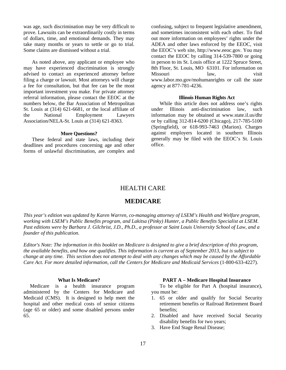was age, such discrimination may be very difficult to prove. Lawsuits can be extraordinarily costly in terms of dollars, time, and emotional demands. They may take many months or years to settle or go to trial. Some claims are dismissed without a trial.

 As noted above, any applicant or employee who may have experienced discrimination is strongly advised to contact an experienced attorney before filing a charge or lawsuit. Most attorneys will charge a fee for consultation, but that fee can be the most important investment you make. For private attorney referral information, please contact the EEOC at the numbers below, the Bar Association of Metropolitan St. Louis at (314) 621-6681, or the local affiliate of the National Employment Lawyers Association/NELA-St. Louis at (314) 621-8363.

#### **More Questions?**

 These federal and state laws, including their deadlines and procedures concerning age and other forms of unlawful discrimination, are complex and

confusing, subject to frequent legislative amendment, and sometimes inconsistent with each other. To find out more information on employees' rights under the ADEA and other laws enforced by the EEOC, visit the EEOC's web site, http://www.eeoc.gov. You may contact the EEOC by calling 314-539-7800 or going in person to its St. Louis office at 1222 Spruce Street, 8th Floor, St. Louis, MO 63101. For information on Missouri law, visit www.labor.mo.gov/mohumanrights or call the state agency at 877-781-4236.

#### **Illinois Human Rights Act**

 While this article does not address one's rights under Illinois anti-discrimination law, such information may be obtained at www.state.il.us/dhr or by calling 312-814-6200 (Chicago), 217-785-5100 (Springfield), or 618-993-7463 (Marion). Charges against employers located in southern Illinois generally may be filed with the EEOC's St. Louis office.

## HEALTH CARE

## **MEDICARE**

*This year's edition was updated by Karen Warren, co-managing attorney of LSEM's Health and Welfare program, working with LSEM's Public Benefits program, and Lakitsa (Pinky) Hunter, a Public Benefits Specialist at LSEM. Past editions were by Barbara J. Gilchrist, J.D., Ph.D., a professor at Saint Louis University School of Law, and a founder of this publication.* 

*Editor's Note: The information in this booklet on Medicare is designed to give a brief description of this program, the available benefits, and how one qualifies. This information is current as of September 2013, but is subject to change at any time. This section does not attempt to deal with any changes which may be caused by the Affordable Care Act. For more detailed information, call the Centers for Medicare and Medicaid Services* (1-800-633-4227).

#### **What Is Medicare?**

 Medicare is a health insurance program administered by the Centers for Medicare and Medicaid (CMS). It is designed to help meet the hospital and other medical costs of senior citizens (age 65 or older) and some disabled persons under 65.

#### **PART A – Medicare Hospital Insurance**

 To be eligible for Part A (hospital insurance), you must be:

- 1. 65 or older and qualify for Social Security retirement benefits or Railroad Retirement Board benefits;
- 2. Disabled and have received Social Security disability benefits for two years;
- 3. Have End Stage Renal Disease;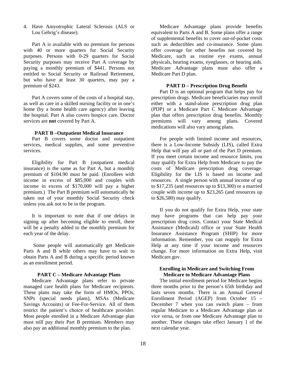4. Have Amyotrophic Lateral Sclerosis (ALS or Lou Gehrig's disease).

 Part A is available with no premium for persons with 40 or more quarters for Social Security purposes. Persons with 0-29 quarters for Social Security purposes may receive Part A coverage by paying a monthly premium of \$441. Persons not entitled to Social Security or Railroad Retirement, but who have at least 30 quarters, may pay a premium of \$243.

 Part A covers some of the costs of a hospital stay, as well as care in a skilled nursing facility or in one's home (by a home health care agency) after leaving the hospital. Part A also covers hospice care. Doctor services are **not** covered by Part A.

#### **PART B –Outpatient Medical Insurance**

 Part B covers some doctor and outpatient services, medical supplies, and some preventive services.

 Eligibility for Part B (outpatient medical insurance) is the same as for Part A, but a monthly premium of \$104.90 must be paid. (Enrollees with income in excess of \$85,000 and couples with income in excess of \$170,000 will pay a higher premium.) The Part B premium will automatically be taken out of your monthly Social Security check unless you ask not to be in the program.

 It is important to note that if one delays in signing up after becoming eligible to enroll, there will be a penalty added to the monthly premium for each year of the delay.

 Some people will automatically get Medicare Parts A and B while others may have to wait to obtain Parts A and B during a specific period known as an enrollment period.

#### **PART C – Medicare Advantage Plans**

 Medicare Advantage plans refer to private managed care health plans for Medicare recipients. These plans may take the form of HMOs, PPOs, SNPs (special needs plans), MSAs (Medicare Savings Accounts) or Fee-For-Service. All of them restrict the patient's choice of healthcare provider. Most people enrolled in a Medicare Advantage plan must still pay their Part B premium. Members may also pay an additional monthly premium to the plan.

 Medicare Advantage plans provide benefits equivalent to Parts A and B. Some plans offer a range of supplemental benefits to cover out-of-pocket costs such as deductibles and co-insurance. Some plans offer coverage for other benefits not covered by Medicare, such as routine eye exams, annual physicals, hearing exams, eyeglasses, or hearing aids. Medicare Advantage plans must also offer a Medicare Part D plan.

#### **PART D – Prescription Drug Benefit**

 Part D is an optional program that helps pay for prescription drugs. Medicare beneficiaries may enroll either with a stand-alone prescription drug plan (PDP) or a Medicare Part C Medicare Advantage plan that offers prescription drug benefits. Monthly premiums will vary among plans. Covered medications will also vary among plans.

 For people with limited income and resources, there is a Low-Income Subsidy (LIS), called Extra Help that will pay all or part of the Part D premium. If you meet certain income and resource limits, you may qualify for Extra Help from Medicare to pay the costs of Medicare prescription drug coverage. Eligibility for the LIS is based on income and resources. A single person with annual income of up to \$17,235 (and resources up to \$13,300) or a married couple with income up to \$23,265 (and resources up to \$26,580) may qualify.

 If you do not qualify for Extra Help, your state may have programs that can help pay your prescription drug costs. Contact your State Medical Assistance (Medicaid) office or your State Health Insurance Assistance Program (SHIP) for more information. Remember, you can reapply for Extra Help at any time if your income and resources change. For more information on Extra Help, visit Medicare.gov.

#### **Enrolling in Medicare and Switching From Medicare to Medicare Advantage Plans**

 The initial enrollment period for Medicare begins three months prior to the person's 65th birthday and lasts seven months. There is an Annual General Enrollment Period (AGEP) from October 15 – December 7 when you can switch plans – from regular Medicare to a Medicare Advantage plan or vice versa, or from one Medicare Advantage plan to another. These changes take effect January 1 of the next calendar year.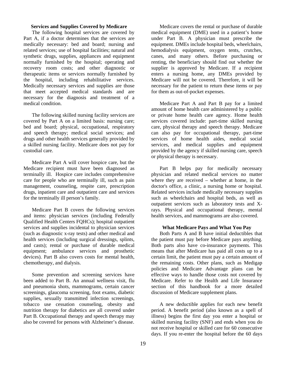#### **Services and Supplies Covered by Medicare**

The following hospital services are covered by Part A, if a doctor determines that the services are medically necessary: bed and board; nursing and related services; use of hospital facilities; natural and synthetic drugs, supplies, appliances and equipment normally furnished by the hospital; operating and recovery room costs; and other diagnostic or therapeutic items or services normally furnished by the hospital, including rehabilitative services. Medically necessary services and supplies are those that meet accepted medical standards and are necessary for the diagnosis and treatment of a medical condition.

 The following skilled nursing facility services are covered by Part A on a limited basis: nursing care; bed and board; physical, occupational, respiratory and speech therapy; medical social services; and drugs and other health services generally provided by a skilled nursing facility. Medicare does not pay for custodial care.

 Medicare Part A will cover hospice care, but the Medicare recipient must have been diagnosed as terminally ill. Hospice care includes comprehensive care for people who are terminally ill, such as pain management, counseling, respite care, prescription drugs, inpatient care and outpatient care and services for the terminally ill person's family.

 Medicare Part B covers the following services and items: physician services (including Federally Qualified Health Centers FQHCs); hospital outpatient services and supplies incidental to physician services (such as diagnostic x-ray tests) and other medical and health services (including surgical dressings, splints, and casts); rental or purchase of durable medical equipment; ambulance services and prosthetic devices). Part B also covers costs for mental health, chemotherapy, and dialysis.

 Some prevention and screening services have been added to Part B. An annual wellness visit, flu and pneumonia shots, mammograms, certain cancer screenings, glaucoma screening, foot exams, diabetic supplies, sexually transmitted infection screenings, tobacco use cessation counseling, obesity and nutrition therapy for diabetics are all covered under Part B. Occupational therapy and speech therapy may also be covered for persons with Alzheimer's disease.

 Medicare covers the rental or purchase of durable medical equipment (DME) used in a patient's home under Part B. A physician must prescribe the equipment. DMEs include hospital beds, wheelchairs, hemodialysis equipment, oxygen tents, crutches, canes, and many others. Before purchasing or renting, the beneficiary should find out whether the supplier is approved by Medicare. If a recipient enters a nursing home, any DMEs provided by Medicare will not be covered. Therefore, it will be necessary for the patient to return these items or pay for them as out-of-pocket expenses.

 Medicare Part A and Part B pay for a limited amount of home health care administered by a public or private home health care agency. Home health services covered include: part-time skilled nursing care, physical therapy and speech therapy. Medicare can also pay for occupational therapy, part-time services of home health aides, medical social services, and medical supplies and equipment provided by the agency if skilled nursing care, speech or physical therapy is necessary.

 Part B helps pay for medically necessary physician and related medical services no matter where they are received – whether at home, in the doctor's office, a clinic, a nursing home or hospital. Related services include medically necessary supplies such as wheelchairs and hospital beds, as well as outpatient services such as laboratory tests and Xrays. Physical and occupational therapy, mental health services, and mammograms are also covered.

#### **What Medicare Pays and What You Pay**

 Both Parts A and B have initial deductibles that the patient must pay before Medicare pays anything. Both parts also have co-insurance payments. This means that after Medicare has paid all costs up to a certain limit, the patient must pay a certain amount of the remaining costs. Other plans, such as Medigap policies and Medicare Advantage plans can be effective ways to handle those costs not covered by Medicare. Refer to the Health and Life Insurance section of this handbook for a more detailed discussion of Medicare supplement plans.

 A new deductible applies for each new benefit period. A benefit period (also known as a spell of illness) begins the first day you enter a hospital or skilled nursing facility (SNF) and ends when you do not receive hospital or skilled care for 60 consecutive days. If you re-enter the hospital before the 60 days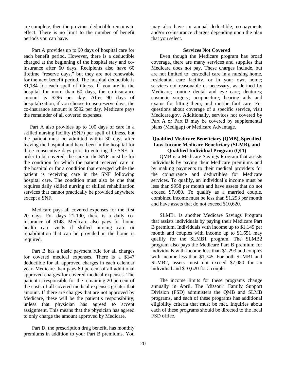are complete, then the previous deductible remains in effect. There is no limit to the number of benefit periods you can have.

 Part A provides up to 90 days of hospital care for each benefit period. However, there is a deductible charged at the beginning of the hospital stay and coinsurance after 60 days. Recipients also have 60 lifetime "reserve days," but they are not renewable for the next benefit period. The hospital deductible is \$1,184 for each spell of illness. If you are in the hospital for more than 60 days, the co-insurance amount is \$296 per day. After 90 days of hospitalization, if you choose to use reserve days, the co-insurance amount is \$592 per day. Medicare pays the remainder of all covered expenses.

 Part A also provides up to 100 days of care in a skilled nursing facility (SNF) per spell of illness, but the patient must be admitted within 30 days after leaving the hospital and have been in the hospital for three consecutive days prior to entering the SNF. In order to be covered, the care in the SNF must be for the condition for which the patient received care in the hospital or for a condition that emerged while the patient is receiving care in the SNF following hospital care. The condition must also be one that requires daily skilled nursing or skilled rehabilitation services that cannot practically be provided anywhere except a SNF.

 Medicare pays all covered expenses for the first 20 days. For days 21-100, there is a daily coinsurance of \$148. Medicare also pays for home health care visits if skilled nursing care or rehabilitation that can be provided in the home is required.

 Part B has a basic payment rule for all charges for covered medical expenses. There is a \$147 deductible for all approved charges in each calendar year. Medicare then pays 80 percent of all additional approved charges for covered medical expenses. The patient is responsible for the remaining 20 percent of the costs of all covered medical expenses greater that amount. If there are charges that are not approved by Medicare, these will be the patient's responsibility, unless that physician has agreed to accept assignment. This means that the physician has agreed to only charge the amount approved by Medicare.

 Part D, the prescription drug benefit, has monthly premiums in addition to your Part B premiums. You

may also have an annual deductible, co-payments and/or co-insurance charges depending upon the plan that you select.

#### **Services Not Covered**

 Even though the Medicare program has broad coverage, there are many services and supplies that Medicare does not pay. These charges include, but are not limited to: custodial care in a nursing home, residential care facility, or in your own home; services not reasonable or necessary, as defined by Medicare; routine dental and eye care; dentures; cosmetic surgery; acupuncture; hearing aids and exams for fitting them; and routine foot care. For questions about coverage of a specific service, visit Medicare.gov. Additionally, services not covered by Part A or Part B may be covered by supplemental plans (Medigap) or Medicare Advantage.

#### **Qualified Medicare Beneficiary (QMB), Specified Low-Income Medicare Beneficiary (SLMB), and Qualified Individual Program (QI1)**

 QMB is a Medicare Savings Program that assists individuals by paying their Medicare premiums and by making payments to their medical providers for the coinsurance and deductibles for Medicare services. To qualify, an individual's income must be less than \$958 per month and have assets that do not exceed \$7,080. To qualify as a married couple, combined income must be less than \$1,293 per month and have assets that do not exceed \$10,620.

 SLMB1 is another Medicare Savings Program that assists individuals by paying their Medicare Part B premium. Individuals with income up to \$1,149 per month and couples with income up to \$1,551 may qualify for the SLMB1 program. The SLMB2 program also pays the Medicare Part B premium for individuals with income less than \$1,293 and couples with income less than \$1,745. For both SLMB1 and SLMB2, assets must not exceed \$7,080 for an individual and \$10,620 for a couple.

 The income limits for these programs change annually in April. The Missouri Family Support Division (FSD) administers the QMB and SLMB programs, and each of these programs has additional eligibility criteria that must be met. Inquiries about each of these programs should be directed to the local FSD office.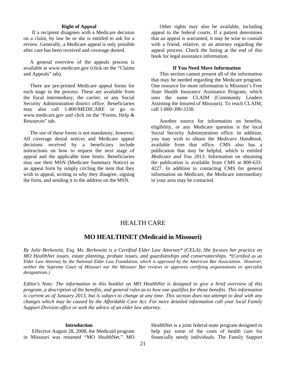#### **Right of Appeal**

 If a recipient disagrees with a Medicare decision on a claim, by law he or she is entitled to ask for a review. Generally, a Medicare appeal is only possible after care has been received and coverage denied.

 A general overview of the appeals process is available at www.medicare.gov (click on the "Claims and Appeals" tab).

 There are pre-printed Medicare appeal forms for each stage in the process. These are available from the fiscal intermediary, the carrier, or any Social Security Administration district office. Beneficiaries may also call 1-800/MEDICARE or go to www.medicare.gov and click on the "Forms, Help & Resources" tab.

 The use of these forms is not mandatory, however. All coverage denial notices and Medicare appeal decisions received by a beneficiary include instructions on how to request the next stage of appeal and the applicable time limits. Beneficiaries may use their MSN (Medicare Summary Notice) as an appeal form by simply circling the item that they wish to appeal, writing in why they disagree, signing the form, and sending it to the address on the MSN.

 Other rights may also be available, including appeal to the federal courts. If a patient determines that an appeal is warranted, it may be wise to consult with a friend, relative, or an attorney regarding the appeal process. Check the listing at the end of this book for legal assistance information.

#### **If You Need More Information**

 This section cannot present all of the information that may be needed regarding the Medicare program. One resource for more information is Missouri's Free State Health Insurance Assistance Program, which uses the name CLAIM (Community Leaders Assisting the Insured of Missouri). To reach CLAIM, call 1-800-390-3330.

 Another source for information on benefits, eligibility, or any Medicare question is the local Social Security Administration office. In addition, you may wish to obtain the *Medicare Handbook*, available from that office. CMS also has a publication that may be helpful, which is entitled *Medicare and You 2013*. Information on obtaining the publication is available from CMS at 800-633- 4227. In addition to contacting CMS for general information on Medicare, the Medicare intermediary in your area may be contacted.

## HEALTH CARE

#### **MO HEALTHNET (Medicaid in Missouri)**

*By Julie Berkowitz, Esq. Ms. Berkowitz is a Certified Elder Law Attorney\* (CELA). She focuses her practice on MO HealthNet issues, estate planning, probate issues, and guardianships and conservatorships. \*(Certified as an Elder Law Attorney by the National Elder Law Foundation, which is approved by the American Bar Association. However, neither the Supreme Court of Missouri nor the Missouri Bar reviews or approves certifying organizations or specialist designations.)* 

*Editor's Note: The information in this booklet on MO HealthNet is designed to give a brief overview of this program, a description of the benefits, and general rules as to how one qualifies for those benefits. This information is current as of January 2013, but is subject to change at any time. This section does not attempt to deal with any changes which may be caused by the Affordable Care Act. For more detailed information call your local Family Support Division office or seek the advice of an elder law attorney.* 

#### **Introduction**

 Effective August 28, 2008, the Medicaid program in Missouri was renamed "MO HealthNet." MO

HealthNet is a joint federal-state program designed to help pay some of the costs of health care for financially needy individuals. The Family Support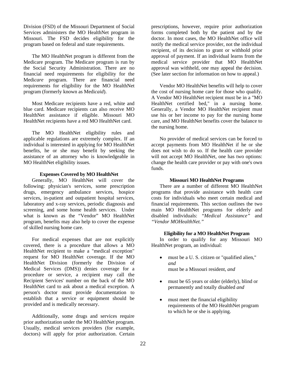Division (FSD) of the Missouri Department of Social Services administers the MO HealthNet program in Missouri. The FSD decides eligibility for the program based on federal and state requirements.

 The MO HealthNet program is different from the Medicare program. The Medicare program is run by the Social Security Administration. There are no financial need requirements for eligibility for the Medi*care* program. There are financial need requirements for eligibility for the MO HealthNet program (formerly known as Medi*caid*).

 Most Medicare recipients have a red, white and blue card. Medicare recipients can also receive MO HealthNet assistance if eligible. Missouri MO HealthNet recipients have a red MO HealthNet card.

 The MO HealthNet eligibility rules and applicable regulations are extremely complex. If an individual is interested in applying for MO HealthNet benefits, he or she may benefit by seeking the assistance of an attorney who is knowledgeable in MO HealthNet eligibility issues.

#### **Expenses Covered by MO HealthNet**

 Generally, MO HealthNet will cover the following: physician's services, some prescription drugs, emergency ambulance services, hospice services, in-patient and outpatient hospital services, laboratory and x-ray services, periodic diagnosis and screening, and some home health services. Under what is known as the "Vendor" MO HealthNet program, benefits may also help to cover the expense of skilled nursing home care.

 For medical expenses that are not explicitly covered, there is a procedure that allows a MO HealthNet recipient to make a "medical exception" request for MO HealthNet coverage. If the MO HealthNet Division (formerly the Division of Medical Services (DMS)) denies coverage for a procedure or service, a recipient may call the Recipient Services' number on the back of the MO HealthNet card to ask about a medical exception. A person's doctor must provide documentation to establish that a service or equipment should be provided and is medically necessary.

 Additionally, some drugs and services require prior authorization under the MO HealthNet program. Usually, medical services providers (for example, doctors) will apply for prior authorization. Certain prescriptions, however, require prior authorization forms completed both by the patient and by the doctor. In most cases, the MO HealthNet office will notify the medical service provider, not the individual recipient, of its decision to grant or withhold prior approval of payment. If an individual learns from the medical service provider that MO HealthNet approval was withheld, one may appeal the decision. (See later section for information on how to appeal.)

 Vendor MO HealthNet benefits will help to cover the cost of nursing home care for those who qualify. A Vendor MO HealthNet recipient must be in a "MO HealthNet certified bed," in a nursing home. Generally, a Vendor MO HealthNet recipient must use his or her income to pay for the nursing home care, and MO HealthNet benefits cover the balance to the nursing home.

 No provider of medical services can be forced to accept payments from MO HealthNet if he or she does not wish to do so. If the health care provider will not accept MO HealthNet, one has two options: change the health care provider or pay with one's own funds.

#### **Missouri MO HealthNet Programs**

 There are a number of different MO HealthNet programs that provide assistance with health care costs for individuals who meet certain medical and financial requirements. This section outlines the two main MO HealthNet programs for elderly and disabled individuals: "*Medical Assistance"* and *"Vendor MOHealthNet."*

#### **Eligibility for a MO HealthNet Program**

 In order to qualify for any Missouri MO HealthNet program, an individual:

- must be a U. S. citizen or "qualified alien," *and* must be a Missouri resident, *and*
- must be 65 years or older (elderly), blind or permanently and totally disabled *and*
- must meet the financial eligibility requirements of the MO HealthNet program to which he or she is applying.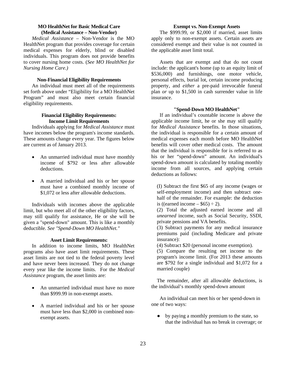#### **MO HealthNet for Basic Medical Care (Medical Assistance – Non-Vendor)**

 *Medical Assistance* – Non-Vendor is the MO HealthNet program that provides coverage for certain medical expenses for elderly, blind or disabled individuals. This program does not provide benefits to cover nursing home costs. (*See MO HealthNet for Nursing Home Care.)*

#### **Non-Financial Eligibility Requirements**

 An individual must meet all of the requirements set forth above under "Eligibility for a MO HealthNet Program" and must also meet certain financial eligibility requirements.

#### **Financial Eligibility Requirements: Income Limit Requirements**

 Individuals applying for *Medical Assistance* must have incomes below the program's income standards. These amounts change every year. The figures below are current as of January 2013.

- An unmarried individual must have monthly income of \$792 or less after allowable deductions.
- A married individual and his or her spouse must have a combined monthly income of \$1,072 or less after allowable deductions.

 Individuals with incomes above the applicable limit, but who meet all of the other eligibility factors, may still qualify for assistance, He or she will be given a "spend-down" amount. This is like a monthly deductible. *See "Spend-Down MO HealthNet."*

#### **Asset Limit Requirements:**

 In addition to income limits, MO HealthNet programs also have asset limit requirements. These asset limits are not tied to the federal poverty level and have never been increased. They do not change every year like the income limits. For the *Medical Assistance* program, the asset limits are:

- An unmarried individual must have no more than \$999.99 in non-exempt assets.
- A married individual and his or her spouse must have less than \$2,000 in combined nonexempt assets.

#### **Exempt vs. Non-Exempt Assets**

 The \$999.99, or \$2,000 if married, asset limits apply only to non-exempt assets. Certain assets are considered exempt and their value is not counted in the applicable asset limit total.

 Assets that are exempt and that do not count include: the applicant's home (up to an equity limit of \$536,000) and furnishings, one motor vehicle, personal effects, burial lot, certain income producing property, and *either* a pre-paid irrevocable funeral plan *or* up to \$1,500 in cash surrender value in life insurance.

#### **"Spend-Down MO HealthNet"**

 If an individual's countable income is above the applicable income limit, he or she may still qualify for *Medical Assistance* benefits. In those situations, the individual is responsible for a certain amount of medical expenses each month before MO HealthNet benefits will cover other medical costs. The amount that the individual is responsible for is referred to as his or her "spend-down" amount. An individual's spend-down amount is calculated by totaling monthly income from all sources, and applying certain deductions as follows:

(I) Subtract the first \$65 of any income (wages or self-employment income) and then subtract onehalf of the remainder. For example: the deduction is ((earned income  $-$  \$65)  $\div$  2).

(2) Total the adjusted earned income and all *unearned* income, such as Social Security, SSDI, private pensions and VA benefits.

(3) Subtract payments for any medical insurance premiums paid (including Medicare and private insurance):

(4) Subtract \$20 (personal income exemption).

(5) Compare the resulting net income to the program's income limit. (For 2013 these amounts are \$792 for a single individual and \$1,072 for a married couple)

The remainder, after all allowable deductions, is the individual's monthly spend-down amount

 An individual can meet his or her spend-down in one of two ways:

● by paying a monthly premium to the state, so that the individual has no break in coverage; or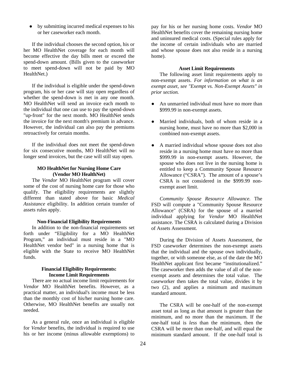● by submitting incurred medical expenses to his or her caseworker each month.

 If the individual chooses the second option, his or her MO HealthNet coverage for each month will become effective the day bills meet or exceed the spend-down amount. (Bills given to the caseworker to meet spend-down will not be paid by MO HealthNet.)

 If the individual is eligible under the spend-down program, his or her case will stay open regardless of whether the spend-down is met in any one month. MO HealthNet will send an invoice each month to the individual that one can use to pay the spend-down "up-front" for the next month. MO HealthNet sends the invoice for the next month's premium in advance. However, the individual can also pay the premiums retroactively for certain months.

 If the individual does not meet the spend-down for six consecutive months, MO HealthNet will no longer send invoices, but the case will still stay open.

#### **MO HealthNet for Nursing Home Care (Vendor MO HealthNet)**

 The *Vendor* MO HealthNet program will cover some of the cost of nursing home care for those who qualify. The eligibility requirements are slightly different than stated above for basic *Medical Assistance* eligibility. In addition certain transfer of assets rules apply.

#### **Non-Financial Eligibility Requirements**

 In addition to the non-financial requirements set forth under "Eligibility for a MO HealthNet Program," an individual must reside in a "MO HealthNet vendor bed" in a nursing home that is eligible with the State to receive MO HealthNet funds.

#### **Financial Eligibility Requirements: Income Limit Requirements**

 There are no actual income limit requirements for *Vendor* MO HealthNet benefits. However, as a practical matter, an individual's income must be less than the monthly cost of his/her nursing home care. Otherwise, MO HealthNet benefits are usually not needed.

 As a general rule, once an individual is eligible for *Vendor* benefits, the individual is required to use his or her income (minus allowable exemptions) to pay for his or her nursing home costs. *Vendor* MO HealthNet benefits cover the remaining nursing home and uninsured medical costs. (Special rules apply for the income of certain individuals who are married and whose spouse does not also reside in a nursing home).

#### **Asset Limit Requirements**

The following asset limit requirements apply to non-exempt assets. *For information on what is an exempt asset, see "Exempt vs. Non-Exempt Assets" in prior section.* 

- An unmarried individual must have no more than \$999.99 in non-exempt assets.
- Married individuals, both of whom reside in a nursing home, must have no more than \$2,000 in combined non-exempt assets.
- A married individual whose spouse does not also reside in a nursing home must have no more than \$999.99 in non-exempt assets. However, the spouse who does not live in the nursing home is entitled to keep a Community Spouse Resource Allowance ("CSRA"). The amount of a spouse's CSRA is not considered in the \$999.99 nonexempt asset limit.

 *Community Spouse Resource Allowance.* The FSD will compute a "Community Spouse Resource Allowance" (CSRA) for the spouse of a married individual applying for *Vendor* MO HealthNet assistance. The CSRA is calculated during a Division of Assets Assessment.

 During the Division of Assets Assessment, the FSD caseworker determines the non-exempt assets that the individual and the spouse own individually, together, or with someone else, as of the date the MO HealthNet applicant first became "institutionalized." The caseworker then adds the value of all of the nonexempt assets and determines the total value. The caseworker then takes the total value, divides it by two (2), and applies a minimum and maximum standard amount.

 The CSRA will be one-half of the non-exempt asset total as long as that amount is greater than the minimum, and no more than the maximum. If the one-half total is *less* than the minimum, then the CSRA will be more than one-half, and will equal the minimum standard amount. If the one-half total is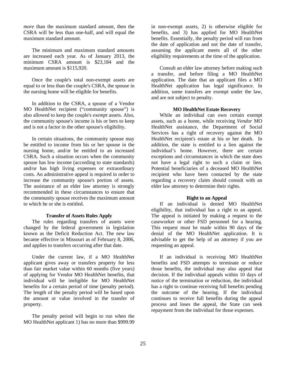*more* than the maximum standard amount, then the CSRA will be less than one-half, and will equal the maximum standard amount.

 The minimum and maximum standard amounts are increased each year. As of January 2013, the minimum CSRA amount is \$23,184 and the maximum amount is \$115,920.

 Once the couple's total non-exempt assets are equal to or less than the couple's CSRA, the spouse in the nursing home will be eligible for benefits.

 In addition to the CSRA, a spouse of a Vendor MO HealthNet recipient ("community spouse") is also allowed to keep the couple's *exempt* assets. Also, the community spouse's income is his or hers to keep and is not a factor in the other spouse's eligibility.

 In certain situations, the community spouse may be entitled to income from his or her spouse in the nursing home, and/or be entitled to an increased CSRA. Such a situation occurs when the community spouse has low income (according to state standards) and/or has high living expenses or extraordinary costs. An administrative appeal is required in order to increase the community spouse's portion of assets. The assistance of an elder law attorney is strongly recommended in these circumstances to ensure that the community spouse receives the maximum amount to which he or she is entitled.

#### **Transfer of Assets Rules Apply**

 The rules regarding transfers of assets were changed by the federal government in legislation known as the Deficit Reduction Act. The new law became effective in Missouri as of February 8, 2006, and applies to transfers occurring after that date.

 Under the current law, if a MO HealthNet applicant gives away or transfers property for less than fair market value within 60 months (five years) of applying for Vendor MO HealthNet benefits, that individual will be ineligible for MO HealthNet benefits for a certain period of time (penalty period). The length of the penalty period will be based upon the amount or value involved in the transfer of property.

 The penalty period will begin to run when the MO HealthNet applicant 1) has no more than \$999.99

in non-exempt assets, 2) is otherwise eligible for benefits, and 3) has applied for MO HealthNet benefits. Essentially, the penalty period will run from the date of application and not the date of transfer, assuming the applicant meets all of the other eligibility requirements at the time of the application.

 Consult an elder law attorney before making such a transfer, and before filing a MO HealthNet application. The date that an applicant files a MO HealthNet application has legal significance. In addition, some transfers are exempt under the law, and are not subject to penalty.

#### **MO HealthNet Estate Recovery**

While an individual can own certain exempt assets, such as a home, while receiving *Vendor* MO HealthNet assistance, the Department of Social Services has a right of recovery against the MO HealthNet recipient's estate at his or her death. In addition, the state is entitled to a lien against the individual's home. However, there are certain exceptions and circumstances in which the state does not have a legal right to such a claim or lien. Potential beneficiaries of a deceased MO HealthNet recipient who have been contacted by the state regarding a recovery claim should consult with an elder law attorney to determine their rights.

#### **Right to an Appeal**

If an individual is denied MO HealthNet eligibility, that individual has a right to an appeal. The appeal is initiated by making a request to the caseworker or other FSD personnel for a hearing. This request must be made within 90 days of the denial of the MO HealthNet application. It is advisable to get the help of an attorney if you are requesting an appeal.

 If an individual is receiving MO HealthNet benefits and FSD attempts to terminate or reduce those benefits, the individual may also appeal that decision. If the individual appeals within 10 days of notice of the termination or reduction, the individual has a right to continue receiving full benefits pending the outcome of the hearing. If the individual continues to receive full benefits during the appeal process and loses the appeal, the State can seek repayment from the individual for those expenses.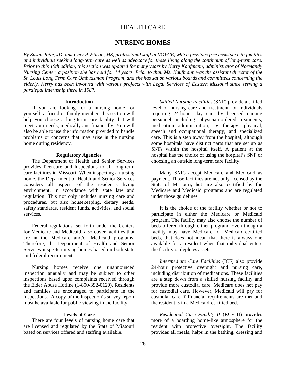## HEALTH CARE

## **NURSING HOMES**

*By Susan Jotte, JD, and Cheryl Wilson, MS, professional staff at VOYCE, which provides free assistance to families and individuals seeking long-term care as well as advocacy for those living along the continuum of long-term care. Prior to this 19th edition, this section was updated for many years by Kerry Kaufmann, administrator of Normandy Nursing Center, a position she has held for 14 years. Prior to that, Ms. Kaufmann was the assistant director of the St. Louis Long Term Care Ombudsman Program, and she has sat on various boards and committees concerning the elderly. Kerry has been involved with various projects with Legal Services of Eastern Missouri since serving a paralegal internship there in 1987.* 

#### **Introduction**

If you are looking for a nursing home for yourself, a friend or family member, this section will help you choose a long-term care facility that will meet your needs, medically and financially. You will also be able to use the information provided to handle problems or concerns that may arise in the nursing home during residency.

#### **Regulatory Agencies**

The Department of Health and Senior Services provides licensure and inspections to all long-term care facilities in Missouri. When inspecting a nursing home, the Department of Health and Senior Services considers all aspects of the resident's living environment, in accordance with state law and regulation. This not only includes nursing care and procedures, but also housekeeping, dietary needs, safety standards, resident funds, activities, and social services.

 Federal regulations, set forth under the Centers for Medicare and Medicaid, also cover facilities that are in the Medicare and/or Medicaid programs. Therefore, the Department of Health and Senior Services inspects nursing homes based on both state and federal requirements.

 Nursing homes receive one unannounced inspection annually and may be subject to other inspections based upon complaints received through the Elder Abuse Hotline (1-800-392-0120). Residents and families are encouraged to participate in the inspections. A copy of the inspection's survey report must be available for public viewing in the facility.

#### **Levels of Care**

 There are four levels of nursing home care that are licensed and regulated by the State of Missouri based on services offered and staffing available.

 *Skilled Nursing Facilities* (SNF) provide a skilled level of nursing care and treatment for individuals requiring 24-hour-a-day care by licensed nursing personnel, including: physician-ordered treatments; medication administration; IV therapy; physical, speech and occupational therapy; and specialized care. This is a step away from the hospital, although some hospitals have distinct parts that are set up as SNFs within the hospital itself. A patient at the hospital has the choice of using the hospital's SNF or choosing an outside long-term care facility.

 Many SNFs accept Medicare and Medicaid as payment. Those facilities are not only licensed by the State of Missouri, but are also certified by the Medicare and Medicaid programs and are regulated under those guidelines.

 It is the choice of the facility whether or not to participate in either the Medicare or Medicaid program. The facility may also choose the number of beds offered through either program. Even though a facility may have Medicare- or Medicaid-certified beds, that does not mean that there is always one available for a resident when that individual enters the facility or depletes assets.

 *Intermediate Care Facilities* (ICF) also provide 24-hour protective oversight and nursing care, including distribution of medications. These facilities are a step down from a skilled nursing facility and provide more custodial care. Medicare does not pay for custodial care. However, Medicaid will pay for custodial care if financial requirements are met and the resident is in a Medicaid-certified bed.

 *Residential Care Facility II* (RCF II) provides more of a boarding home-like atmosphere for the resident with protective oversight. The facility provides all meals, helps in the bathing, dressing and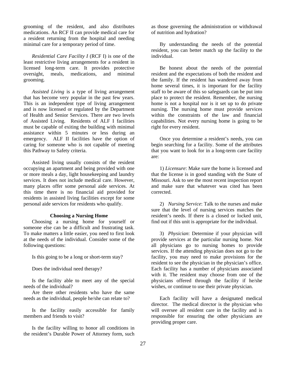grooming of the resident, and also distributes medications. An RCF II can provide medical care for a resident returning from the hospital and needing minimal care for a temporary period of time.

 *Residential Care Facility I* (RCF I) is one of the least restrictive living arrangements for a resident in licensed long-term care. It provides protective oversight, meals, medications, and minimal grooming.

 *Assisted Living* is a type of living arrangement that has become very popular in the past few years. This is an independent type of living arrangement and is now licensed or regulated by the Department of Health and Senior Services. There are two levels of Assisted Living. Residents of ALF I facilities must be capable of exiting the building with minimal assistance within 5 minutes or less during an emergency. ALF II facilities have the option of caring for someone who is not capable of meeting this Pathway to Safety criteria.

 Assisted living usually consists of the resident occupying an apartment and being provided with one or more meals a day, light housekeeping and laundry services. It does not include medical care. However, many places offer some personal aide services. At this time there is no financial aid provided for residents in assisted living facilities except for some personal aide services for residents who qualify.

#### **Choosing a Nursing Home**

 Choosing a nursing home for yourself or someone else can be a difficult and frustrating task. To make matters a little easier, you need to first look at the needs of the individual. Consider some of the following questions:

Is this going to be a long or short-term stay?

Does the individual need therapy?

 Is the facility able to meet any of the special needs of the individual?

 Are there other residents who have the same needs as the individual, people he/she can relate to?

 Is the facility easily accessible for family members and friends to visit?

 Is the facility willing to honor all conditions in the resident's Durable Power of Attorney form, such as those governing the administration or withdrawal of nutrition and hydration?

 By understanding the needs of the potential resident, you can better match up the facility to the individual.

 Be honest about the needs of the potential resident and the expectations of both the resident and the family. If the resident has wandered away from home several times, it is important for the facility staff to be aware of this so safeguards can be put into place to protect the resident. Remember, the nursing home is not a hospital nor is it set up to do private nursing. The nursing home must provide services within the constraints of the law and financial capabilities. Not every nursing home is going to be right for every resident.

 Once you determine a resident's needs, you can begin searching for a facility. Some of the attributes that you want to look for in a long-term care facility are:

 1) *Licensure*: Make sure the home is licensed and that the license is in good standing with the State of Missouri. Ask to see the most recent inspection report and make sure that whatever was cited has been corrected.

 2) *Nursing Service*: Talk to the nurses and make sure that the level of nursing services matches the resident's needs. If there is a closed or locked unit, find out if this unit is appropriate for the individual.

 3) *Physician*: Determine if your physician will provide services at the particular nursing home. Not all physicians go to nursing homes to provide services. If the attending physician does not go to the facility, you may need to make provisions for the resident to see the physician in the physician's office. Each facility has a number of physicians associated with it. The resident may choose from one of the physicians offered through the facility if he/she wishes, or continue to use their private physician.

 Each facility will have a designated medical director. The medical director is the physician who will oversee all resident care in the facility and is responsible for ensuring the other physicians are providing proper care.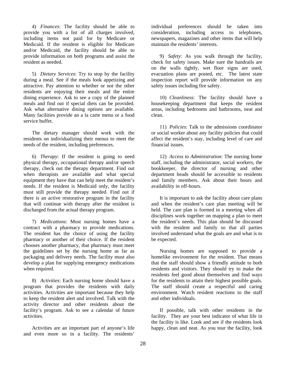4) *Finances*: The facility should be able to provide you with a list of all charges involved, including items not paid for by Medicare or Medicaid. If the resident is eligible for Medicare and/or Medicaid, the facility should be able to provide information on both programs and assist the resident as needed.

 5) *Dietary Services*: Try to stop by the facility during a meal. See if the meals look appetizing and attractive. Pay attention to whether or not the other residents are enjoying their meals and the entire dining experience. Ask to see a copy of the planned meals and find out if special diets can be provided. Ask what alternative dining options are available. Many facilities provide an a la carte menu or a food service buffet.

 The dietary manager should work with the residents on individualizing their menus to meet the needs of the resident, including preferences.

 6) *Therapy*: If the resident is going to need physical therapy, occupational therapy and/or speech therapy, check out the therapy department. Find out when therapists are available and what special equipment they have that can help meet the resident's needs. If the resident is Medicaid only, the facility must still provide the therapy needed. Find out if there is an active restorative program in the facility that will continue with therapy after the resident is discharged from the actual therapy program.

 7) *Medications*: Most nursing homes have a contract with a pharmacy to provide medications. The resident has the choice of using the facility pharmacy or another of their choice. If the resident chooses another pharmacy, that pharmacy must meet the guidelines set by the nursing home as far as packaging and delivery needs. The facility must also develop a plan for supplying emergency medications when required.

 8) *Activities*: Each nursing home should have a program that provides the residents with daily activities. Activities are important because they help to keep the resident alert and involved. Talk with the activity director and other residents about the facility's program. Ask to see a calendar of future activities.

 Activities are an important part of anyone's life and even more so in a facility. The residents'

individual preferences should be taken into consideration, including access to telephones, newspapers, magazines and other items that will help maintain the residents' interests.

 9) *Safety*: As you walk through the facility, check for safety issues. Make sure the handrails are on the walls tightly, wet floor signs are used, evacuation plans are posted, etc. The latest state inspection report will provide information on any safety issues including fire safety.

 10) *Cleanliness*: The facility should have a housekeeping department that keeps the resident areas, including bedrooms and bathrooms, neat and clean.

 11) *Policies*: Talk to the admissions coordinator or social worker about any facility policies that could affect the resident's stay, including level of care and financial issues.

 12) *Access to Administration*: The nursing home staff, including the administrator, social workers, the bookkeeper, the director of nursing and other department heads should be accessible to residents and family members. Ask about their hours and availability in off-hours.

 It is important to ask the facility about care plans and when the resident's care plan meeting will be held. The care plan is formed in a meeting when all disciplines work together on mapping a plan to meet the resident's needs. This plan should be discussed with the resident and family so that all parties involved understand what the goals are and what is to be expected.

 Nursing homes are supposed to provide a homelike environment for the resident. That means that the staff should show a friendly attitude to both residents and visitors. They should try to make the residents feel good about themselves and find ways for the residents to attain their highest possible goals. The staff should create a respectful and caring environment. Watch resident reactions to the staff and other individuals.

 If possible, talk with other residents in the facility. They are your best indicator of what life in the facility is like. Look and see if the residents look happy, clean and neat. As you tour the facility, look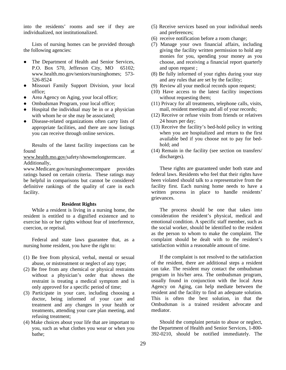into the residents' rooms and see if they are individualized, not institutionalized.

 Lists of nursing homes can be provided through the following agencies:

- The Department of Health and Senior Services, P.O. Box 570, Jefferson City, MO 65102; www.health.mo.gov/seniors/nursinghomes; 573- 526-8524
- Missouri Family Support Division, your local office;
- Area Agency on Aging, your local office;
- Ombudsman Program, your local office:
- Hospital the individual may be in or a physician with whom he or she may be associated;
- Disease-related organizations often carry lists of appropriate facilities, and there are now listings you can receive through online services.

Results of the latest facility inspections can be found at a set of  $\alpha$  at  $\alpha$ 

www.health.mo.gov/safety/showmelongtermcare. Additionally,

www.Medicare.gov/nursinghomecompare provides ratings based on certain criteria. These ratings may be helpful in comparisons but cannot be considered definitive rankings of the quality of care in each facility.

#### **Resident Rights**

 While a resident is living in a nursing home, the resident is entitled to a dignified existence and to exercise his or her rights without fear of interference, coercion, or reprisal.

 Federal and state laws guarantee that, as a nursing home resident, you have the right to:

- (1) Be free from physical, verbal, mental or sexual abuse, or mistreatment or neglect of any type;
- (2) Be free from any chemical or physical restraints without a physician's order that shows the restraint is treating a medical symptom and is only approved for a specific period of time;
- (3) Participate in your care, including choosing a doctor, being informed of your care and treatment and any changes in your health or treatments, attending your care plan meeting, and refusing treatment;
- (4) Make choices about your life that are important to you, such as what clothes you wear or when you bathe;
- (5) Receive services based on your individual needs and preferences;
- (6) receive notification before a room change;
- (7) Manage your own financial affairs, including giving the facility written permission to hold any monies for you, spending your money as you choose, and receiving a financial report quarterly and upon request ;
- (8) Be fully informed of your rights during your stay and any rules that are set by the facility;
- (9) Review all your medical records upon request;
- (10) Have access to the latest facility inspections without requesting them;
- (11) Privacy for all treatments, telephone calls, visits, mail, resident meetings and all of your records;
- (12) Receive or refuse visits from friends or relatives 24 hours per day;
- (13) Receive the facility's bed-hold policy in writing when you are hospitalized and return to the first available bed if you choose not to pay for bedhold; and
- (14) Remain in the facility (see section on transfers/ discharges).

 These rights are guaranteed under both state and federal laws. Residents who feel that their rights have been violated should talk to a representative from the facility first. Each nursing home needs to have a written process in place to handle residents' grievances.

 The process should be one that takes into consideration the resident's physical, medical and emotional condition. A specific staff member, such as the social worker, should be identified to the resident as the person to whom to make the complaint. The complaint should be dealt with to the resident's satisfaction within a reasonable amount of time.

 If the complaint is not resolved to the satisfaction of the resident, there are additional steps a resident can take. The resident may contact the ombudsman program in his/her area. The ombudsman program, usually found in conjunction with the local Area Agency on Aging, can help mediate between the resident and the facility to find an adequate solution. This is often the best solution, in that the Ombudsman is a trained resident advocate and mediator.

 Should the complaint pertain to abuse or neglect, the Department of Health and Senior Services, 1-800- 392-0210, should be notified immediately. The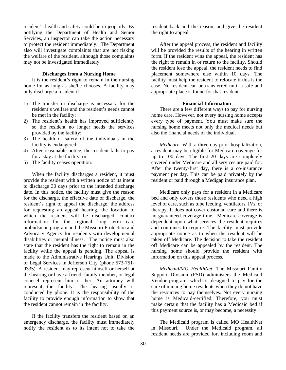resident's health and safety could be in jeopardy. By notifying the Department of Health and Senior Services, an inspector can take the action necessary to protect the resident immediately. The Department also will investigate complaints that are not risking the welfare of the resident, although those complaints may not be investigated immediately.

#### **Discharges from a Nursing Home**

 It is the resident's right to remain in the nursing home for as long as she/he chooses. A facility may only discharge a resident if:

- 1) The transfer or discharge is necessary for the resident's welfare and the resident's needs cannot be met in the facility;
- 2) The resident's health has improved sufficiently so the resident no longer needs the services provided by the facility;
- 3) The health or safety of the individuals in the facility is endangered;
- 4) After reasonable notice, the resident fails to pay for a stay at the facility; or
- 5) The facility ceases operation.

 When the facility discharges a resident, it must provide the resident with a written notice of its intent to discharge 30 days prior to the intended discharge date. In this notice, the facility must give the reason for the discharge, the effective date of discharge, the resident's right to appeal the discharge, the address for requesting an appeal hearing, the location to which the resident will be discharged, contact information for the regional long term care ombudsman program and the Missouri Protection and Advocacy Agency for residents with developmental disabilities or mental illness. The notice must also state that the resident has the right to remain in the facility while the appeal is pending. The appeal is made to the Administrative Hearings Unit, Division of Legal Services in Jefferson City (phone 573-751- 0335). A resident may represent himself or herself at the hearing or have a friend, family member, or legal counsel represent him or her. An attorney will represent the facility. The hearing usually is conducted by phone. It is the responsibility of the facility to provide enough information to show that the resident cannot remain in the facility.

 If the facility transfers the resident based on an emergency discharge, the facility must immediately notify the resident as to its intent not to take the resident back and the reason, and give the resident the right to appeal.

 After the appeal process, the resident and facility will be provided the results of the hearing in written form. If the resident wins the appeal, the resident has the right to remain in or return to the facility. Should the resident lose the appeal, the resident needs to find placement somewhere else within 10 days. The facility must help the resident to relocate if this is the case. No resident can be transferred until a safe and appropriate place is found for that resident.

#### **Financial Information**

 There are a few different ways to pay for nursing home care. However, not every nursing home accepts every type of payment. You must make sure the nursing home meets not only the medical needs but also the financial needs of the individual.

 *Medicare*: With a three-day prior hospitalization, a resident may be eligible for Medicare coverage for up to 100 days. The first 20 days are completely covered under Medicare and all services are paid for. After the twenty-first day, there is a co-insurance payment per day. This can be paid privately by the resident or paid through a Medigap insurance plan.

 Medicare only pays for a resident in a Medicare bed and only covers those residents who need a high level of care, such as tube feeding, ventilators, IVs, or therapy. It does not cover custodial care and there is no guaranteed coverage time. Medicare coverage is dependent upon what services the resident requires and continues to require. The facility must provide appropriate notice as to when the resident will be taken off Medicare. The decision to take the resident off Medicare can be appealed by the resident. The nursing home should provide the resident with information on this appeal process.

 *Medicaid/MO HealthNet*: The Missouri Family Support Division (FSD) administers the Medicaid Vendor program, which is designed to pay for the care of nursing home residents when they do not have the resources to pay themselves. Not every nursing home is Medicaid-certified. Therefore, you must make certain that the facility has a Medicaid bed if this payment source is, or may become, a necessity.

 The Medicaid program is called MO HealthNet in Missouri. Under the Medicaid program, all resident needs are provided for, including room and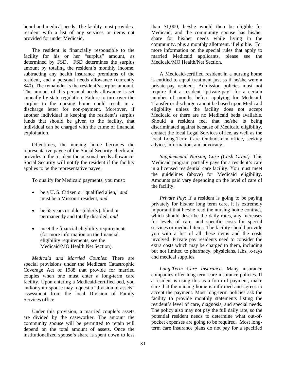board and medical needs. The facility must provide a resident with a list of any services or items not provided for under Medicaid.

 The resident is financially responsible to the facility for his or her "surplus" amount, as determined by FSD. FSD determines the surplus amount by totaling the resident's monthly income, subtracting any health insurance premiums of the resident, and a personal needs allowance (currently \$40). The remainder is the resident's surplus amount. The amount of this personal needs allowance is set annually by state regulation. Failure to turn over the surplus to the nursing home could result in a discharge letter for non-payment. Moreover, if another individual is keeping the resident's surplus funds that should be given to the facility, that individual can be charged with the crime of financial exploitation.

 Oftentimes, the nursing home becomes the representative payee of the Social Security check and provides to the resident the personal needs allowance. Social Security will notify the resident if the facility applies to be the representative payee.

To qualify for Medicaid payments, you must:

- be a U. S. Citizen or "qualified alien," *and* must be a Missouri resident, *and*
- be 65 years or older (elderly), blind or permanently and totally disabled, *and*
- meet the financial eligibility requirements (for more information on the financial eligibility requirements, see the Medicaid/MO Health Net Section).

 *Medicaid and Married Couples*: There are special provisions under the Medicare Catastrophic Coverage Act of 1988 that provide for married couples when one must enter a long-term care facility. Upon entering a Medicaid-certified bed, you and/or your spouse may request a "division of assets" assessment from the local Division of Family Services office.

 Under this provision, a married couple's assets are divided by the caseworker. The amount the community spouse will be permitted to retain will depend on the total amount of assets. Once the institutionalized spouse's share is spent down to less than \$1,000, he/she would then be eligible for Medicaid, and the community spouse has his/her share for his/her needs while living in the community, plus a monthly allotment, if eligible. For more information on the special rules that apply to married Medicaid applicants, please see the Medicaid/MO Health/Net Section.

 A Medicaid-certified resident in a nursing home is entitled to equal treatment just as if he/she were a private-pay resident. Admission policies must not require that a resident "private-pay" for a certain number of months before applying for Medicaid. Transfer or discharge cannot be based upon Medicaid eligibility unless the facility does not accept Medicaid or there are no Medicaid beds available. Should a resident feel that he/she is being discriminated against because of Medicaid eligibility, contact the local Legal Services office, as well as the local Long-Term Care Ombudsman office, seeking advice, information, and advocacy.

 *Supplemental Nursing Care (Cash Grant)*: This Medicaid program partially pays for a resident's care in a licensed residential care facility. You must meet the guidelines (above) for Medicaid eligibility. Amounts paid vary depending on the level of care of the facility.

*Private Pay*: If a resident is going to be paying privately for his/her long term care, it is extremely important that he/she read the nursing home contract, which should describe the daily rates, any increases for levels of care, and specific costs for special services or medical items. The facility should provide you with a list of all these items and the costs involved. Private pay residents need to consider the extra costs which may be charged to them, including but not limited to pharmacy, physicians, labs, x-rays and medical supplies.

 *Long-Term Care Insurance*: Many insurance companies offer long-term care insurance policies. If a resident is using this as a form of payment, make sure that the nursing home is informed and agrees to accept the payment. Most long-term policies ask the facility to provide monthly statements listing the resident's level of care, diagnosis, and special needs. The policy also may not pay the full daily rate, so the potential resident needs to determine what out-ofpocket expenses are going to be required. Most longterm care insurance plans do not pay for a specified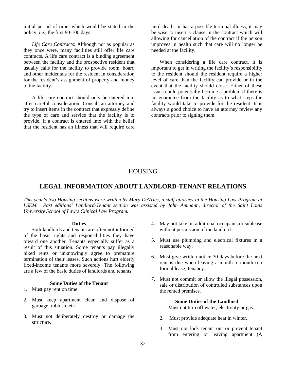initial period of time, which would be stated in the policy, *i.e.,* the first 90-100 days.

 *Life Care Contracts*: Although not as popular as they once were, many facilities still offer life care contracts. A life care contract is a binding agreement between the facility and the prospective resident that usually calls for the facility to provide room, board and other incidentals for the resident in consideration for the resident's assignment of property and money to the facility.

 A life care contract should only be entered into after careful consideration. Consult an attorney and try to insert items in the contract that expressly define the type of care and service that the facility is to provide. If a contract is entered into with the belief that the resident has an illness that will require care

until death, or has a possible terminal illness, it may be wise to insert a clause in the contract which will allowing for cancellation of the contract if the person improves in health such that care will no longer be needed at the facility.

 When considering a life care contract, it is important to get in writing the facility's responsibility to the resident should the resident require a higher level of care than the facility can provide or in the event that the facility should close. Either of these issues could potentially become a problem if there is no guarantee from the facility as to what steps the facility would take to provide for the resident. It is always a good choice to have an attorney review any contracts prior to signing them.

## HOUSING

## **LEGAL INFORMATION ABOUT LANDLORD-TENANT RELATIONS**

*This year's two Housing sections were written by Mary DeVries, a staff attorney in the Housing Law Program at LSEM. Past editions' Landlord-Tenant section was assisted by John Ammann, director of the Saint Louis University School of Law's Clinical Law Program.* 

#### **Duties**

 Both landlords and tenants are often not informed of the basic rights and responsibilities they have toward one another. Tenants especially suffer as a result of this situation. Some tenants pay illegally hiked rents or unknowingly agree to premature termination of their leases. Such actions hurt elderly fixed-income tenants more severely. The following are a few of the basic duties of landlords and tenants.

#### **Some Duties of the Tenant**

- 1. Must pay rent on time.
- 2. Must keep apartment clean and dispose of garbage, rubbish, etc.
- 3. Must not deliberately destroy or damage the structure.
- 4. May not take on additional occupants or sublease without permission of the landlord.
- 5. Must use plumbing and electrical fixtures in a reasonable way.
- 6. Must give written notice 30 days before the next rent is due when leaving a month-to-month (no formal lease) tenancy.
- 7. Must not commit or allow the illegal possession, sale or distribution of controlled substances upon the rented premises.

#### **Some Duties of the Landlord**

- 1. Must not turn off water, electricity or gas.
- 2. Must provide adequate heat in winter.
- 3. Must not lock tenant out or prevent tenant from entering or leaving apartment (A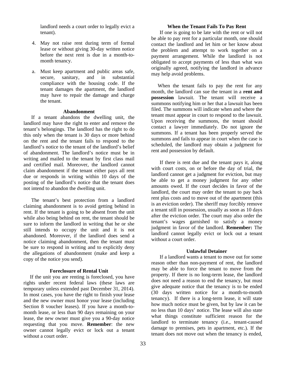landlord needs a court order to legally evict a tenant).

- 4. May not raise rent during term of formal lease or without giving 30-day written notice before the next rent is due in a month-tomonth tenancy.
- a. Must keep apartment and public areas safe, secure, sanitary, and in substantial compliance with the housing code. If the tenant damages the apartment, the landlord may have to repair the damage and charge the tenant.

### **Abandonment**

 If a tenant abandons the dwelling unit, the landlord may have the right to enter and remove the tenant's belongings. The landlord has the right to do this only when the tenant is 30 days or more behind on the rent and the tenant fails to respond to the landlord's notice to the tenant of the landlord's belief of abandonment. The landlord's notice must be in writing and mailed to the tenant by first class mail and certified mail. Moreover, the landlord cannot claim abandonment if the tenant either pays all rent due or responds in writing within 10 days of the posting of the landlord's notice that the tenant does not intend to abandon the dwelling unit.

 The tenant's best protection from a landlord claiming abandonment is to avoid getting behind in rent. If the tenant is going to be absent from the unit while also being behind on rent, the tenant should be sure to inform the landlord in writing that he or she still intends to occupy the unit and it is not abandoned. Moreover, if the landlord does send a notice claiming abandonment, then the tenant must be sure to respond in writing and to explicitly deny the allegations of abandonment (make and keep a copy of the notice you send).

#### **Foreclosure of Rental Unit**

 If the unit you are renting is foreclosed, you have rights under recent federal laws (these laws are temporary unless extended past December 31, 2014). In most cases, you have the right to finish your lease and the new owner must honor your lease (including Section 8 voucher leases). If you have a month-tomonth lease, or less than 90 days remaining on your lease, the new owner must give you a 90-day notice requesting that you move. **Remember**: the new owner cannot legally evict or lock out a tenant without a court order.

# **When the Tenant Fails To Pay Rent**

 If one is going to be late with the rent or will not be able to pay rent for a particular month, one should contact the landlord and let him or her know about the problem and attempt to work together on a payment arrangement. While the landlord is not obligated to accept payments of less than what was originally agreed, notifying the landlord in advance may help avoid problems.

 When the tenant fails to pay the rent for any month, the landlord can sue the tenant in a **rent and possession** lawsuit. The tenant will receive a summons notifying him or her that a lawsuit has been filed. The summons will indicate when and where the tenant must appear in court to respond to the lawsuit. Upon receiving the summons, the tenant should contact a lawyer immediately. Do not ignore the summons. If a tenant has been properly served the summons and fails to appear in court when the case is scheduled, the landlord may obtain a judgment for rent and possession by default.

 If there is rent due and the tenant pays it, along with court costs, on or before the day of trial, the landlord cannot get a judgment for eviction, but may be able to get a money judgment for any other amounts owed. If the court decides in favor of the landlord, the court may order the tenant to pay back rent plus costs and to move out of the apartment (this is an eviction order). The sheriff may forcibly remove a tenant still in possession, usually as soon as 10 days after the eviction order. The court may also order the tenant's wages garnished to satisfy a money judgment in favor of the landlord. **Remember:** The landlord cannot legally evict or lock out a tenant without a court order.

#### **Unlawful Detainer**

If a landlord wants a tenant to move out for some reason other than non-payment of rent, the landlord may be able to force the tenant to move from the property. If there is no long-term lease, the landlord does not need a reason to end the tenancy, but must give adequate notice that the tenancy is to be ended (30 days written notice for a month-to-month tenancy). If there is a long-term lease, it will state how much notice must be given, but by law it can be no less than 10 days' notice. The lease will also state what things constitute sufficient reason for the landlord to terminate tenancy (i.e., tenant-caused damage to premises, pets in apartment, etc.). If the tenant does not move out when the tenancy is ended,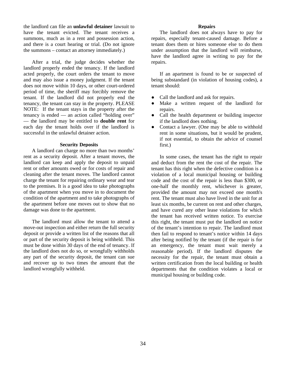the landlord can file an **unlawful detainer** lawsuit to have the tenant evicted. The tenant receives a summons, much as in a rent and possession action, and there is a court hearing or trial. (Do not ignore the summons – contact an attorney immediately.)

 After a trial, the judge decides whether the landlord properly ended the tenancy. If the landlord acted properly, the court orders the tenant to move and may also issue a money judgment. If the tenant does not move within 10 days, or other court-ordered period of time, the sheriff may forcibly remove the tenant. If the landlord did not properly end the tenancy, the tenant can stay in the property. PLEASE NOTE: If the tenant stays in the property after the tenancy is ended — an action called "holding over" — the landlord may be entitled to **double rent** for each day the tenant holds over if the landlord is successful in the unlawful detainer action.

#### **Security Deposits**

A landlord can charge no more than two months' rent as a security deposit. After a tenant moves, the landlord can keep and apply the deposit to unpaid rent or other amounts owed or for costs of repair and cleaning after the tenant moves. The landlord cannot charge the tenant for repairing ordinary wear and tear to the premises. It is a good idea to take photographs of the apartment when you move in to document the condition of the apartment and to take photographs of the apartment before one moves out to show that no damage was done to the apartment.

 The landlord must allow the tenant to attend a move-out inspection and either return the full security deposit or provide a written list of the reasons that all or part of the security deposit is being withheld. This must be done within 30 days of the end of tenancy. If the landlord does not do so, or wrongfully withholds any part of the security deposit, the tenant can sue and recover up to two times the amount that the landlord wrongfully withheld.

#### **Repairs**

 The landlord does not always have to pay for repairs, especially tenant-caused damage. Before a tenant does them or hires someone else to do them under assumption that the landlord will reimburse, have the landlord agree in writing to pay for the repairs.

If an apartment is found to be or suspected of being substandard (in violation of housing codes), a tenant should:

- Call the landlord and ask for repairs.
- Make a written request of the landlord for repairs.
- Call the health department or building inspector if the landlord does nothing.
- Contact a lawyer. (One may be able to withhold rent in some situations, but it would be prudent, if not essential, to obtain the advice of counsel first.)

 In some cases, the tenant has the right to repair and deduct from the rent the cost of the repair. The tenant has this right when the defective condition is a violation of a local municipal housing or building code and the cost of the repair is less than \$300, or one-half the monthly rent, whichever is greater, provided the amount may not exceed one month's rent. The tenant must also have lived in the unit for at least six months, be current on rent and other charges, and have cured any other lease violations for which the tenant has received written notice. To exercise this right, the tenant must put the landlord on notice of the tenant's intention to repair. The landlord must then fail to respond to tenant's notice within 14 days after being notified by the tenant (if the repair is for an emergency, the tenant must wait merely a reasonable period). If the landlord disputes the necessity for the repair, the tenant must obtain a written certification from the local building or health departments that the condition violates a local or municipal housing or building code.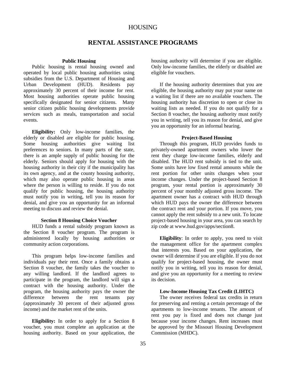# HOUSING

# **RENTAL ASSISTANCE PROGRAMS**

#### **Public Housing**

Public housing is rental housing owned and operated by local public housing authorities using subsidies from the U.S. Department of Housing and Urban Development (HUD). Residents pay approximately 30 percent of their income for rent. Most housing authorities operate public housing specifically designated for senior citizens. Many senior citizen public housing developments provide services such as meals, transportation and social events.

 **Eligibility:** Only low-income families, the elderly or disabled are eligible for public housing. Some housing authorities give waiting list preferences to seniors. In many parts of the state, there is an ample supply of public housing for the elderly. Seniors should apply for housing with the housing authority in their city if the municipality has its own agency, and at the county housing authority, which may also operate public housing in areas where the person is willing to reside. If you do not qualify for public housing, the housing authority must notify you in writing, tell you its reason for denial, and give you an opportunity for an informal meeting to discuss and review the denial.

#### **Section 8 Housing Choice Voucher**

HUD funds a rental subsidy program known as the Section 8 voucher program. The program is administered locally by housing authorities or community action corporations.

 This program helps low-income families and individuals pay their rent. Once a family obtains a Section 8 voucher, the family takes the voucher to any willing landlord. If the landlord agrees to participate in the program, the landlord will sign a contract with the housing authority. Under the program, the housing authority pays the owner the difference between the rent tenants pay (approximately 30 percent of their adjusted gross income) and the market rent of the units.

 **Eligibility:** In order to apply for a Section 8 voucher, you must complete an application at the housing authority. Based on your application, the housing authority will determine if you are eligible. Only low-income families, the elderly or disabled are eligible for vouchers.

 If the housing authority determines that you are eligible, the housing authority may put your name on a waiting list if there are no available vouchers. The housing authority has discretion to open or close its waiting lists as needed. If you do not qualify for a Section 8 voucher, the housing authority must notify you in writing, tell you its reason for denial, and give you an opportunity for an informal hearing.

#### **Project-Based Housing**

Through this program, HUD provides funds to privately-owned apartment owners who lower the rent they charge low-income families, elderly and disabled. The HUD rent subsidy is tied to the unit. Some units have low fixed rental amounts while the rent portion for other units changes when your income changes. Under the project-based Section 8 program, your rental portion is approximately 30 percent of your monthly adjusted gross income. The apartment owner has a contract with HUD through which HUD pays the owner the difference between the contract rent and your portion. If you move, you cannot apply the rent subsidy to a new unit. To locate project-based housing in your area, you can search by zip code at www.hud.gov/apps/section8.

 **Eligibility**: In order to apply, you need to visit the management office for the apartment complex that interests you. Based on your application, the owner will determine if you are eligible. If you do not qualify for project-based housing, the owner must notify you in writing, tell you its reason for denial, and give you an opportunity for a meeting to review its decision.

### **Low-Income Housing Tax Credit (LIHTC)**

The owner receives federal tax credits in return for preserving and renting a certain percentage of the apartments to low-income tenants. The amount of rent you pay is fixed and does not change just because your income changes. Rent increases must be approved by the Missouri Housing Development Commission (MHDC).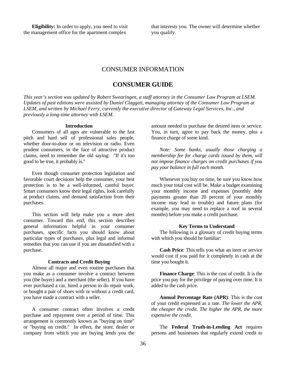**Eligibility:** In order to apply, you need to visit the management office for the apartment complex

that interests you. The owner will determine whether you qualify.

# CONSUMER INFORMATION

# **CONSUMER GUIDE**

*This year's section was updated by Robert Swearingen, a staff attorney in the Consumer Law Program at LSEM. Updates of past editions were assisted by Daniel Claggett, managing attorney of the Consumer Law Program at LSEM, and written by Michael Ferry, currently the executive director of Gateway Legal Services, Inc., and previously a long-time attorney with LSEM.* 

#### **Introduction**

 Consumers of all ages are vulnerable to the fast pitch and hard sell of professional sales people, whether door-to-door or on television or radio. Even prudent consumers, in the face of attractive product claims, need to remember the old saying: "If it's too good to be true, it probably is."

 Even though consumer protection legislation and favorable court decisions help the consumer, your best protection is to be a well-informed, careful buyer. Smart consumers know their legal rights, look carefully at product claims, and demand satisfaction from their purchases.

 This section will help make you a more alert consumer. Toward this end, this section describes general information helpful in your consumer purchases, specific facts you should know about particular types of purchases, plus legal and informal remedies that you can use if you are dissatisfied with a purchase.

### **Contracts and Credit Buying**

 Almost all major and even routine purchases that you make as a consumer involve a contract between you (the buyer) and a merchant (the seller). If you have ever purchased a car, hired a person to do repair work, or bought a pair of shoes with or without a credit card, you have made a contract with a seller.

 A consumer contract often involves a credit purchase and repayment over a period of time. This arrangement is commonly known as "buying on time" or "buying on credit." In effect, the store, dealer or company from which you are buying lends you the

amount needed to purchase the desired item or service. You, in turn, agree to pay back the money, plus a finance charge of some kind.

 *Note: Some banks, usually those charging a membership fee for charge cards issued by them, will not impose finance charges on credit purchases if you pay your balance in full each month.*

 Whenever you buy on time, be sure you know how much your total cost will be. Make a budget examining your monthly income and expenses (monthly debt payments greater than 20 percent of your monthly income may lead to trouble) and future plans (for example, you may need to replace a roof in several months) before you make a credit purchase.

#### **Key Terms to Understand**

The following is a glossary of credit buying terms with which you should be familiar:

 **Cash Price**: This tells you what an item or service would cost if you paid for it completely in cash at the time you bought it.

 **Finance Charge**: This is the cost of credit. It is the price you pay for the privilege of paying over time. It is added to the cash price.

 **Annual Percentage Rate (APR)**: This is the cost of your credit expressed as a rate. *The lower the APR, the cheaper the credit. The higher the APR, the more expensive the credit.* 

 The **Federal Truth-in-Lending Act** requires persons and businesses that regularly extend credit to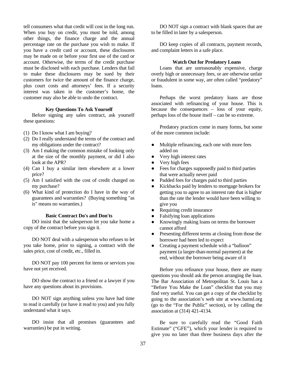tell consumers what that credit will cost in the long run. When you buy on credit, you must be told, among other things, the finance charge and the annual percentage rate on the purchase you wish to make. If you have a credit card or account, these disclosures may be made on or before your first use of the card or account. Otherwise, the terms of the credit purchase must be disclosed with each purchase. Lenders that fail to make these disclosures may be sued by their customers for twice the amount of the finance charge, plus court costs and attorneys' fees. If a security interest was taken in the customer's home, the customer may also be able to undo the contract.

#### **Key Questions To Ask Yourself**

Before signing any sales contract, ask yourself these questions:

- (1) Do I know what I am buying?
- (2) Do I really understand the terms of the contract and my obligations under the contract?
- (3) Am I making the common mistake of looking only at the size of the monthly payment, or did I also look at the APR?
- (4) Can I buy a similar item elsewhere at a lower price?
- (5) Am I satisfied with the cost of credit charged on my purchase?
- (6) What kind of protection do I have in the way of guarantees and warranties? (Buying something "as is" means no warranties.)

### **Basic Contract Do's and Don'ts**

DO insist that the salesperson let you take home a copy of the contract before you sign it.

 DO NOT deal with a salesperson who refuses to let you take home, prior to signing, a contract with the sales price, cost of credit, etc., filled in.

 DO NOT pay 100 percent for items or services you have not yet received.

 DO show the contract to a friend or a lawyer if you have any questions about its provisions.

 DO NOT sign anything unless you have had time to read it carefully (or have it read to you) and you fully understand what it says.

 DO insist that all promises (guarantees and warranties) be put in writing.

 DO NOT sign a contract with blank spaces that are to be filled in later by a salesperson.

 DO keep copies of all contracts, payment records, and complaint letters in a safe place.

## **Watch Out for Predatory Loans**

Loans that are unreasonably expensive, charge overly high or unnecessary fees, or are otherwise unfair or fraudulent in some way, are often called "predatory" loans.

 Perhaps the worst predatory loans are those associated with refinancing of your house. This is because the consequences – loss of your equity, perhaps loss of the house itself – can be so extreme.

 Predatory practices come in many forms, but some of the more common include:

- Multiple refinancing, each one with more fees added on
- Very high interest rates
- Very high fees
- Fees for charges supposedly paid to third parties that were actually never paid
- Padded fees for charges paid to third parties
- Kickbacks paid by lenders to mortgage brokers for getting you to agree to an interest rate that is higher than the rate the lender would have been willing to give you
- Requiring credit insurance
- Falsifying loan applications
- Knowingly making loans on terms the borrower cannot afford
- Presenting different terms at closing from those the borrower had been led to expect
- Creating a payment schedule with a "balloon" payment (a larger-than-normal payment) at the end, without the borrower being aware of it

 Before you refinance your house, there are many questions you should ask the person arranging the loan. The Bar Association of Metropolitan St. Louis has a "Before You Make the Loan" checklist that you may find very useful. You can get a copy of the checklist by going to the association's web site at www.bamsl.org (go to the "For the Public" section), or by calling the association at (314) 421-4134.

 Be sure to carefully read the "Good Faith Estimate" ("GFE"), which your lender is required to give you no later than three business days after the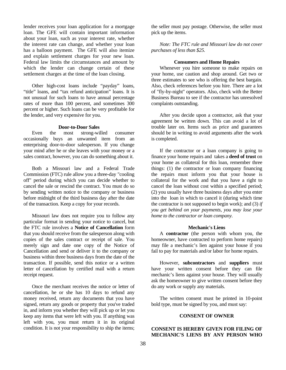lender receives your loan application for a mortgage loan. The GFE will contain important information about your loan, such as your interest rate, whether the interest rate can change, and whether your loan has a balloon payment. The GFE will also itemize and explain settlement charges for your new loan. Federal law limits the circumstances and amount by which the lender can change certain of these settlement charges at the time of the loan closing.

 Other high-cost loans include "payday" loans, "title" loans, and "tax refund anticipation" loans. It is not unusual for such loans to have annual percentage rates of more than 100 percent, and sometimes 300 percent or higher. Such loans can be very profitable for the lender, and very expensive for you.

#### **Door-to-Door Sales**

 Even the most strong-willed consumer occasionally buys an unwanted item from an enterprising door-to-door salesperson. If you change your mind after he or she leaves with your money or a sales contract, however, you can do something about it.

 Both a Missouri law and a Federal Trade Commission (FTC) rule allow you a three-day "cooling off" period during which you can decide whether to cancel the sale or rescind the contract. You must do so by sending written notice to the company or business before midnight of the third business day after the date of the transaction. Keep a copy for your records.

 Missouri law does not require you to follow any particular format in sending your notice to cancel, but the FTC rule involves a **Notice of Cancellation** form that you should receive from the salesperson along with copies of the sales contract or receipt of sale. You merely sign and date one copy of the Notice of Cancellation and send or deliver it to the company or business within three business days from the date of the transaction. If possible, send this notice or a written letter of cancellation by certified mail with a return receipt request.

 Once the merchant receives the notice or letter of cancellation, he or she has 10 days to refund any money received, return any documents that you have signed, return any goods or property that you've traded in, and inform you whether they will pick up or let you keep any items that were left with you. If anything was left with you, you must return it in its original condition. It is not your responsibility to ship the items; the seller must pay postage. Otherwise, the seller must pick up the items.

 *Note: The FTC rule and Missouri law do not cover purchases of less than \$25.* 

## **Consumers and Home Repairs**

 Whenever you hire someone to make repairs on your home, use caution and shop around. Get two or three estimates to see who is offering the best bargain. Also, check references before you hire. There are a lot of "fly-by-night" operators. Also, check with the Better Business Bureau to see if the contractor has unresolved complaints outstanding.

 After you decide upon a contractor, ask that your agreement be written down. This can avoid a lot of trouble later on. Items such as price and guarantees should be in writing to avoid arguments after the work is completed.

 If the contractor or a loan company is going to finance your home repairs and takes a **deed of trust** on your home as collateral for this loan, remember three things: (1) the contractor or loan company financing the repairs must inform you that your house is collateral for the work and that you have a right to cancel the loan without cost within a specified period; (2) you usually have three business days after you enter into the loan in which to cancel it (during which time the contractor is not supposed to begin work); and (3) *if you get behind on your payments, you may lose your home to the contractor or loan company.* 

#### **Mechanic's Liens**

 A **contractor** (the person with whom you, the homeowner, have contracted to perform home repairs) may file a mechanic's lien against your house if you fail to pay for materials and/or labor for home repairs.

 However, **subcontractors** and **suppliers** must have your written consent before they can file mechanic's liens against your house. They will usually ask the homeowner to give written consent before they do any work or supply any materials.

 The written consent must be printed in 10-point bold type, must be signed by you, and must say:

## **CONSENT OF OWNER**

# **CONSENT IS HEREBY GIVEN FOR FILING OF MECHANIC'S LIENS BY ANY PERSON WHO**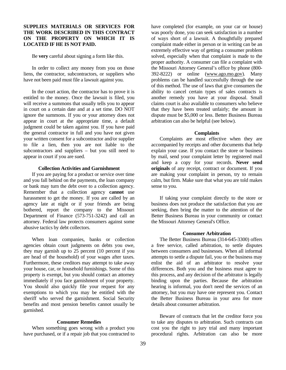# **SUPPLIES MATERIALS OR SERVICES FOR THE WORK DESCRIBED IN THIS CONTRACT ON THE PROPERTY ON WHICH IT IS LOCATED IF HE IS NOT PAID.**

Be **very** careful about signing a form like this.

 In order to collect any money from you on those liens, the contractor, subcontractors, or suppliers who have not been paid must file a lawsuit against you.

 In the court action, the contractor has to prove it is entitled to the money. Once the lawsuit is filed, you will receive a summons that usually tells you to appear in court on a certain date and at a set time. DO NOT ignore the summons. If you or your attorney does not appear in court at the appropriate time, a default judgment could be taken against you. If you have paid the general contractor in full and you have not given your written consent for a subcontractor and/or supplier to file a lien, then you are not liable to the subcontractors and suppliers – but you still need to appear in court if you are sued.

#### **Collection Activities and Garnishment**

 If you are paying for a product or service over time and you fall behind on the payments, the loan company or bank may turn the debt over to a collection agency. Remember that a collection agency **cannot** use harassment to get the money. If you are called by an agency late at night or if your friends are being bothered, report the company to the Missouri Department of Finance (573-751-3242) and call an attorney. Federal law protects consumers against some abusive tactics by debt collectors.

 When loan companies, banks or collection agencies obtain court judgments on debts you owe, they may garnish up to 25 percent (10 percent if you are head of the household) of your wages after taxes. Furthermore, these creditors may attempt to take away your house, car, or household furnishings. Some of this property is exempt, but you should contact an attorney immediately if you face garnishment of your property. You should also quickly file your request for any exemptions to which you may be entitled with the sheriff who served the garnishment. Social Security benefits and most pension benefits cannot usually be garnished.

#### **Consumer Remedies**

When something goes wrong with a product you have purchased, or if a repair job that you contracted to have completed (for example, on your car or house) was poorly done, you can seek satisfaction in a number of ways short of a lawsuit. A thoughtfully prepared complaint made either in person or in writing can be an extremely effective way of getting a consumer problem solved, especially when that complaint is made to the proper authority. A consumer can file a complaint with the Missouri Attorney General's office by phone (800- 392-8222) or online (www.ago.mo.gov). Many problems can be handled successfully through the use of this method. The use of laws that give consumers the ability to cancel certain types of sales contracts is another remedy you have at your disposal. Small claims court is also available to consumers who believe that they have been treated unfairly; the amount in dispute must be \$5,000 or less. Better Business Bureau arbitration can also be helpful (see below).

#### **Complaints**

 Complaints are most effective when they are accompanied by receipts and other documents that help explain your case. If you contact the store or business by mail, send your complaint letter by registered mail and keep a copy for your records. **Never send originals** of any receipt, contract or document. If you are making your complaint in person, try to remain calm, but firm. Make sure that what you are told makes sense to you.

 If taking your complaint directly to the store or business does not produce the satisfaction that you are seeking, then bring the matter to the attention of the Better Business Bureau in your community or contact the Missouri Attorney General's Office.

#### **Consumer Arbitration**

 The Better Business Bureau (314-645-3300) offers a free service, called arbitration, to settle disputes between consumers and businesses. When all informal attempts to settle a dispute fail, you or the business may enlist the aid of an arbitrator to resolve your differences. Both you and the business must agree to this process, and any decision of the arbitrator is legally binding upon the parties. Because the arbitration hearing is informal, you don't need the services of an attorney, but you may have one represent you. Contact the Better Business Bureau in your area for more details about consumer arbitration.

 Beware of contracts that let the creditor force you to take any disputes to arbitration. Such contracts can cost you the right to jury trial and many important procedural rights. Arbitration can also be more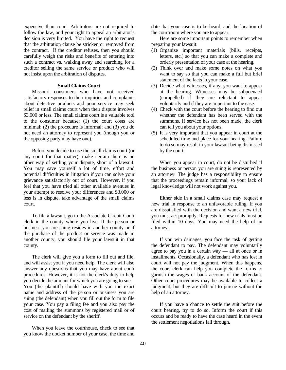expensive than court. Arbitrators are not required to follow the law, and your right to appeal an arbitrator's decision is very limited. You have the right to request that the arbitration clause be stricken or removed from the contract. If the creditor refuses, then you should carefully weigh the risks and benefits of entering into such a contract vs. walking away and searching for a creditor selling the same service or product who will not insist upon the arbitration of disputes.

## **Small Claims Court**

Missouri consumers who have not received satisfactory responses to their inquiries and complaints about defective products and poor service may seek relief in small claims court when their dispute involves \$3,000 or less. The small claims court is a valuable tool to the consumer because: (1) the court costs are minimal; (2) the procedure is informal; and (3) you do not need an attorney to represent you (though you or the opposing party may have one).

 Before you decide to use the small claims court (or any court for that matter), make certain there is no other way of settling your dispute, short of a lawsuit. You may save yourself a lot of time, effort and potential difficulties in litigation if you can solve your grievance satisfactorily out of court. However, if you feel that you have tried all other available avenues in your attempt to resolve your differences and \$3,000 or less is in dispute, take advantage of the small claims court.

 To file a lawsuit, go to the Associate Circuit Court clerk in the county where you live. If the person or business you are suing resides in another county or if the purchase of the product or service was made in another county, you should file your lawsuit in that county.

 The clerk will give you a form to fill out and file, and will assist you if you need help. The clerk will also answer any questions that you may have about court procedures. However, it is not the clerk's duty to help you decide the amount for which you are going to sue. You (the plaintiff) should have with you the exact name and address of the person or business you are suing (the defendant) when you fill out the form to file your case. You pay a filing fee and you also pay the cost of mailing the summons by registered mail or of service on the defendant by the sheriff.

 When you leave the courthouse, check to see that you know the docket number of your case, the time and

date that your case is to be heard, and the location of the courtroom where you are to appear.

 Here are some important points to remember when preparing your lawsuit:

- (1) Organize important materials (bills, receipts, letters, etc.) so that you can make a complete and orderly presentation of your case at the hearing.
- (2) Think over and make some notes on what you want to say so that you can make a full but brief statement of the facts in your case.
- (3) Decide what witnesses, if any, you want to appear at the hearing. Witnesses may be subpoenaed (compelled) if they are reluctant to appear voluntarily and if they are important to the case.
- (4) Check with the court before the hearing to find out whether the defendant has been served with the summons. If service has not been made, the clerk can tell you about your options.
- (5) It is very important that you appear in court at the scheduled time and place for your hearing. Failure to do so may result in your lawsuit being dismissed by the court.

 When you appear in court, do not be disturbed if the business or person you are suing is represented by an attorney. The judge has a responsibility to ensure that the proceedings remain informal, so your lack of legal knowledge will not work against you.

 Either side in a small claims case may request a new trial in response to an unfavorable ruling. If you are dissatisfied with the decision and want a new trial, you must act promptly. Requests for new trials must be filed within 10 days. You may need the help of an attorney.

 If you win damages, you face the task of getting the defendant to pay. The defendant may voluntarily agree to pay you in a certain way — all at once or in installments. Occasionally, a defendant who has lost in court will not pay the judgment. When this happens, the court clerk can help you complete the forms to garnish the wages or bank account of the defendant. Other court procedures may be available to collect a judgment, but they are difficult to pursue without the help of an attorney.

 If you have a chance to settle the suit before the court hearing, try to do so. Inform the court if this occurs and be ready to have the case heard in the event the settlement negotiations fall through.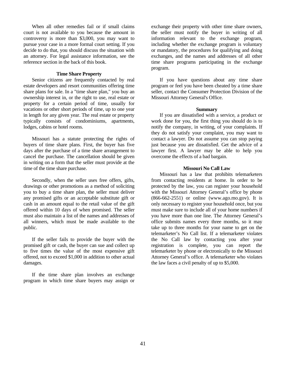When all other remedies fail or if small claims court is not available to you because the amount in controversy is more than \$3,000, you may want to pursue your case in a more formal court setting. If you decide to do that, you should discuss the situation with an attorney. For legal assistance information, see the reference section in the back of this book.

#### **Time Share Property**

 Senior citizens are frequently contacted by real estate developers and resort communities offering time share plans for sale. In a "time share plan," you buy an ownership interest in, or the right to use, real estate or property for a certain period of time, usually for vacations or other short periods of time, up to one year in length for any given year. The real estate or property typically consists of condominiums, apartments, lodges, cabins or hotel rooms.

 Missouri has a statute protecting the rights of buyers of time share plans. First, the buyer has five days after the purchase of a time share arrangement to cancel the purchase. The cancellation should be given in writing on a form that the seller must provide at the time of the time share purchase.

 Secondly, when the seller uses free offers, gifts, drawings or other promotions as a method of soliciting you to buy a time share plan, the seller must deliver any promised gifts or an acceptable substitute gift or cash in an amount equal to the retail value of the gift offered within 10 days of when promised. The seller must also maintain a list of the names and addresses of all winners, which must be made available to the public.

 If the seller fails to provide the buyer with the promised gift or cash, the buyer can sue and collect up to five times the value of the most expensive gift offered, not to exceed \$1,000 in addition to other actual damages.

 If the time share plan involves an exchange program in which time share buyers may assign or

exchange their property with other time share owners, the seller must notify the buyer in writing of all information relevant to the exchange program, including whether the exchange program is voluntary or mandatory, the procedures for qualifying and doing exchanges, and the names and addresses of all other time share programs participating in the exchange program.

 If you have questions about any time share program or feel you have been cheated by a time share seller, contact the Consumer Protection Division of the Missouri Attorney General's Office.

#### **Summary**

 If you are dissatisfied with a service, a product or work done for you, the first thing you should do is to notify the company, in writing, of your complaints. If they do not satisfy your complaint, you may want to contact a lawyer. Do not assume you can stop paying just because you are dissatisfied. Get the advice of a lawyer first. A lawyer may be able to help you overcome the effects of a bad bargain.

## **Missouri No Call Law**

Missouri has a law that prohibits telemarketers from contacting residents at home. In order to be protected by the law, you can register your household with the Missouri Attorney General's office by phone (866-662-2551) or online (www.ago.mo.gov). It is only necessary to register your household once, but you must make sure to include all of your home numbers if you have more than one line. The Attorney General's office submits names every three months, so it may take up to three months for your name to get on the telemarketer's No Call list. If a telemarketer violates the No Call law by contacting you after your registration is complete, you can report the telemarketer by phone or electronically to the Missouri Attorney General's office. A telemarketer who violates the law faces a civil penalty of up to \$5,000.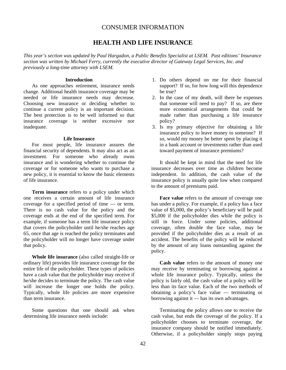# CONSUMER INFORMATION

# **HEALTH AND LIFE INSURANCE**

*This year's section was updated by Paul Hargadon, a Public Benefits Specialist at LSEM. Past editions' Insurance section was written by Michael Ferry, currently the executive director of Gateway Legal Services, Inc. and previously a long-time attorney with LSEM.* 

#### **Introduction**

As one approaches retirement, insurance needs change. Additional health insurance coverage may be needed or life insurance needs may decrease. Choosing new insurance or deciding whether to continue a current policy is an important decision. The best protection is to be well informed so that insurance coverage is neither excessive nor inadequate.

#### **Life Insurance**

For most people, life insurance assures the financial security of dependents. It may also act as an investment. For someone who already owns insurance and is wondering whether to continue the coverage or for someone who wants to purchase a new policy, it is essential to know the basic elements of life insurance.

 **Term insurance** refers to a policy under which one receives a certain amount of life insurance coverage for a specified period of time — or term. There is no cash value for the policy and the coverage ends at the end of the specified term. For example, if someone has a term life insurance policy that covers the policyholder until he/she reaches age 65, once that age is reached the policy terminates and the policyholder will no longer have coverage under that policy.

 **Whole life insurance** (also called straight-life or ordinary life) provides life insurance coverage for the entire life of the policyholder. These types of policies have a cash value that the policyholder may receive if he/she decides to terminate the policy. The cash value will increase the longer one holds the policy. Typically, whole life policies are more expensive than term insurance.

 Some questions that one should ask when determining life insurance needs include:

- 1. Do others depend on me for their financial support? If so, for how long will this dependence be true?
- 2. In the case of my death, will there be expenses that someone will need to pay? If so, are there more economical arrangements that could be made rather than purchasing a life insurance policy?
- 3. Is my primary objective for obtaining a life insurance policy to leave money to someone? If so, would my money be better spent by placing it in a bank account or investments rather than used toward payment of insurance premiums?

 It should be kept in mind that the need for life insurance decreases over time as children become independent. In addition, the cash value of the insurance policy is usually quite low when compared to the amount of premiums paid.

 **Face value** refers to the amount of coverage one has under a policy. For example, if a policy has a face value of \$5,000, the policy's beneficiary will be paid \$5,000 if the policyholder dies while the policy is still in force. Under some policies, additional coverage, often double the face value, may be provided if the policyholder dies as a result of an accident. The benefits of the policy will be reduced by the amount of any loans outstanding against the policy.

 **Cash value** refers to the amount of money one may receive by terminating or borrowing against a whole life insurance policy. Typically, unless the policy is fairly old, the cash value of a policy will be less than its face value. Each of the two methods of obtaining a policy's face value — terminating or borrowing against it — has its own advantages.

 Terminating the policy allows one to receive the cash value, but ends the coverage of the policy. If a policyholder chooses to terminate coverage, the insurance company should be notified immediately. Otherwise, if a policyholder simply stops paying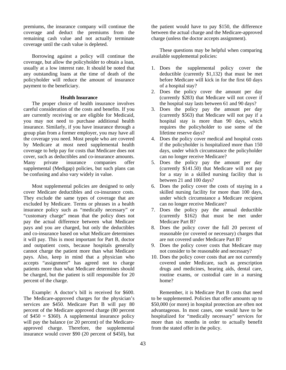premiums, the insurance company will continue the coverage and deduct the premiums from the remaining cash value and not actually terminate coverage until the cash value is depleted.

 Borrowing against a policy will continue the coverage, but allow the policyholder to obtain a loan, usually at a low interest rate. It should be noted that any outstanding loans at the time of death of the policyholder will reduce the amount of insurance payment to the beneficiary.

#### **Health Insurance**

 The proper choice of health insurance involves careful consideration of the costs and benefits. If you are currently receiving or are eligible for Medicaid, you may not need to purchase additional health insurance. Similarly, if you have insurance through a group plan from a former employer, you may have all the coverage you need. Most people who are covered by Medicare at most need supplemental health coverage to help pay for costs that Medicare does not cover, such as deductibles and co-insurance amounts. Many private insurance companies offer supplemental (Medigap) policies, but such plans can be confusing and also vary widely in value.

 Most supplemental policies are designed to only cover Medicare deductibles and co-insurance costs. They exclude the same types of coverage that are excluded by Medicare. Terms or phrases in a health insurance policy such as "medically necessary" or "customary charge" mean that the policy does not pay the actual difference between what Medicare pays and you are charged, but only the deductibles and co-insurance based on what Medicare determines it will pay. This is most important for Part B, doctor and outpatient costs, because hospitals generally cannot charge the patient more than what Medicare pays. Also, keep in mind that a physician who accepts "assignment" has agreed not to charge patients more than what Medicare determines should be charged, but the patient is still responsible for 20 percent of the charge.

 Example: A doctor's bill is received for \$600. The Medicare-approved charges for the physician's services are \$450. Medicare Part B will pay 80 percent of the Medicare approved charge (80 percent of  $$450 = $360$ . A supplemental insurance policy will pay the balance (or 20 percent) of the Medicareapproved charge. Therefore, the supplemental insurance would cover \$90 (20 percent of \$450), but

the patient would have to pay \$150, the difference between the actual charge and the Medicare-approved charge (unless the doctor accepts assignment).

 These questions may be helpful when comparing available supplemental policies:

- 1. Does the supplemental policy cover the deductible (currently \$1,132) that must be met before Medicare will kick in for the first 60 days of a hospital stay?
- 2. Does the policy cover the amount per day (currently \$283) that Medicare will not cover if the hospital stay lasts between 61 and 90 days?
- 3. Does the policy pay the amount per day (currently \$563) that Medicare will not pay if a hospital stay is more than 90 days, which requires the policyholder to use some of the lifetime reserve days?
- 4. Does the policy cover medical and hospital costs if the policyholder is hospitalized more than 150 days, under which circumstance the policyholder can no longer receive Medicare?
- 5. Does the policy pay the amount per day (currently \$141.50) that Medicare will not pay for a stay in a skilled nursing facility that is between 21 and 100 days?
- 6. Does the policy cover the costs of staying in a skilled nursing facility for more than 100 days, under which circumstance a Medicare recipient can no longer receive Medicare?
- 7. Does the policy pay the annual deductible (currently \$162) that must be met under Medicare Part B?
- 8. Does the policy cover the full 20 percent of reasonable (or covered or necessary) charges that are not covered under Medicare Part B?
- 9. Does the policy cover costs that Medicare may not consider to be reasonable and necessary?
- 10. Does the policy cover costs that are not currently covered under Medicare, such as prescription drugs and medicines, hearing aids, dental care, routine exams, or custodial care in a nursing home?

 Remember, it is Medicare Part B costs that need to be supplemented. Policies that offer amounts up to \$50,000 (or more) in hospital protection are often not advantageous. In most cases, one would have to be hospitalized for "medically necessary" services for more than six months in order to actually benefit from the stated offer in the policy.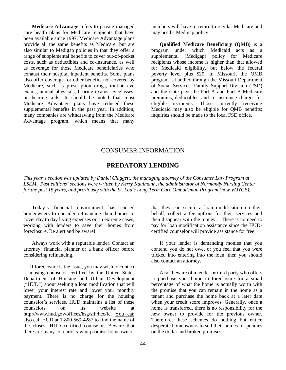**Medicare Advantage** refers to private managed care health plans for Medicare recipients that have been available since 1997. Medicare Advantage plans provide all the same benefits as Medicare, but are also similar to Medigap policies in that they offer a range of supplemental benefits to cover out-of-pocket costs, such as deductibles and co-insurance, as well as coverage for those Medicare beneficiaries who exhaust their hospital inpatient benefits. Some plans also offer coverage for other benefits not covered by Medicare, such as prescription drugs, routine eye exams, annual physicals, hearing exams, eyeglasses, or hearing aids. It should be noted that most Medicare Advantage plans have reduced these supplemental benefits in the past year. In addition, many companies are withdrawing from the Medicare Advantage program, which means that many members will have to return to regular Medicare and may need a Medigap policy.

 **Qualified Medicare Beneficiary (QMB)** is a program under which Medicaid acts as a supplemental (Medigap) policy for Medicare recipients whose income is higher than that allowed for Medicaid eligibility, but below the federal poverty level plus \$20. In Missouri, the QMB program is handled through the Missouri Department of Social Services, Family Support Division (FSD) and the state pays the Part A and Part B Medicare premiums, deductibles, and co-insurance charges for eligible recipients. Those currently receiving Medicaid may also be eligible for QMB benefits; inquiries should be made to the local FSD office.

# CONSUMER INFORMATION

# **PREDATORY LENDING**

*This year's section was updated by Daniel Claggett, the managing attorney of the Consumer Law Program at LSEM. Past editions' sections were written by Kerry Kaufmann, the administrator of Normandy Nursing Center for the past 15 years, and previously with the St. Louis Long Term Care Ombudsman Program (now VOYCE).* 

 Today's financial environment has caused homeowners to consider refinancing their homes to cover day to day living expenses or, in extreme cases, working with lenders to save their homes from foreclosure. Be alert and be aware!

 Always work with a reputable lender. Contact an attorney, financial planner or a bank officer before considering refinancing.

 If foreclosure is the issue, you may wish to contact a housing counselor certified by the United States Department of Housing and Urban Development ("HUD") about seeking a loan modification that will lower your interest rate and lower your monthly payment. There is no charge for the housing counselor's services. HUD maintains a list of these counselors on its website at http://www.hud.gov/offices**/**hsg/sfh/hcc/fc. You can also call HUD at 1-800-569-4287 to find the name of the closest HUD certified counselor. Beware that there are many con artists who promise homeowners

that they can secure a loan modification on their behalf, collect a fee upfront for their services and then disappear with the money. There is no need to pay for loan modification assistance since the HUDcertified counselor will provide assistance for free.

 If your lender is demanding monies that you contend you do not owe, or you feel that you were tricked into entering into the loan, then you should also contact an attorney.

 Also, beware of a lender or third party who offers to purchase your home in foreclosure for a small percentage of what the home is actually worth with the promise that you can remain in the home as a tenant and purchase the home back at a later date when your credit score improves. Generally, once a home is transferred, there is no responsibility for the new owner to provide for the previous owner. Therefore, these schemes do nothing but entice desperate homeowners to sell their homes for pennies on the dollar and broken promises.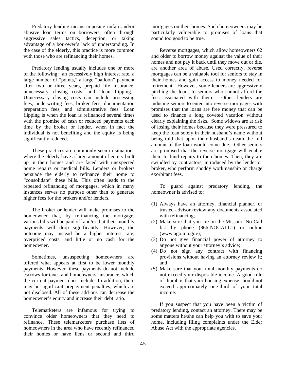Predatory lending means imposing unfair and/or abusive loan terms on borrowers, often through aggressive sales tactics, deception, or taking advantage of a borrower's lack of understanding. In the case of the elderly, this practice is more common with those who are refinancing their homes.

 Predatory lending usually includes one or more of the following: an excessively high interest rate, a large number of "points," a large "balloon" payment after two or three years, prepaid life insurance, unnecessary closing costs, and "loan flipping." Unnecessary closing costs can include processing fees, underwriting fees, broker fees, documentation preparation fees, and administrative fees. Loan flipping is when the loan is refinanced several times with the promise of cash or reduced payments each time by the broker or lender, when in fact the individual is not benefiting and the equity is being significantly reduced.

 These practices are commonly seen in situations where the elderly have a large amount of equity built up in their homes and are faced with unexpected home repairs or medical bills. Lenders or brokers persuade the elderly to refinance their home to "consolidate" these bills. This often leads to the repeated refinancing of mortgages, which in many instances serves no purpose other than to generate higher fees for the brokers and/or lenders.

 The broker or lender will make promises to the homeowner that, by refinancing the mortgage, various bills will be paid off and/or that their monthly payments will drop significantly. However, the outcome may instead be a higher interest rate, overpriced costs, and little or no cash for the homeowner.

 Sometimes, unsuspecting homeowners are offered what appears at first to be lower monthly payments. However, these payments do not include escrows for taxes and homeowners' insurance, which the current payment does include. In addition, there may be significant prepayment penalties, which are not disclosed. All of these add-ons can decrease the homeowner's equity and increase their debt ratio.

 Telemarketers are infamous for trying to convince older homeowners that they need to refinance. These telemarketers purchase lists of homeowners in the area who have recently refinanced their homes or have liens or second and third mortgages on their homes. Such homeowners may be particularly vulnerable to promises of loans that sound too good to be true.

 Reverse mortgages, which allow homeowners 62 and older to borrow money against the value of their homes and not pay it back until they move out or die, are another area of abuse. Used correctly, reverse mortgages can be a valuable tool for seniors to stay in their homes and gain access to money needed for retirement. However, some lenders are aggressively pitching the loans to seniors who cannot afford the fees associated with them. Other lenders are inducing seniors to enter into reverse mortgages with promises that the loans are free money that can be used to finance a long coveted vacation without clearly explaining the risks. Some widows are at risk of losing their homes because they were pressured to keep the loan solely in their husband's name without being told that upon their husband's death the full amount of the loan would come due. Other seniors are promised that the reverse mortgage will enable them to fund repairs to their homes. Then, they are swindled by contractors, introduced by the lender or broker, who perform shoddy workmanship or charge exorbitant fees.

 To guard against predatory lending, the homeowner is advised to:

- (1) Always have an attorney, financial planner, or trusted advisor review any documents associated with refinancing;
- (2) Make sure that you are on the Missouri No Call list by phone (866-NOCALL1) or online (www.ago.mo.gov);
- (3) Do not give financial power of attorney to anyone without your attorney's advice;
- (4) Do not sign any contract with financing provisions without having an attorney review it; and
- (5) Make sure that your total monthly payments do not exceed your disposable income. A good rule of thumb is that your housing expense should not exceed approximately one-third of your total income.

 If you suspect that you have been a victim of predatory lending, contact an attorney. There may be some matters he/she can help you with to save your home, including filing complaints under the Elder Abuse Act with the appropriate agencies.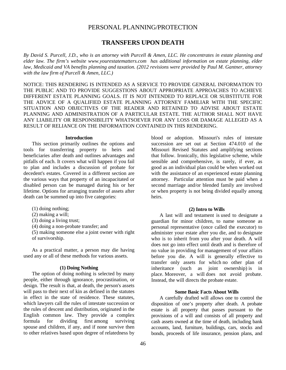# **TRANSFERS UPON DEATH**

*By David S. Purcell, J.D., who is an attorney with Purcell & Amen, LLC. He concentrates in estate planning and elder law. The firm's website www.yourestatematters.com has additional information on estate planning, elder law, Medicaid and VA benefits planning and taxation. (2012 revisions were provided by Paul M. Gantner, attorney with the law firm of Purcell & Amen, LLC.)* 

NOTICE: THIS RENDERING IS INTENDED AS A SERVICE TO PROVIDE GENERAL INFORMATION TO THE PUBLIC AND TO PROVIDE SUGGESTIONS ABOUT APPROPRIATE APPROACHES TO ACHIEVE DIFFERENT ESTATE PLANNING GOALS. IT IS NOT INTENDED TO REPLACE OR SUBSTITUTE FOR THE ADVICE OF A QUALIFIED ESTATE PLANNING ATTORNEY FAMILIAR WITH THE SPECIFIC SITUATION AND OBJECTIVES OF THE READER AND RETAINED TO ADVISE ABOUT ESTATE PLANNING AND ADMINISTRATION OF A PARTICULAR ESTATE. THE AUTHOR SHALL NOT HAVE ANY LIABILITY OR RESPONSIBILITY WHATSOEVER FOR ANY LOSS OR DAMAGE ALLEGED AS A RESULT OF RELIANCE ON THE INFORMATION CONTAINED IN THIS RENDERING.

#### **Introduction**

This section primarily outlines the options and tools for transferring property to heirs and beneficiaries after death and outlines advantages and pitfalls of each. It covers what will happen if you fail to plan and includes a discussion of probate for decedent's estates. Covered in a different section are the various ways that property of an incapacitated or disabled person can be managed during his or her lifetime. Options for arranging transfer of assets after death can be summed up into five categories:

(1) doing nothing;

(2) making a will;

(3) doing a living trust;

(4) doing a non-probate transfer; and

 (5) making someone else a joint owner with right of survivorship.

 As a practical matter, a person may die having used any or all of these methods for various assets.

#### **(1) Doing Nothing**

 The option of doing nothing is selected by many people, either through ignorance, procrastination, or design. The result is that, at death, the person's assets will pass to their next of kin as defined in the statutes in effect in the state of residence. These statutes, which lawyers call the rules of intestate succession or the rules of descent and distribution, originated in the English common law. They provide a complex formula for dividing first among surviving spouse and children, if any, and if none survive then to other relatives based upon degree of relatedness by

blood or adoption. Missouri's rules of intestate succession are set out at Section 474.010 of the Missouri Revised Statutes and amplifying sections that follow. Ironically, this legislative scheme, while sensible and comprehensive, is rarely, if ever, as good as an individual plan could be when worked out with the assistance of an experienced estate planning attorney. Particular attention must be paid when a second marriage and/or blended family are involved or when property is not being divided equally among heirs.

#### **(2) Intro to Wills**

A last will and testament is used to designate a guardian for minor children, to name someone as personal representative (once called the executor) to administer your estate after you die, and to designate who is to inherit from you after your death. A will does not go into effect until death and is therefore of no value in providing for management of your affairs before you die. A will is generally effective to transfer only assets for which no other plan of inheritance (such as joint ownership) is in place. Moreover, a will does not avoid probate. Instead, the will directs the probate estate.

#### **Some Basic Facts About Wills**

A carefully drafted will allows one to control the disposition of one's property after death. A probate estate is all property that passes pursuant to the provisions of a will and consists of all property and cash assets owned at the time of death, including bank accounts, land, furniture, buildings, cars, stocks and bonds, proceeds of life insurance, pension plans, and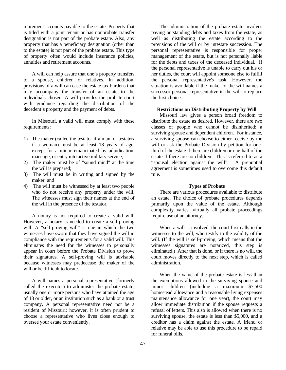retirement accounts payable to the estate. Property that is titled with a joint tenant or has nonprobate transfer designation is not part of the probate estate. Also, any property that has a beneficiary designation (other than to the estate) is not part of the probate estate. This type of property often would include insurance policies, annuities and retirement accounts.

 A will can help assure that one's property transfers to a spouse, children or relatives. In addition, provisions of a will can ease the estate tax burdens that may accompany the transfer of an estate to the individuals chosen. A will provides the probate court with guidance regarding the distribution of the decedent's property and the payment of debts.

 In Missouri, a valid will must comply with these requirements:

- 1) The maker (called the testator if a man, or testatrix if a woman) must be at least 18 years of age, except for a minor emancipated by adjudication, marriage, or entry into active military service;
- 2) The maker must be of "sound mind" at the time the will is prepared;
- 3) The will must be in writing and signed by the maker; and
- 4) The will must be witnessed by at least two people who do not receive any property under the will. The witnesses must sign their names at the end of the will in the presence of the testator.

 A notary is not required to create a valid will. However, a notary is needed to create a self-proving will. A "self-proving will" is one in which the two witnesses have sworn that they have signed the will in compliance with the requirements for a valid will. This eliminates the need for the witnesses to personally appear in court before the Probate Division to prove their signatures. A self-proving will is advisable because witnesses may predecease the maker of the will or be difficult to locate.

 A will names a personal representative (formerly called the executor) to administer the probate estate, usually one or more persons who have attained the age of 18 or older, or an institution such as a bank or a trust company. A personal representative need not be a resident of Missouri; however, it is often prudent to choose a representative who lives close enough to oversee your estate conveniently.

 The administration of the probate estate involves paying outstanding debts and taxes from the estate, as well as distributing the estate according to the provisions of the will or by intestate succession. The personal representative is responsible for proper management of the estate, but is not personally liable for the debts and taxes of the deceased individual. If the personal representative is unable to carry out his or her duties, the court will appoint someone else to fulfill the personal representative's task. However, the situation is avoidable if the maker of the will names a successor personal representative in the will to replace the first choice.

#### **Restrictions on Distributing Property by Will**

Missouri law gives a person broad freedom to distribute the estate as desired. However, there are two classes of people who cannot be disinherited: a surviving spouse and dependent children. For instance, a surviving spouse can choose to either receive by the will or ask the Probate Division by petition for onethird of the estate if there are children or one-half of the estate if there are no children. This is referred to as a "spousal election against the will". A prenuptial agreement is sometimes used to overcome this default rule.

### **Types of Probate**

There are various procedures available to distribute an estate. The choice of probate procedures depends primarily upon the value of the estate. Although complexity varies, virtually all probate proceedings require use of an attorney.

 When a will is involved, the court first calls in the witnesses to the will, who testify to the validity of the will. (If the will is self-proving, which means that the witnesses signatures are notarized, this step is eliminated.) After that is done, or if there is no will, the court moves directly to the next step, which is called administration.

 When the value of the probate estate is less than the exemptions allowed to the surviving spouse and minor children (including a maximum \$7,500 homestead allowance and a reasonable living expenses maintenance allowance for one year), the court may allow immediate distribution if the spouse requests a refusal of letters. This also is allowed when there is no surviving spouse, the estate is less than \$5,000, and a creditor has a claim against the estate. A friend or relative may be able to use this procedure to be repaid for funeral bills.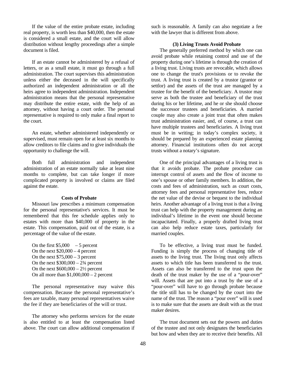If the value of the entire probate estate, including real property, is worth less than \$40,000, then the estate is considered a small estate, and the court will allow distribution without lengthy proceedings after a simple document is filed.

 If an estate cannot be administered by a refusal of letters, or as a small estate, it must go through a full administration. The court supervises this administration unless either the deceased in the will specifically authorized an independent administration or all the heirs agree to independent administration. Independent administration means that the personal representative may distribute the entire estate, with the help of an attorney, without having a court order. The personal representative is required to only make a final report to the court.

 An estate, whether administered independently or supervised, must remain open for at least six months to allow creditors to file claims and to give individuals the opportunity to challenge the will.

 Both full administration and independent administration of an estate normally take at least nine months to complete, but can take longer if more complicated property is involved or claims are filed against the estate.

#### **Costs of Probate**

Missouri law prescribes a minimum compensation for the personal representative's services. It must be remembered that this fee schedule applies only to estates with more than \$40,000 of property in the estate. This compensation, paid out of the estate, is a percentage of the value of the estate.

On the first  $$5,000$  – 5 percent On the next  $$20,000 - 4$  percent On the next  $$75,000 - 3$  percent On the next  $$300,000 - 2\frac{3}{4}$  percent On the next  $$600,000 - 2\frac{1}{2}$  percent On all more than  $$1,000,000 - 2$  percent

 The personal representative may waive this compensation. Because the personal representative's fees are taxable, many personal representatives waive the fee if they are beneficiaries of the will or trust.

 The attorney who performs services for the estate is also entitled to at least the compensation listed above. The court can allow additional compensation if such is reasonable. A family can also negotiate a fee with the lawyer that is different from above.

#### **(3) Living Trusts Avoid Probate**

The generally preferred method by which one can avoid probate while retaining control and use of the property during one's lifetime is through the creation of a living trust. Living trusts are revocable, which allows one to change the trust's provisions or to revoke the trust. A living trust is created by a trustor (grantor or settlor) and the assets of the trust are managed by a trustee for the benefit of the beneficiary. A trustor may serve as both the trustee and beneficiary of the trust during his or her lifetime, and he or she should choose the successor trustees and beneficiaries. A married couple may also create a joint trust that often makes trust administration easier, and, of course, a trust can have multiple trustees and beneficiaries. A living trust must be in writing; in today's complex society, it should be prepared by an experienced estate planning attorney. Financial institutions often do not accept trusts without a notary's signature.

 One of the principal advantages of a living trust is that it avoids probate. The probate procedure can interrupt control of assets and the flow of income to one's spouse or other family members. In addition, the costs and fees of administration, such as court costs, attorney fees and personal representative fees, reduce the net value of the devise or bequest to the individual heirs. Another advantage of a living trust is that a living trust can help with the property management during an individual's lifetime in the event one should become incapacitated. Finally, a properly drafted living trust can also help reduce estate taxes, particularly for married couples.

 To be effective, a living trust must be funded. Funding is simply the process of changing title of assets to the living trust. The living trust only affects assets to which title has been transferred to the trust. Assets can also be transferred to the trust upon the death of the trust maker by the use of a "pour-over" will. Assets that are put into a trust by the use of a "pour-over" will have to go through probate because the title still has to be changed by the court into the name of the trust. The reason a "pour over" will is used is to make sure that the assets are dealt with as the trust maker desires.

 The trust document sets out the powers and duties of the trustee and not only designates the beneficiaries but how and when they are to receive their benefits. All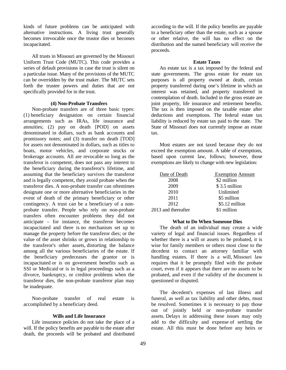kinds of future problems can be anticipated with alternative instructions. A living trust generally becomes irrevocable once the trustor dies or becomes incapacitated.

 All trusts in Missouri are governed by the Missouri Uniform Trust Code (MUTC). This code provides a series of default provisions in case the trust is silent on a particular issue. Many of the provisions of the MUTC can be overridden by the trust maker. The MUTC sets forth the trustee powers and duties that are not specifically provided for in the trust.

#### **(4) Non-Probate Transfers**

Non-probate transfers are of three basic types: (1) beneficiary designation on certain financial arrangements such as IRAs, life insurance and annuities; (2) pay on death [POD] on assets denominated in dollars, such as bank accounts and promissory notes; and (3) transfer on death [TOD] for assets not denominated in dollars, such as titles to boats, motor vehicles, and corporate stocks or brokerage accounts. All are revocable so long as the transferor is competent, does not pass any interest to the beneficiary during the transferor's lifetime, and assuming that the beneficiary survives the transferor and is legally competent, they avoid probate when the transferor dies. A non-probate transfer can oftentimes designate one or more alternative beneficiaries in the event of death of the primary beneficiary or other contingency. A trust can be a beneficiary of a nonprobate transfer. People who rely on non-probate transfers often encounter problems they did not anticipate – for instance, the transferor becomes incapacitated and there is no mechanism set up to manage the property before the transferor dies; or the value of the asset shrinks or grows in relationship to the transferor's other assets, distorting the balance among all the various beneficiaries of the estate. If the beneficiary predeceases the grantor or is incapacitated or is on government benefits such as SSI or Medicaid or is in legal proceedings such as a divorce, bankruptcy, or creditor problems when the transferor dies, the non-probate transferor plan may be inadequate.

 Non-probate transfer of real estate is accomplished by a beneficiary deed.

## **Wills and Life Insurance**

Life insurance policies do not take the place of a will. If the policy benefits are payable to the estate after death, the proceeds will be probated and distributed

according to the will. If the policy benefits are payable to a beneficiary other than the estate, such as a spouse or other relative, the will has no effect on the distribution and the named beneficiary will receive the proceeds.

## **Estate Taxes**

An estate tax is a tax imposed by the federal and state governments. The gross estate for estate tax purposes is all property owned at death, certain property transferred during one's lifetime in which an interest was retained, and property transferred in contemplation of death. Included in the gross estate are joint property, life insurance and retirement benefits. The tax is then imposed on the taxable estate after deductions and exemptions. The federal estate tax liability is reduced by estate tax paid to the state. The State of Missouri does not currently impose an estate tax.

 Most estates are not taxed because they do not exceed the exemption amount. A table of exemptions, based upon current law, follows; however, those exemptions are likely to change with new legislation:

| Date of Death       | <b>Exemption Amount</b> |
|---------------------|-------------------------|
| 2008                | \$2 million             |
| 2009                | \$3.5 million           |
| 2010                | Unlimited               |
| 2011                | \$5 million             |
| 2012                | \$5.12 million          |
| 2013 and thereafter | \$1 million             |

#### **What to Do When Someone Dies**

The death of an individual may create a wide variety of legal and financial issues. Regardless of whether there is a will or assets to be probated, it is wise for family members or others most close to the decedent to contact an attorney familiar with handling estates. If there is a will, Missouri law requires that it be promptly filed with the probate court, even if it appears that there are no assets to be probated, and even if the validity of the document is questioned or disputed.

 The decedent's expenses of last illness and funeral, as well as tax liability and other debts, must be resolved. Sometimes it is necessary to pay those out of jointly held or non-probate transfer assets. Delays in addressing these issues may only add to the difficulty and expense of settling the estate. All this must be done before any heirs or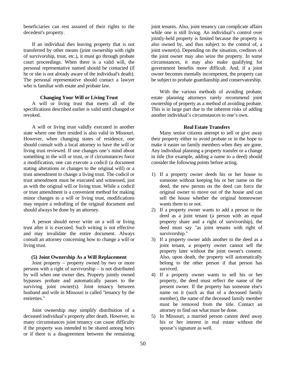beneficiaries can rest assured of their rights to the decedent's property.

 If an individual dies leaving property that is not transferred by other means (joint ownership with right of survivorship, trust, etc.), it must go through probate court proceedings. When there is a valid will, the personal representative named should be contacted (if he or she is not already aware of the individual's death). The personal representative should contact a lawyer who is familiar with estate and probate law.

#### **Changing Your Will or Living Trust**

A will or living trust that meets all of the specifications described earlier is valid until changed or revoked.

 A will or living trust validly executed in another state where one then resided is also valid in Missouri. However, when changing states of residence, one should consult with a local attorney to have the will or living trust reviewed. If one changes one's mind about something in the will or trust, or if circumstances force a modification, one can execute a codicil (a document stating alterations or changes to the original will) or a trust amendment to change a living trust. The codicil or trust amendment must be executed and witnessed, just as with the original will or living trust. While a codicil or trust amendment is a convenient method for making minor changes to a will or living trust, modifications may require a redrafting of the original document and should always be done by an attorney.

 A person should never write on a will or living trust after it is executed. Such writing is not effective and may invalidate the entire document. Always consult an attorney concerning how to change a will or living trust.

## **(5) Joint Ownership As a Will Replacement**

Joint property – property owned by two or more persons with a right of survivorship – is not distributed by will when one owner dies. Property jointly owned bypasses probate and automatically passes to the surviving joint owner(s). Joint tenancy between husband and wife in Missouri is called "tenancy by the entireties."

 Joint ownership *may* simplify distribution of a deceased individual's property after death. However, in many circumstances joint tenancy can cause difficulty if the property was intended to be shared among heirs or if there is a disagreement between the remaining

joint tenants. Also, joint tenancy can complicate affairs while one is still living. An individual's control over jointly-held property is limited because the property is also owned by, and thus subject to the control of, a joint owner(s). Depending on the situation, creditors of the joint owner may also seize the property. In some circumstances, it may also make qualifying for government benefits more difficult. And, if a joint owner becomes mentally incompetent, the property can be subject to probate guardianship and conservatorship.

 With the various methods of avoiding probate, estate planning attorneys rarely recommend joint ownership of property as a method of avoiding probate. This is in large part due to the inherent risks of adding another individual's circumstances to one's own.

#### **Real Estate Transfers**

Many senior citizens attempt to sell or give away their property either to avoid probate or in the hope to make it easier on family members when they are gone. Any individual planning a property transfer or a change in title (for example, adding a name to a deed) should consider the following points before acting.

- 1) If a property owner deeds his or her house to someone without keeping his or her name on the deed, the new person on the deed can force the original owner to move out of the house and can sell the house whether the original homeowner wants them to or not.
- 2) If a property owner wants to add a person to the deed as a joint tenant (a person with an equal property share and a right of survivorship), the deed must say "as joint tenants with right of survivorship."
- 3) If a property owner adds another to the deed as a joint tenant, a property owner cannot sell the property later without the joint owner's consent. Also, upon death, the property will automatically belong to the other person if that person has survived.
- 4) If a property owner wants to sell his or her property, the deed must reflect the name of the present owner. If the property has someone else's name on it (such as that of a deceased family member), the name of the deceased family member must be removed from the title. Contact an attorney to find out what must be done.
- 5) In Missouri, a married person cannot deed away his or her interest in real estate without the spouse's signature as well.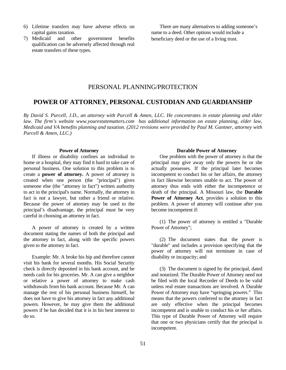- 6) Lifetime transfers may have adverse effects on capital gains taxation.
- 7) Medicaid and other government benefits qualification can be adversely affected through real estate transfers of these types.

 There are many alternatives to adding someone's name to a deed. Other options would include a beneficiary deed or the use of a living trust.

# PERSONAL PLANNING/PROTECTION

# **POWER OF ATTORNEY, PERSONAL CUSTODIAN AND GUARDIANSHIP**

*By David S. Purcell, J.D., an attorney with Purcell & Amen, LLC. He concentrates in estate planning and elder law. The firm's website www.yourestatematters.com has additional information on estate planning, elder law, Medicaid and VA benefits planning and taxation. (2012 revisions were provided by Paul M. Gantner, attorney with Purcell & Amen, LLC.)* 

#### **Power of Attorney**

If illness or disability confines an individual to home or a hospital, they may find it hard to take care of personal business. One solution to this problem is to create a **power of attorney.** A power of attorney is created when one person (the "principal") gives someone else (the "attorney in fact") written authority to act in the principal's name. Normally, the attorney in fact is not a lawyer, but rather a friend or relative. Because the power of attorney may be used to the principal's disadvantage, the principal must be very careful in choosing an attorney in fact.

 A power of attorney is created by a written document stating the names of both the principal and the attorney in fact, along with the specific powers given to the attorney in fact.

 Example: Mr. A broke his hip and therefore cannot visit his bank for several months. His Social Security check is directly deposited in his bank account, and he needs cash for his groceries. Mr. A can give a neighbor or relative a power of attorney to make cash withdrawals from his bank account. Because Mr. A can manage the rest of his personal business himself, he does not have to give his attorney in fact any additional powers. However, he may give them the additional powers if he has decided that it is in his best interest to do so.

#### **Durable Power of Attorney**

One problem with the power of attorney is that the principal may give away only the powers he or she actually possesses. If the principal later becomes incompetent to conduct his or her affairs, the attorney in fact likewise becomes unable to act. The power of attorney thus ends with either the incompetence or death of the principal. A Missouri law, the **Durable Power of Attorney Act**, provides a solution to this problem. A power of attorney will continue after you become incompetent if:

 (1) The power of attorney is entitled a "Durable Power of Attorney";

 (2) The document states that the power is "durable" and includes a provision specifying that the power of attorney will not terminate in case of disability or incapacity; and

 (3) The document is signed by the principal, dated and notarized. The Durable Power of Attorney need not be filed with the local Recorder of Deeds to be valid unless real estate transactions are involved. A Durable Power of Attorney may have "springing powers." This means that the powers conferred to the attorney in fact are only effective when the principal becomes incompetent and is unable to conduct his or her affairs. This type of Durable Power of Attorney will require that one or two physicians certify that the principal is incompetent.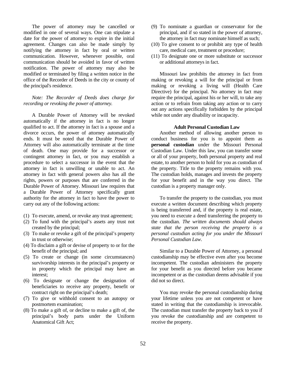The power of attorney may be cancelled or modified in one of several ways. One can stipulate a date for the power of attorney to expire in the initial agreement. Changes can also be made simply by notifying the attorney in fact by oral or written communication. However, whenever possible, oral communication should be avoided in favor of written notification. The power of attorney may also be modified or terminated by filing a written notice in the office of the Recorder of Deeds in the city or county of the principal's residence.

## *Note: The Recorder of Deeds does charge for recording or revoking the power of attorney.*

 A Durable Power of Attorney will be revoked automatically if the attorney in fact is no longer qualified to act. If the attorney in fact is a spouse and a divorce occurs, the power of attorney automatically ends. It must be noted that the Durable Power of Attorney will also automatically terminate at the time of death. One may provide for a successor or contingent attorney in fact, or you may establish a procedure to select a successor in the event that the attorney in fact is unwilling or unable to act. An attorney in fact with general powers also has all the rights, powers or purposes that are conferred in the Durable Power of Attorney. Missouri law requires that a Durable Power of Attorney specifically grant authority for the attorney in fact to have the power to carry out any of the following actions:

- (1) To execute, amend, or revoke any trust agreement;
- (2) To fund with the principal's assets any trust not created by the principal;
- (3) To make or revoke a gift of the principal's property in trust or otherwise;
- (4) To disclaim a gift or devise of property to or for the benefit of the principal; and
- (5) To create or change (in some circumstances) survivorship interests in the principal's property or in property which the principal may have an interest;
- (6) To designate or change the designation of beneficiaries to receive any property, benefit or contract right on the principal's death;
- (7) To give or withhold consent to an autopsy or postmortem examination;
- (8) To make a gift of, or decline to make a gift of, the principal's body parts under the Uniform Anatomical Gift Act;
- (9) To nominate a guardian or conservator for the principal, and if so stated in the power of attorney, the attorney in fact may nominate himself as such;
- (10) To give consent to or prohibit any type of health care, medical care, treatment or procedure;
- (11) To designate one or more substitute or successor or additional attorneys in fact.

 Missouri law prohibits the attorney in fact from making or revoking a will for the principal or from making or revoking a living will (Health Care Directive) for the principal. No attorney in fact may require the principal, against his or her will, to take any action or to refrain from taking any action or to carry out any actions specifically forbidden by the principal while not under any disability or incapacity.

#### **Adult Personal Custodian Law**

Another method of allowing another person to conduct business for you is to appoint them as **personal custodian** under the Missouri Personal Custodian Law. Under this law, you can transfer some or all of your property, both personal property and real estate, to another person to hold for you as custodian of the property. Title to the property remains with you. The custodian holds, manages and invests the property for your benefit and in the way you direct. The custodian is a property manager only.

 To transfer the property to the custodian, you must execute a written document describing which property is being transferred and, if the property is real estate, you need to execute a deed transferring the property to the custodian. *The written documents should always state that the person receiving the property is a personal custodian acting for you under the Missouri Personal Custodian Law*.

 Similar to a Durable Power of Attorney, a personal custodianship may be effective even after you become incompetent. The custodian administers the property for your benefit as you directed before you became incompetent or as the custodian deems advisable if you did not so direct.

 You may revoke the personal custodianship during your lifetime unless you are not competent or have stated in writing that the custodianship is irrevocable. The custodian must transfer the property back to you if you revoke the custodianship and are competent to receive the property.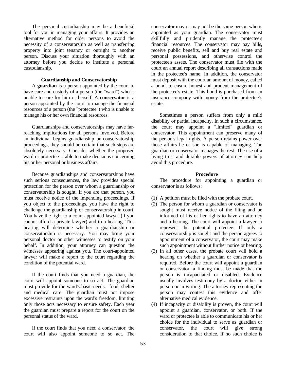The personal custodianship may be a beneficial tool for you in managing your affairs. It provides an alternative method for older persons to avoid the necessity of a conservatorship as well as transferring property into joint tenancy or outright to another person. Discuss your situation thoroughly with an attorney before you decide to institute a personal custodianship.

## **Guardianship and Conservatorship**

A **guardian** is a person appointed by the court to have care and custody of a person (the "ward") who is unable to care for him or herself. A **conservator** is a person appointed by the court to manage the financial resources of a person (the "protectee") who is unable to manage his or her own financial resources.

 Guardianships and conservatorships may have farreaching implications for all persons involved. Before an individual begins guardianship or conservatorship proceedings, they should be certain that such steps are absolutely necessary. Consider whether the proposed ward or protectee is able to make decisions concerning his or her personal or business affairs.

 Because guardianships and conservatorships have such serious consequences, the law provides special protection for the person over whom a guardianship or conservatorship is sought. If you are that person, you must receive notice of the impending proceedings. If you object to the proceedings, you have the right to challenge the guardianship or conservatorship in court. You have the right to a court-appointed lawyer (if you cannot afford a private lawyer) and to a hearing. This hearing will determine whether a guardianship or conservatorship is necessary. You may bring your personal doctor or other witnesses to testify on your behalf. In addition, your attorney can question the witnesses appearing against you. The court-appointed lawyer will make a report to the court regarding the condition of the potential ward.

 If the court finds that you need a guardian, the court will appoint someone to so act. The guardian must provide for the ward's basic needs: food, shelter and medical care. The guardian must not impose excessive restraints upon the ward's freedom, limiting only those acts necessary to ensure safety. Each year the guardian must prepare a report for the court on the personal status of the ward.

 If the court finds that you need a conservator, the court will also appoint someone to so act. The

conservator may or may not be the same person who is appointed as your guardian. The conservator must skillfully and prudently manage the protectee's financial resources. The conservator may pay bills, receive public benefits, sell and buy real estate and personal possessions, and otherwise control the protectee's assets. The conservator must file with the court an annual report describing all transactions made in the protectee's name. In addition, the conservator must deposit with the court an amount of money, called a bond, to ensure honest and prudent management of the protectee's estate. This bond is purchased from an insurance company with money from the protectee's estate.

 Sometimes a person suffers from only a mild disability or partial incapacity. In such a circumstance, the court may appoint a "limited" guardian or conservator. This appointment can preserve many of the person's legal rights. A person retains power over those affairs he or she is capable of managing. The guardian or conservator manages the rest. The use of a living trust and durable powers of attorney can help avoid this procedure.

#### **Procedure**

The procedure for appointing a guardian or conservator is as follows:

- (1) A petition must be filed with the probate court.
- (2) The person for whom a guardian or conservator is sought must receive notice of the filing and be informed of his or her rights to have an attorney and a hearing. The court will appoint a lawyer to represent the potential protectee. If only a conservatorship is sought and the person agrees to appointment of a conservator, the court may make such appointment without further notice or hearing.
- (3) In all other cases, the probate court will hold a hearing on whether a guardian or conservator is required. Before the court will appoint a guardian or conservator, a finding must be made that the person is incapacitated or disabled. Evidence usually involves testimony by a doctor, either in person or in writing. The attorney representing the person may contest this evidence and offer alternative medical evidence.
- (4) If incapacity or disability is proven, the court will appoint a guardian, conservator, or both. If the ward or protectee is able to communicate his or her choice for the individual to serve as guardian or conservator, the court will give strong consideration to that choice. If no such choice is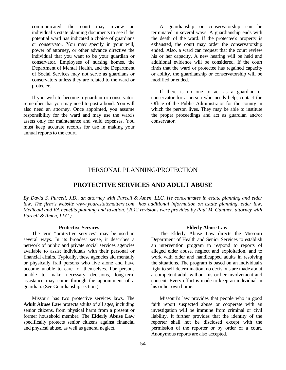communicated, the court may review an individual's estate planning documents to see if the potential ward has indicated a choice of guardians or conservator. You may specify in your will, power of attorney, or other advance directive the individual that you want to be your guardian or conservator. Employees of nursing homes, the Department of Mental Health, and the Department of Social Services may not serve as guardians or conservators unless they are related to the ward or protectee.

 If you wish to become a guardian or conservator, remember that you may need to post a bond. You will also need an attorney. Once appointed, you assume responsibility for the ward and may use the ward's assets only for maintenance and valid expenses. You must keep accurate records for use in making your annual reports to the court.

 A guardianship or conservatorship can be terminated in several ways. A guardianship ends with the death of the ward. If the protectee's property is exhausted, the court may order the conservatorship ended. Also, a ward can request that the court review his or her capacity. A new hearing will be held and additional evidence will be considered. If the court finds that the ward or protectee has regained capacity or ability, the guardianship or conservatorship will be modified or ended.

 If there is no one to act as a guardian or conservator for a person who needs help, contact the Office of the Public Administrator for the county in which the person lives. They may be able to institute the proper proceedings and act as guardian and/or conservator.

# PERSONAL PLANNING/PROTECTION

# **PROTECTIVE SERVICES AND ADULT ABUSE**

*By David S. Purcell, J.D., an attorney with Purcell & Amen, LLC. He concentrates in estate planning and elder law. The firm's website www.yourestatematters.com has additional information on estate planning, elder law, Medicaid and VA benefits planning and taxation. (2012 revisions were provided by Paul M. Gantner, attorney with Purcell & Amen, LLC.)* 

#### **Protective Services**

The term "protective services" may be used in several ways. In its broadest sense, it describes a network of public and private social services agencies available to assist individuals with their personal or financial affairs. Typically, these agencies aid mentally or physically frail persons who live alone and have become unable to care for themselves. For persons unable to make necessary decisions, long-term assistance may come through the appointment of a guardian. (See Guardianship section.)

 Missouri has two protective services laws. The **Adult Abuse Law** protects adults of all ages, including senior citizens, from physical harm from a present or former household member. The **Elderly Abuse Law** specifically protects senior citizens against financial and physical abuse, as well as general neglect.

#### **Elderly Abuse Law**

The Elderly Abuse Law directs the Missouri Department of Health and Senior Services to establish an intervention program to respond to reports of alleged elder abuse, neglect and exploitation, and to work with older and handicapped adults in resolving the situations. The program is based on an individual's right to self-determination; no decisions are made about a competent adult without his or her involvement and consent. Every effort is made to keep an individual in his or her own home.

 Missouri's law provides that people who in good faith report suspected abuse or cooperate with an investigation will be immune from criminal or civil liability. It further provides that the identity of the reporter shall not be disclosed except with the permission of the reporter or by order of a court. Anonymous reports are also accepted.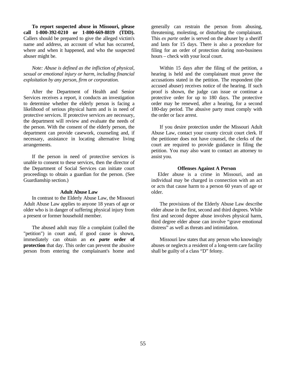**To report suspected abuse in Missouri, please call 1-800-392-0210 or 1-800-669-8819 (TDD).**  Callers should be prepared to give the alleged victim's name and address, an account of what has occurred, where and when it happened, and who the suspected abuser might be.

## *Note: Abuse is defined as the infliction of physical, sexual or emotional injury or harm, including financial exploitation by any person, firm or corporation.*

 After the Department of Health and Senior Services receives a report, it conducts an investigation to determine whether the elderly person is facing a likelihood of serious physical harm and is in need of protective services. If protective services are necessary, the department will review and evaluate the needs of the person. With the consent of the elderly person, the department can provide casework, counseling and, if necessary, assistance in locating alternative living arrangements.

 If the person in need of protective services is unable to consent to these services, then the director of the Department of Social Services can initiate court proceedings to obtain a guardian for the person. (See Guardianship section.)

#### **Adult Abuse Law**

In contrast to the Elderly Abuse Law, the Missouri Adult Abuse Law applies to anyone 18 years of age or older who is in danger of suffering physical injury from a present or former household member.

 The abused adult may file a complaint (called the "petition") in court and, if good cause is shown, immediately can obtain an *ex parte* **order of protection** that day. This order can prevent the abusive person from entering the complainant's home and

generally can restrain the person from abusing, threatening, molesting, or disturbing the complainant. This *ex parte* order is served on the abuser by a sheriff and lasts for 15 days. There is also a procedure for filing for an order of protection during non-business hours – check with your local court.

 Within 15 days after the filing of the petition, a hearing is held and the complainant must prove the accusations stated in the petition. The respondent (the accused abuser) receives notice of the hearing. If such proof is shown, the judge can issue or continue a protective order for up to 180 days. The protective order may be renewed, after a hearing, for a second 180-day period. The abusive party must comply with the order or face arrest.

 If you desire protection under the Missouri Adult Abuse Law, contact your county circuit court clerk. If the petitioner does not have counsel, the clerks of the court are required to provide guidance in filing the petition. You may also want to contact an attorney to assist you.

#### **Offenses Against A Person**

 Elder abuse is a crime in Missouri, and an individual may be charged in connection with an act or acts that cause harm to a person 60 years of age or older.

 The provisions of the Elderly Abuse Law describe elder abuse in the first, second and third degrees. While first and second degree abuse involves physical harm, third degree elder abuse can involve "grave emotional distress" as well as threats and intimidation.

 Missouri law states that any person who knowingly abuses or neglects a resident of a long-term care facility shall be guilty of a class "D" felony.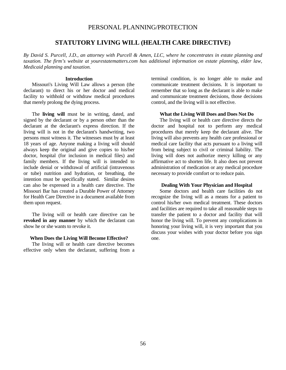# **STATUTORY LIVING WILL (HEALTH CARE DIRECTIVE)**

*By David S. Purcell, J.D., an attorney with Purcell & Amen, LLC, where he concentrates in estate planning and taxation. The firm's website at yourestatematters.com has additional information on estate planning, elder law, Medicaid planning and taxation.* 

#### **Introduction**

 Missouri's Living Will Law allows a person (the declarant) to direct his or her doctor and medical facility to withhold or withdraw medical procedures that merely prolong the dying process.

 The **living will** must be in writing, dated, and signed by the declarant or by a person other than the declarant at the declarant's express direction. If the living will is not in the declarant's handwriting, two persons must witness it. The witnesses must by at least 18 years of age. Anyone making a living will should always keep the original and give copies to his/her doctor, hospital (for inclusion in medical files) and family members. If the living will is intended to include denial or withdrawal of artificial (intravenous or tube) nutrition and hydration, or breathing, the intention must be specifically stated. Similar desires can also be expressed in a health care directive. The Missouri Bar has created a Durable Power of Attorney for Health Care Directive in a document available from them upon request.

 The living will or health care directive can be **revoked in any manner** by which the declarant can show he or she wants to revoke it.

#### **When Does the Living Will Become Effective?**

The living will or health care directive becomes effective only when the declarant, suffering from a terminal condition, is no longer able to make and communicate treatment decisions. It is important to remember that so long as the declarant is able to make and communicate treatment decisions, those decisions control, and the living will is not effective.

#### **What the Living Will Does and Does Not Do**

The living will or health care directive directs the doctor and hospital not to perform any medical procedures that merely keep the declarant alive. The living will also prevents any health care professional or medical care facility that acts pursuant to a living will from being subject to civil or criminal liability. The living will does not authorize mercy killing or any affirmative act to shorten life. It also does not prevent administration of medication or any medical procedure necessary to provide comfort or to reduce pain.

#### **Dealing With Your Physician and Hospital**

Some doctors and health care facilities do not recognize the living will as a means for a patient to control his/her own medical treatment. These doctors and facilities are required to take all reasonable steps to transfer the patient to a doctor and facility that will honor the living will. To prevent any complications in honoring your living will, it is very important that you discuss your wishes with your doctor before you sign one.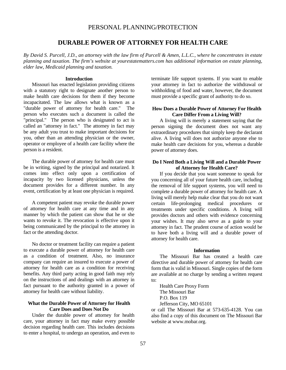# **DURABLE POWER OF ATTORNEY FOR HEALTH CARE**

*By David S. Purcell, J.D., an attorney with the law firm of Purcell & Amen, L.L.C., where he concentrates in estate planning and taxation. The firm's website at yourestatematters.com has additional information on estate planning, elder law, Medicaid planning and taxation.* 

#### **Introduction**

Missouri has enacted legislation providing citizens with a statutory right to designate another person to make health care decisions for them if they become incapacitated. The law allows what is known as a "durable power of attorney for health care." The person who executes such a document is called the "principal." The person who is designated to act is called an "attorney in fact." The attorney in fact may be any adult you trust to make important decisions for you, other than an attending physician or the owner, operator or employee of a health care facility where the person is a resident.

 The durable power of attorney for health care must be in writing, signed by the principal and notarized. It comes into effect only upon a certification of incapacity by two licensed physicians, unless the document provides for a different number. In any event, certification by at least one physician is required.

 A competent patient may revoke the durable power of attorney for health care at any time and in any manner by which the patient can show that he or she wants to revoke it. The revocation is effective upon it being communicated by the principal to the attorney in fact or the attending doctor.

 No doctor or treatment facility can require a patient to execute a durable power of attorney for health care as a condition of treatment. Also, no insurance company can require an insured to execute a power of attorney for health care as a condition for receiving benefits. Any third party acting in good faith may rely on the instructions of and dealings with an attorney in fact pursuant to the authority granted in a power of attorney for health care without liability.

# **What the Durable Power of Attorney for Health Care Does and Does Not Do**

Under the durable power of attorney for health care, your attorney in fact may make every possible decision regarding health care. This includes decisions to enter a hospital, to undergo an operation, and even to terminate life support systems. If you want to enable your attorney in fact to authorize the withdrawal or withholding of food and water, however, the document must provide a specific grant of authority to do so.

#### **How Does a Durable Power of Attorney For Health Care Differ From a Living Will?**

A living will is merely a statement saying that the person signing the document does not want any extraordinary procedures that simply keep the declarant alive. A living will does not authorize anyone else to make health care decisions for you, whereas a durable power of attorney does.

## **Do I Need Both a Living Will and a Durable Power of Attorney for Health Care?**

 If you decide that you want someone to speak for you concerning all of your future health care, including the removal of life support systems, you will need to complete a durable power of attorney for health care. A living will merely help make clear that you do not want certain life-prolonging medical procedures or treatments under specific conditions. A living will provides doctors and others with evidence concerning your wishes. It may also serve as a guide to your attorney in fact. The prudent course of action would be to have both a living will and a durable power of attorney for health care.

#### **Information**

The Missouri Bar has created a health care directive and durable power of attorney for health care form that is valid in Missouri. Single copies of the form are available at no charge by sending a written request to:

 Health Care Proxy Form The Missouri Bar P.O. Box 119 Jefferson City, MO 65101

 or call The Missouri Bar at 573-635-4128. You can also find a copy of this document on The Missouri Bar website at www.mobar.org.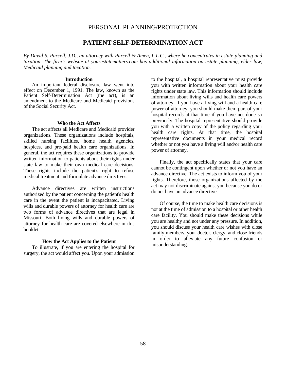# **PATIENT SELF-DETERMINATION ACT**

*By David S. Purcell, J.D., an attorney with Purcell & Amen, L.L.C., where he concentrates in estate planning and taxation. The firm's website at yourestatematters.com has additional information on estate planning, elder law, Medicaid planning and taxation.* 

#### **Introduction**

An important federal disclosure law went into effect on December 1, 1991. The law, known as the Patient Self-Determination Act (the act), is an amendment to the Medicare and Medicaid provisions of the Social Security Act.

### **Who the Act Affects**

The act affects all Medicare and Medicaid provider organizations. These organizations include hospitals, skilled nursing facilities, home health agencies, hospices, and pre-paid health care organizations. In general, the act requires these organizations to provide written information to patients about their rights under state law to make their own medical care decisions. These rights include the patient's right to refuse medical treatment and formulate advance directives.

 Advance directives are written instructions authorized by the patient concerning the patient's health care in the event the patient is incapacitated. Living wills and durable powers of attorney for health care are two forms of advance directives that are legal in Missouri. Both living wills and durable powers of attorney for health care are covered elsewhere in this booklet.

#### **How the Act Applies to the Patient**

To illustrate, if you are entering the hospital for surgery, the act would affect you. Upon your admission to the hospital, a hospital representative must provide you with written information about your health care rights under state law. This information should include information about living wills and health care powers of attorney. If you have a living will and a health care power of attorney, you should make them part of your hospital records at that time if you have not done so previously. The hospital representative should provide you with a written copy of the policy regarding your health care rights. At that time, the hospital representative documents in your medical record whether or not you have a living will and/or health care power of attorney.

 Finally, the act specifically states that your care cannot be contingent upon whether or not you have an advance directive. The act exists to inform you of your rights. Therefore, those organizations affected by the act may not discriminate against you because you do or do not have an advance directive.

 Of course, the time to make health care decisions is not at the time of admission to a hospital or other health care facility. You should make these decisions while you are healthy and not under any pressure. In addition, you should discuss your health care wishes with close family members, your doctor, clergy, and close friends in order to alleviate any future confusion or misunderstanding.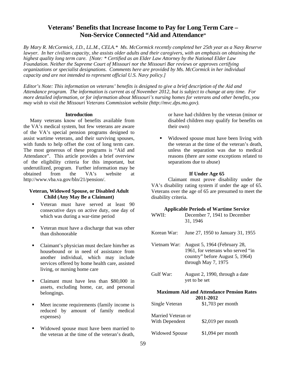# **Veterans' Benefits that Increase Income to Pay for Long Term Care – Non-Service Connected "Aid and Attendance"**

*By Mary R. McCormick, J.D., LL.M., CELA.\* Ms. McCormick recently completed her 25th year as a Navy Reserve lawyer. In her civilian capacity, she assists older adults and their caregivers, with an emphasis on obtaining the highest quality long term care. [Note: \* Certified as an Elder Law Attorney by the National Elder Law Foundation. Neither the Supreme Court of Missouri nor the Missouri Bar reviews or approves certifying organizations or specialist designations. Comments here are provided by Ms. McCormick in her individual capacity and are not intended to represent official U.S. Navy policy.]* 

*Editor's Note: This information on veterans' benefits is designed to give a brief description of the Aid and Attendance program. The information is current as of November 2012, but is subject to change at any time. For more detailed information, or for information about Missouri's nursing homes for veterans and other benefits, you may wish to visit the Missouri Veterans Commission website (http://mvc.dps.mo.gov).* 

#### **Introduction**

 Many veterans know of benefits available from the VA's medical system, but few veterans are aware of the VA's special pension programs designed to assist wartime veterans, and their surviving spouses, with funds to help offset the cost of long term care. The most generous of these programs is "Aid and Attendance". This article provides a brief overview of the eligibility criteria for this important, but underutilized, program. Further information may be obtained from the VA's website at http://www.vba.va.gov/bln/21/pension/.

## **Veteran, Widowed Spouse, or Disabled Adult Child (Any May Be a Claimant)**

- Veteran must have served at least 90 consecutive days on active duty, one day of which was during a war-time period
- Veteran must have a discharge that was other than dishonorable
- Claimant's physician must declare him/her as housebound or in need of assistance from another individual, which may include services offered by home health care, assisted living, or nursing home care
- Claimant must have less than \$80,000 in assets, excluding home, car, and personal belongings.
- Meet income requirements (family income is reduced by amount of family medical expenses)
- Widowed spouse must have been married to the veteran at the time of the veteran's death,

or have had children by the veteran (minor or disabled children may qualify for benefits on their own)

 Widowed spouse must have been living with the veteran at the time of the veteran's death, unless the separation was due to medical reasons (there are some exceptions related to separations due to abuse)

#### **If Under Age 65**

Claimant must prove disability under the VA's disability rating system if under the age of 65. Veterans over the age of 65 are presumed to meet the disability criteria.

| <b>Applicable Periods of Wartime Service</b> |                                          |  |
|----------------------------------------------|------------------------------------------|--|
| <b>WWII</b> :                                | December 7, 1941 to December<br>31, 1946 |  |
| Korean War:                                  | June 27, 1950 to January 31, 1955        |  |

Vietnam War: August 5, 1964 (February 28, 1961, for veterans who served "in country" before August 5, 1964) through May 7, 1975 Gulf War: August 2, 1990, through a date yet to be set **Maximum Aid and Attendance Pension Rates 2011-2012**  Single Veteran \$1,703 per month

| Married Veteran or<br>With Dependent | $$2,019$ per month |
|--------------------------------------|--------------------|
| <b>Widowed Spouse</b>                | $$1,094$ per month |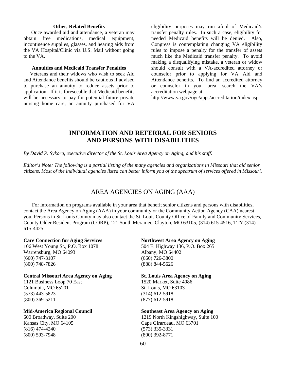#### **Other, Related Benefits**

 Once awarded aid and attendance, a veteran may obtain free medications, medical equipment, incontinence supplies, glasses, and hearing aids from the VA Hospital/Clinic via U.S. Mail without going to the VA.

## **Annuities and Medicaid Transfer Penalties**

 Veterans and their widows who wish to seek Aid and Attendance benefits should be cautious if advised to purchase an annuity to reduce assets prior to application. If it is foreseeable that Medicaid benefits will be necessary to pay for potential future private nursing home care, an annuity purchased for VA

eligibility purposes may run afoul of Medicaid's transfer penalty rules. In such a case, eligibility for needed Medicaid benefits will be denied. Also, Congress is contemplating changing VA eligibility rules to impose a penalty for the transfer of assets much like the Medicaid transfer penalty. To avoid making a disqualifying mistake, a veteran or widow should consult with a VA-accredited attorney or counselor prior to applying for VA Aid and Attendance benefits. To find an accredited attorney or counselor in your area, search the VA's accreditation webpage at

http://www.va.gov/ogc/apps/accreditation/index.asp.

# **INFORMATION AND REFERRAL FOR SENIORS AND PERSONS WITH DISABILITIES**

*By David P. Sykora, executive director of the St. Louis Area Agency on Aging, and his staff.* 

*Editor's Note: The following is a partial listing of the many agencies and organizations in Missouri that aid senior citizens. Most of the individual agencies listed can better inform you of the spectrum of services offered in Missouri.* 

# AREA AGENCIES ON AGING (AAA)

For information on programs available in your area that benefit senior citizens and persons with disabilities, contact the Area Agency on Aging (AAA) in your community or the Community Action Agency (CAA) nearest you. Persons in St. Louis County may also contact the St. Louis County Office of Family and Community Services, County Older Resident Program (CORP), 121 South Meramec, Clayton, MO 63105, (314) 615-4516, TTY (314) 615-4425.

106 West Young St., P.O. Box 1078 504 E. Highway 136, P.O. Box 265 Warrensburg, MO 64093 Albany, MO 64402 (660) 747-3107 (660) 726-3800 (800) 748-7826 (888) 844-5626

#### **Central Missouri Area Agency on Aging St. Louis Area Agency on Aging**

Columbia, MO 65201 St. Louis, MO 63103 (573) 443-5823 (314) 612-5918 (800) 369-5211 (877) 612-5918

#### **Mid-America Regional Council Southeast Area Agency on Aging**

(816) 474-4240 (573) 335-3331 (800) 593-7948 (800) 392-8771

# **Care Connection for Aging Services Northwest Area Agency on Aging 1988**

1121 Business Loop 70 East 1520 Market, Suite 4086

600 Broadway, Suite 200 1219 North Kingshighway, Suite 100 Kansas City, MO 64105 Cape Girardeau, MO 63701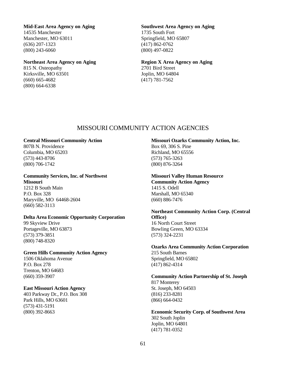#### **Mid-East Area Agency on Aging Southwest Area Agency on Aging**

14535 Manchester 1735 South Fort Manchester, MO 63011 Springfield, MO 65807 (636) 207-1323 (417) 862-0762 (800) 243-6060 (800) 497-0822

815 N. Osteopathy 2701 Bird Street Kirksville, MO 63501 Joplin, MO 64804 (660) 665-4682 (417) 781-7562 (800) 664-6338

# **Northeast Area Agency on Aging Region X Area Agency on Aging**

# MISSOURI COMMUNITY ACTION AGENCIES

## **Central Missouri Community Action**

807B N. Providence Columbia, MO 65203 (573) 443-8706 (800) 706-1742

#### **Community Services, Inc. of Northwest Missouri**

1212 B South Main P.O. Box 328 Maryville, MO 64468-2604 (660) 582-3113

# **Delta Area Economic Opportunity Corporation**

99 Skyview Drive Portageville, MO 63873 (573) 379-3851 (800) 748-8320

# **Green Hills Community Action Agency**

1506 Oklahoma Avenue P.O. Box 278 Trenton, MO 64683 (660) 359-3907

# **East Missouri Action Agency**

403 Parkway Dr., P.O. Box 308 Park Hills, MO 63601 (573) 431-5191 (800) 392-8663

## **Missouri Ozarks Community Action, Inc.**  Box 69, 306 S. Pine Richland, MO 65556 (573) 765-3263 (800) 876-3264

## **Missouri Valley Human Resource Community Action Agency**  1415 S. Odell Marshall, MO 65340

(660) 886-7476

# **Northeast Community Action Corp. (Central Office)**  16 North Court Street

Bowling Green, MO 63334 (573) 324-2231

## **Ozarks Area Community Action Corporation**  215 South Barnes Springfield, MO 65802 (417) 862-4314

# **Community Action Partnership of St. Joseph**  817 Monterey St. Joseph, MO 64503 (816) 233-8281 (866) 664-0432

**Economic Security Corp. of Southwest Area**  302 South Joplin Joplin, MO 64801 (417) 781-0352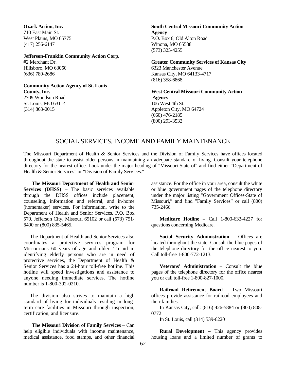**Ozark Action, Inc.**  710 East Main St. West Plains, MO 65775 (417) 256-6147

**Jefferson-Franklin Community Action Corp.** 

#2 Merchant Dr. Hillsboro, MO 63050 (636) 789-2686

**Community Action Agency of St. Louis County, Inc.** 

2709 Woodson Road St. Louis, MO 63114 (314) 863-0015

# **South Central Missouri Community Action Agency**  P.O. Box 6, Old Alton Road Winona, MO 65588 (573) 325-4255

**Greater Community Services of Kansas City**  6323 Manchester Avenue Kansas City, MO 64133-4717 (816) 358-6868

**West Central Missouri Community Action Agency**  106 West 4th St. Appleton City, MO 64724 (660) 476-2185 (800) 293-3532

# SOCIAL SERVICES, INCOME AND FAMILY MAINTENANCE

The Missouri Department of Health & Senior Services and the Division of Family Services have offices located throughout the state to assist older persons in maintaining an adequate standard of living. Consult your telephone directory for the nearest office. Look under the major heading of "Missouri-State of" and find either "Department of Health & Senior Services" or "Division of Family Services."

 **The Missouri Department of Health and Senior Services (DHSS)** – The basic services available through the DHSS offices include placement, counseling, information and referral, and in-home (homemaker) services. For information, write to the Department of Health and Senior Services, P.O. Box 570, Jefferson City, Missouri 65102 or call (573) 751- 6400 or (800) 835-5465.

 The Department of Health and Senior Services also coordinates a protective services program for Missourians 60 years of age and older. To aid in identifying elderly persons who are in need of protective services, the Department of Health & Senior Services has a 24-hour toll-free hotline. This hotline will speed investigations and assistance to anyone needing immediate services. The hotline number is 1-800-392-0210.

 The division also strives to maintain a high standard of living for individuals residing in longterm care facilities in Missouri through inspection, certification, and licensure.

 **The Missouri Division of Family Services** – Can help eligible individuals with income maintenance, medical assistance, food stamps, and other financial

assistance. For the office in your area, consult the white or blue government pages of the telephone directory under the major listing "Government Offices-State of Missouri," and find "Family Services" or call (800) 735-2466.

 **Medicare Hotline** – Call 1-800-633-4227 for questions concerning Medicare.

 **Social Security Administration** – Offices are located throughout the state. Consult the blue pages of the telephone directory for the office nearest to you. Call toll-free 1-800-772-1213.

 **Veterans' Administration** – Consult the blue pages of the telephone directory for the office nearest you or call toll-free 1-800-827-1000.

 **Railroad Retirement Board** – Two Missouri offices provide assistance for railroad employees and their families.

 In Kansas City, call: (816) 426-5884 or (800) 808- 0772

In St. Louis, call (314) 539-6220

 **Rural Development –** This agency provides housing loans and a limited number of grants to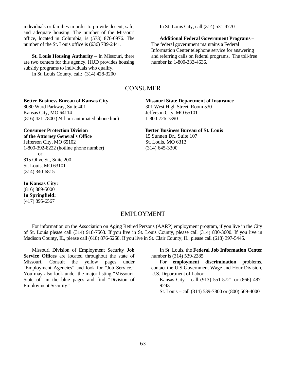individuals or families in order to provide decent, safe, and adequate housing. The number of the Missouri office, located in Columbia, is (573) 876-0976. The number of the St. Louis office is (636) 789-2441.

 **St. Louis Housing Authority** – In Missouri, there are two centers for this agency. HUD provides housing subsidy programs to individuals who qualify. In St. Louis County, call: (314) 428-3200

In St. Louis City, call (314) 531-4770

## **Additional Federal Government Programs** –

The federal government maintains a Federal Information Center telephone service for answering and referring calls on federal programs. The toll-free number is: 1-800-333-4636.

# CONSUMER

**Better Business Bureau of Kansas City**  8080 Ward Parkway, Suite 401 Kansas City, MO 64114 (816) 421-7800 (24-hour automated phone line)

# **Consumer Protection Division**

**of the Attorney General's Office** Jefferson City, MO 65102 1-800-392-8222 (hotline phone number) or 815 Olive St., Suite 200 St. Louis, MO 63101 (314) 340-6815

**In Kansas City:**  (816) 889-5000 **In Springfield:**  (417) 895-6567

**Missouri State Department of Insurance**  301 West High Street, Room 530 Jefferson City, MO 65101 1-800-726-7390

#### **Better Business Bureau of St. Louis**

15 Sunnen Dr., Suite 107 St. Louis, MO 6313 (314) 645-3300

# EMPLOYMENT

 For information on the Association on Aging Retired Persons (AARP) employment program, if you live in the City of St. Louis please call (314) 918-7563. If you live in St. Louis County, please call (314) 830-3600. If you live in Madison County, IL, please call (618) 876-5258. If you live in St. Clair County, IL, please call (618) 397-5445.

 Missouri Division of Employment Security **Job Service Offices** are located throughout the state of Missouri. Consult the yellow pages under "Employment Agencies" and look for "Job Service." You may also look under the major listing "Missouri-State of" in the blue pages and find "Division of Employment Security."

 In St. Louis, the **Federal Job Information Center** number is (314) 539-2285

 For **employment discrimination** problems, contact the U.S Government Wage and Hour Division, U.S. Department of Labor:

Kansas City – call (913) 551-5721 or (866) 487- 9243

St. Louis – call (314) 539-7800 or (800) 669-4000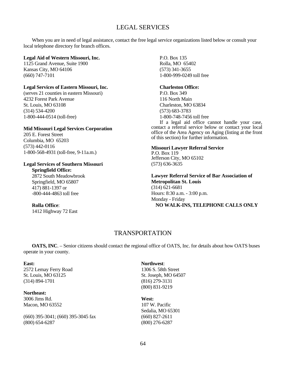# LEGAL SERVICES

When you are in need of legal assistance, contact the free legal service organizations listed below or consult your local telephone directory for branch offices.

#### **Legal Aid of Western Missouri, Inc.**

1125 Grand Avenue, Suite 1900 Kansas City, MO 64106 (660) 747-7101

#### **Legal Services of Eastern Missouri, Inc.**

(serves 21 counties in eastern Missouri) 4232 Forest Park Avenue St. Louis, MO 63108 (314) 534-4200 1-800-444-0514 (toll-free)

#### **Mid Missouri Legal Services Corporation**

205 E. Forest Street Columbia, MO 65203 (573) 442-0116 1-800-568-4931 (toll-free, 9-11a.m.)

#### **Legal Services of Southern Missouri Springfield Office:**

 2872 South Meadowbrook Springfield, MO 65807 417) 881-1397 or -800-444-4863 toll free

# **Rolla Office**:

1412 Highway 72 East

 P.O. Box 135 Rolla, MO 65402 (573) 341-3655 1-800-999-0249 toll free

### **Charleston Office:**

 P.O. Box 349 116 North Main Charleston, MO 63834 (573) 683-3783 1-800-748-7456 toll free If a legal aid office cannot handle your case, contact a referral service below or contact your local office of the Area Agency on Aging (listing at the front of this section) for further information.

#### **Missouri Lawyer Referral Service**  P.O. Box 119

Jefferson City, MO 65102 (573) 636-3635

**Lawyer Referral Service of Bar Association of Metropolitan St. Louis**  (314) 621-6681 Hours: 8:30 a.m. - 3:00 p.m. Monday - Friday **NO WALK-INS, TELEPHONE CALLS ONLY** 

# TRANSPORTATION

**OATS, INC.** – Senior citizens should contact the regional office of OATS, Inc. for details about how OATS buses operate in your county.

2572 Lemay Ferry Road 1306 S. 58th Street St. Louis, MO 63125 St. Joseph, MO 64507 (314) 894-1701 (816) 279-3131

**Northeast:** 3006 Jims Rd. **West:**

(660) 395-3041; (660) 395-3045 fax (660) 827-2611 (800) 654-6287 (800) 276-6287

**East: Northwest**: (800) 831-9219

Macon, MO 63552 107 W. Pacific Sedalia, MO 65301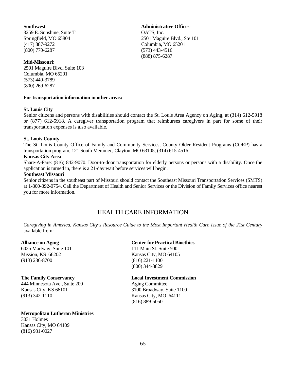3259 E. Sunshine, Suite T OATS, Inc. (417) 887-9272 Columbia, MO 65201 (800) 770-6287 (573) 443-4516

## **Mid-Missouri:**

2501 Maguire Blvd. Suite 103 Columbia, MO 65201 (573) 449-3789 (800) 269-6287

## **For transportation information in other areas:**

# **St. Louis City**

## **Southwest**: **Administrative Offices**:

Springfield, MO 65804 2501 Maguire Blvd., Ste 101 (888) 875-6287

Senior citizens and persons with disabilities should contact the St. Louis Area Agency on Aging, at (314) 612-5918 or (877) 612-5918. A caregiver transportation program that reimburses caregivers in part for some of their transportation expenses is also available.

## **St. Louis County**

The St. Louis County Office of Family and Community Services, County Older Resident Programs (CORP) has a transportation program, 121 South Meramec, Clayton, MO 63105, (314) 615-4516.

## **Kansas City Area**

Share-A-Fare: (816) 842-9070. Door-to-door transportation for elderly persons or persons with a disability. Once the application is turned in, there is a 21-day wait before services will begin.

## **Southeast Missouri**

Senior citizens in the southeast part of Missouri should contact the Southeast Missouri Transportation Services (SMTS) at 1-800-392-0754. Call the Department of Health and Senior Services or the Division of Family Services office nearest you for more information.

# HEALTH CARE INFORMATION

*Caregiving in America, Kansas City's Resource Guide to the Most Important Health Care Issue of the 21st Century* available from:

# **Alliance on Aging**

6025 Martway, Suite 101 Mission, KS 66202 (913) 236-8700

# **The Family Conservancy**

444 Minnesota Ave., Suite 200 Kansas City, KS 66101 (913) 342-1110

**Metropolitan Lutheran Ministries**  3031 Holmes Kansas City, MO 64109 (816) 931-0027

## **Center for Practical Bioethics**

111 Main St. Suite 500 Kansas City, MO 64105 (816) 221-1100 (800) 344-3829

#### **Local Investment Commission**  Aging Committee

3100 Broadway, Suite 1100 Kansas City, MO 64111 (816) 889-5050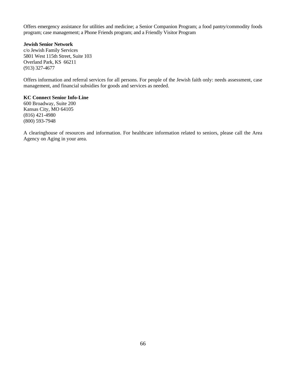Offers emergency assistance for utilities and medicine; a Senior Companion Program; a food pantry/commodity foods program; case management; a Phone Friends program; and a Friendly Visitor Program

## **Jewish Senior Network**

c/o Jewish Family Services 5801 West 115th Street, Suite 103 Overland Park, KS 66211 (913) 327-4677

Offers information and referral services for all persons. For people of the Jewish faith only: needs assessment, case management, and financial subsidies for goods and services as needed.

# **KC Connect Senior Info-Line**

600 Broadway, Suite 200 Kansas City, MO 64105 (816) 421-4980 (800) 593-7948

A clearinghouse of resources and information. For healthcare information related to seniors, please call the Area Agency on Aging in your area.